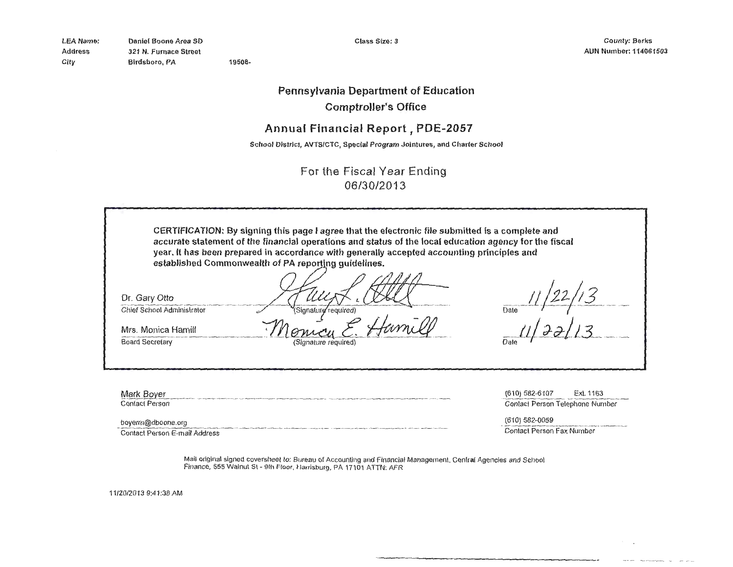**LEA Name: Address City** 

**Daniel Boone Area SD 321 N. Furnace Street Birdsboro, PA 19508-** **Class Size: 3** 

# **Pennsylvania Department of Education Comptroller's Office**

# **Annual Financial Report, PDE-2057**

### **School District, AVTS/CTC, Special Program Jointures, and Charter School**

For the Fiscal Year Ending 06/30/2013

|                            | CERTIFICATION: By signing this page I agree that the electronic file submitted is a complete and<br>accurate statement of the financial operations and status of the local education agency for the fiscal<br>year. It has been prepared in accordance with generally accepted accounting principles and<br>established Commonwealth of PA reporting guidelines. |                                 |
|----------------------------|------------------------------------------------------------------------------------------------------------------------------------------------------------------------------------------------------------------------------------------------------------------------------------------------------------------------------------------------------------------|---------------------------------|
|                            |                                                                                                                                                                                                                                                                                                                                                                  |                                 |
| Dr. Gary Otto              |                                                                                                                                                                                                                                                                                                                                                                  |                                 |
| Chief School Administrator | (Signature required)                                                                                                                                                                                                                                                                                                                                             | Date                            |
| Mrs. Monica Hamill         |                                                                                                                                                                                                                                                                                                                                                                  |                                 |
| Board Secretary            | (Signature required)                                                                                                                                                                                                                                                                                                                                             | Date                            |
|                            |                                                                                                                                                                                                                                                                                                                                                                  |                                 |
|                            |                                                                                                                                                                                                                                                                                                                                                                  |                                 |
| Mark Boyer                 |                                                                                                                                                                                                                                                                                                                                                                  | (610) 582-6107<br>Ext. 1163     |
| <b>Contact Person</b>      |                                                                                                                                                                                                                                                                                                                                                                  | Contact Person Telephone Number |

boyerm@dboone.org

Contact Person E-mail Address

Mail original signed coversheet to: Bureau of Accounting and Financial Management. Central Agencies and School Finance, 555 Walnut SI - 9111 Floor, Harrisburg, PA 17101 ATTN: AFR

11/20/2013 9:41 :38 AM

(610) 582-0059 Contact Person Fax Number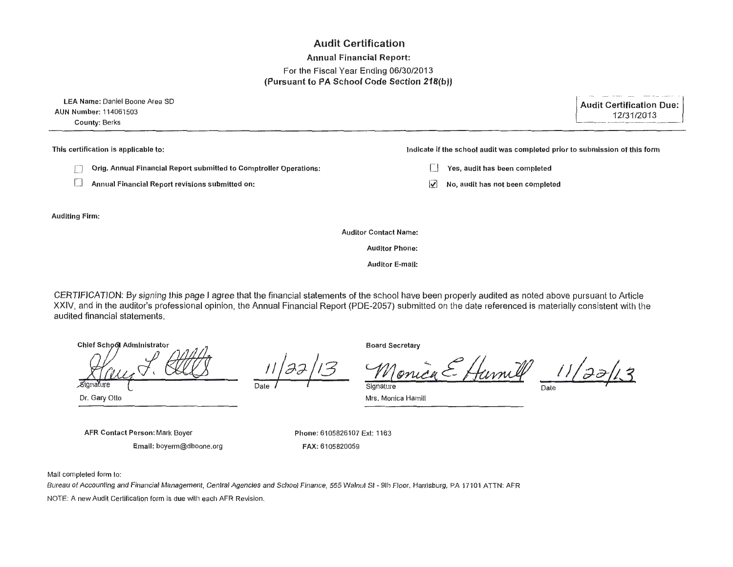# **Audit Certification**

### **Annual Financial Report:**

## For the Fiscal Year Ending 06/30/2013 **(Pursuant to PA School Code Section 218(b))**

| LEA Name: Daniel Boone Area SD<br><b>AUN Number: 114061503</b><br><b>County: Berks</b>                                | <b>Audit Certification Due:</b><br>12/31/2013                               |
|-----------------------------------------------------------------------------------------------------------------------|-----------------------------------------------------------------------------|
| This certification is applicable to:                                                                                  | Indicate if the school audit was completed prior to submission of this form |
| Orig. Annual Financial Report submitted to Comptroller Operations:<br>Annual Financial Report revisions submitted on: | Yes, audit has been completed<br>No, audit has not been completed<br>M      |
| <b>Auditing Firm:</b>                                                                                                 |                                                                             |

**Auditor Contact Name:** 

**Auditor Phone:** 

**Auditor E-mail:** 

CERTIFICATION: By signing this page I agree that the financial statements of the school have been properly audited as noted above pursuant to Article XXIV, and in the auditor's professional opinion, the Annual Financial Report (PDE-2057) submitted on the date referenced is materially consistent with the audited financial statements.

Chief School Administrator Signature Dr. Gary Olio

**Board Secretary** 

11/22/13 Monica Etfumill  $11/35$ **Date** *<sup>1</sup>*

Mrs. Monica Hamill

--------

**AFR Contact Person:** Mark Boyer

**Email:** boyerm@dboone.org

**Phone:** 6105826107 Exl: 1163 **FAX:** 6105820059

Mail completed form to:

Bureau of Accounting and Financial Management, Cenlral Agencies and School Finance, 555 Walnut St - 9Ih Floor, Harrisburg, PA 17101 ATTN: AFR

NOTE: A new Audit Certification form is due with each AFR Revision.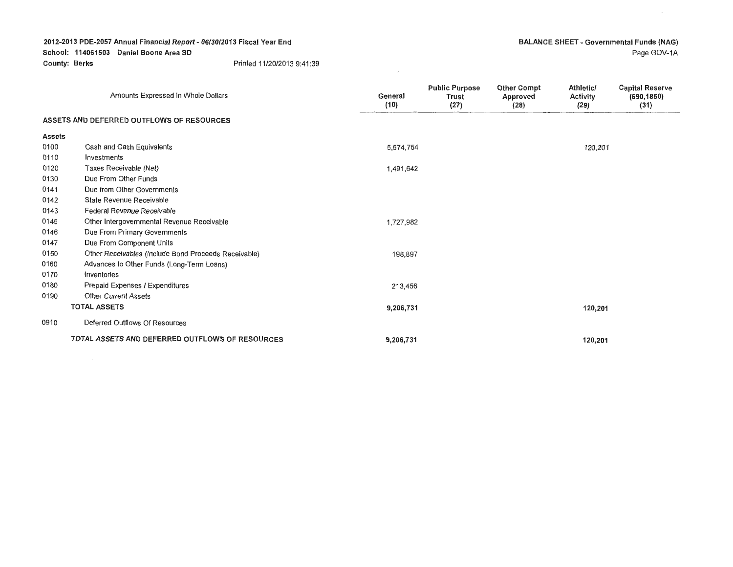School: 114061503 Daniel Boone Area SD

 $\sim 10^{-1}$ 

**County: Berks**  Printed 11/20/2013 9:41 :39

|               | Amounts Expressed in Whole Dollars                   | General<br>(10) | <b>Public Purpose</b><br><b>Trust</b><br>(27) | <b>Other Compt</b><br>Approved<br>(28) | Athletic/<br>Activity<br>(29) | <b>Capital Reserve</b><br>(690, 1850)<br>(31) |
|---------------|------------------------------------------------------|-----------------|-----------------------------------------------|----------------------------------------|-------------------------------|-----------------------------------------------|
|               | ASSETS AND DEFERRED OUTFLOWS OF RESOURCES            |                 |                                               |                                        |                               |                                               |
| <b>Assets</b> |                                                      |                 |                                               |                                        |                               |                                               |
| 0100          | Cash and Cash Equivalents                            | 5,574,754       |                                               |                                        | 120,201                       |                                               |
| 0110          | Investments                                          |                 |                                               |                                        |                               |                                               |
| 0120          | Taxes Receivable (Net)                               | 1,491,642       |                                               |                                        |                               |                                               |
| 0130          | Due From Other Funds                                 |                 |                                               |                                        |                               |                                               |
| 0141          | Due from Other Governments                           |                 |                                               |                                        |                               |                                               |
| 0142          | State Revenue Receivable                             |                 |                                               |                                        |                               |                                               |
| 0143          | Federal Revenue Receivable                           |                 |                                               |                                        |                               |                                               |
| 0145          | Other Intergovernmental Revenue Receivable           | 1,727,982       |                                               |                                        |                               |                                               |
| 0146          | Due From Primary Governments                         |                 |                                               |                                        |                               |                                               |
| 0147          | Due From Component Units                             |                 |                                               |                                        |                               |                                               |
| 0150          | Other Receivables (Include Bond Proceeds Receivable) | 198,897         |                                               |                                        |                               |                                               |
| 0160          | Advances to Other Funds (Long-Term Loans)            |                 |                                               |                                        |                               |                                               |
| 0170          | Inventories                                          |                 |                                               |                                        |                               |                                               |
| 0180          | Prepaid Expenses / Expenditures                      | 213,456         |                                               |                                        |                               |                                               |
| 0190          | <b>Other Current Assets</b>                          |                 |                                               |                                        |                               |                                               |
|               | <b>TOTAL ASSETS</b>                                  | 9,206,731       |                                               |                                        | 120,201                       |                                               |
| 0910          | Deferred Outflows Of Resources                       |                 |                                               |                                        |                               |                                               |
|               | TOTAL ASSETS AND DEFERRED OUTFLOWS OF RESOURCES      | 9,206,731       |                                               |                                        | 120,201                       |                                               |

 $\sim 10^{-11}$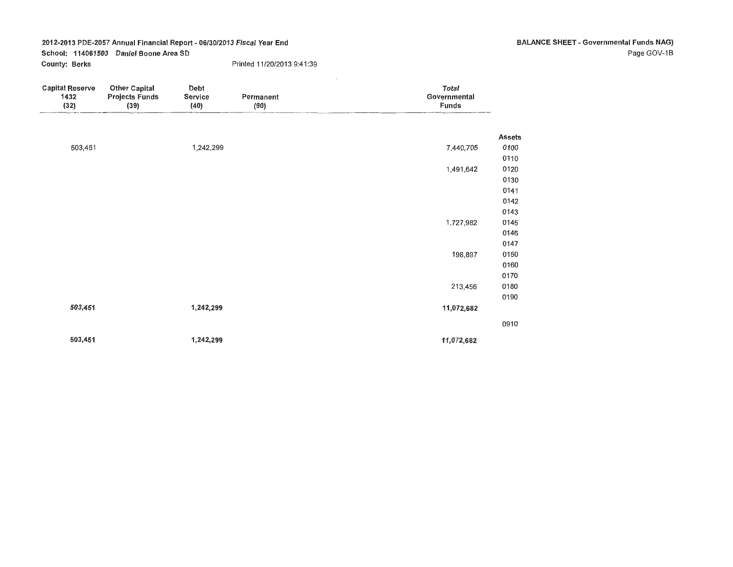School: 114061503 Daniel Boone Area SD

County: Berks

**Contractor** 

| <b>Capital Reserve</b><br>1432<br>(32) | <b>Other Capital</b><br><b>Projects Funds</b><br>(39) | Debt<br>Service<br>(40) | Permanent<br>(90) | Total<br>Governmental<br>Funds |               |
|----------------------------------------|-------------------------------------------------------|-------------------------|-------------------|--------------------------------|---------------|
|                                        |                                                       |                         |                   |                                | <b>Assets</b> |
| 503,451                                |                                                       | 1,242,299               |                   | 7,440,705                      | 0100          |
|                                        |                                                       |                         |                   |                                | 0110          |
|                                        |                                                       |                         |                   | 1,491,642                      | 0120          |
|                                        |                                                       |                         |                   |                                | 0130          |
|                                        |                                                       |                         |                   |                                | 0141          |
|                                        |                                                       |                         |                   |                                | 0142          |
|                                        |                                                       |                         |                   |                                | 0143          |
|                                        |                                                       |                         |                   | 1,727,982                      | 0145          |
|                                        |                                                       |                         |                   |                                | 0146          |
|                                        |                                                       |                         |                   |                                | 0147          |
|                                        |                                                       |                         |                   | 198,897                        | 0150          |
|                                        |                                                       |                         |                   |                                | 0160          |
|                                        |                                                       |                         |                   |                                | 0170          |
|                                        |                                                       |                         |                   | 213,456                        | 0180          |
|                                        |                                                       |                         |                   |                                | 0190          |
| 503,451                                |                                                       | 1,242,299               |                   | 11,072,682                     |               |
|                                        |                                                       |                         |                   |                                | 0910          |
| 503,451                                |                                                       | 1,242,299               |                   | 11,072,682                     |               |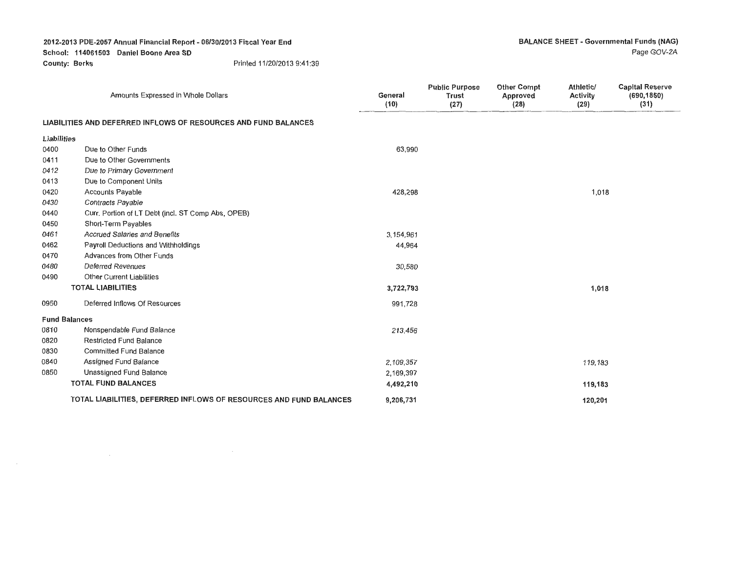**School: 114061503 Daniel Boone Area SD** 

**County: Berks** Printed 11/20/2013 9:41:39

|                      | Amounts Expressed in Whole Dollars                                 | General<br>(10) | <b>Public Purpose</b><br><b>Trust</b><br>(27) | <b>Other Compt</b><br>Approved<br>(28) | Athletic/<br>Activity<br>(29) | <b>Capital Reserve</b><br>(690, 1850)<br>(31) |
|----------------------|--------------------------------------------------------------------|-----------------|-----------------------------------------------|----------------------------------------|-------------------------------|-----------------------------------------------|
|                      | LIABILITIES AND DEFERRED INFLOWS OF RESOURCES AND FUND BALANCES    |                 |                                               |                                        |                               |                                               |
| Liabilities          |                                                                    |                 |                                               |                                        |                               |                                               |
| 0400                 | Due to Other Funds                                                 | 63,990          |                                               |                                        |                               |                                               |
| 0411                 | Due to Other Governments                                           |                 |                                               |                                        |                               |                                               |
| 0412                 | Due to Primary Government                                          |                 |                                               |                                        |                               |                                               |
| 0413                 | Due to Component Units                                             |                 |                                               |                                        |                               |                                               |
| 0420                 | <b>Accounts Payable</b>                                            | 428,298         |                                               |                                        | 1,018                         |                                               |
| 0430                 | Contracts Payable                                                  |                 |                                               |                                        |                               |                                               |
| 0440                 | Curr. Portion of LT Debt (incl. ST Comp Abs, OPEB)                 |                 |                                               |                                        |                               |                                               |
| 0450                 | Short-Term Payables                                                |                 |                                               |                                        |                               |                                               |
| 0461                 | <b>Accrued Salaries and Benefits</b>                               | 3,154,961       |                                               |                                        |                               |                                               |
| 0462                 | Payroll Deductions and Withholdings                                | 44,964          |                                               |                                        |                               |                                               |
| 0470                 | Advances from Other Funds                                          |                 |                                               |                                        |                               |                                               |
| 0480                 | <b>Deferred Revenues</b>                                           | 30,580          |                                               |                                        |                               |                                               |
| 0490                 | Other Current Liabilities                                          |                 |                                               |                                        |                               |                                               |
|                      | <b>TOTAL LIABILITIES</b>                                           | 3,722,793       |                                               |                                        | 1,018                         |                                               |
| 0950                 | Deferred Inflows Of Resources                                      | 991,728         |                                               |                                        |                               |                                               |
| <b>Fund Balances</b> |                                                                    |                 |                                               |                                        |                               |                                               |
| 0810                 | Nonspendable Fund Balance                                          | 213,456         |                                               |                                        |                               |                                               |
| 0820                 | <b>Restricted Fund Balance</b>                                     |                 |                                               |                                        |                               |                                               |
| 0830                 | <b>Committed Fund Balance</b>                                      |                 |                                               |                                        |                               |                                               |
| 0840                 | Assigned Fund Balance                                              | 2,109,357       |                                               |                                        | 119,183                       |                                               |
| 0850                 | Unassigned Fund Balance                                            | 2,169,397       |                                               |                                        |                               |                                               |
|                      | <b>TOTAL FUND BALANCES</b>                                         | 4,492,210       |                                               |                                        | 119,183                       |                                               |
|                      | TOTAL LIABILITIES, DEFERRED INFLOWS OF RESOURCES AND FUND BALANCES | 9,206,731       |                                               |                                        | 120,201                       |                                               |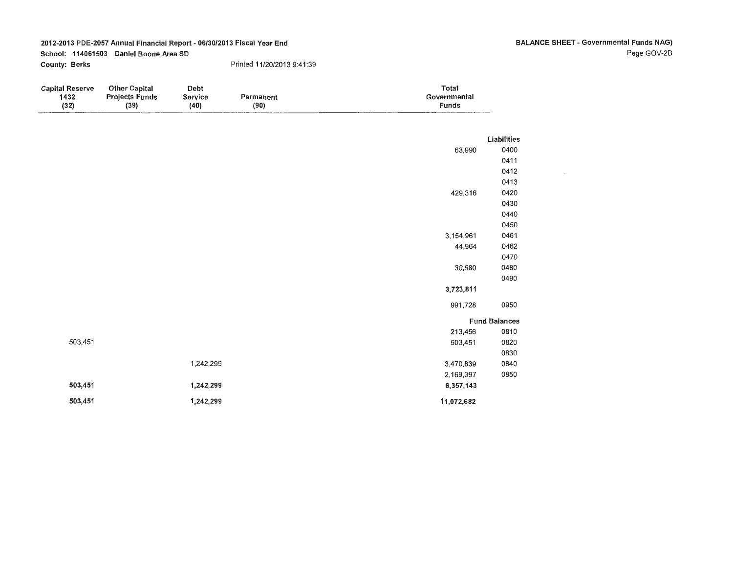School: 114061503 Daniel Boone Area SD

County: Berks Printed 11/20/2013 9:41 :39

|                      | Total<br>Governmental<br>Funds | Permanent<br>(90) | Debt<br>Service<br>(40) | <b>Other Capital</b><br>Projects Funds<br>(39) | <b>Capital Reserve</b><br>1432<br>(32) |
|----------------------|--------------------------------|-------------------|-------------------------|------------------------------------------------|----------------------------------------|
| <b>Liabilities</b>   |                                |                   |                         |                                                |                                        |
| 0400                 | 63,990                         |                   |                         |                                                |                                        |
| 0411                 |                                |                   |                         |                                                |                                        |
| 0412                 |                                |                   |                         |                                                |                                        |
| 0413                 |                                |                   |                         |                                                |                                        |
| 0420                 | 429,316                        |                   |                         |                                                |                                        |
| 0430                 |                                |                   |                         |                                                |                                        |
| 0440                 |                                |                   |                         |                                                |                                        |
| 0450                 |                                |                   |                         |                                                |                                        |
| 0461                 | 3,154,961                      |                   |                         |                                                |                                        |
| 0462                 | 44,964                         |                   |                         |                                                |                                        |
| 0470                 |                                |                   |                         |                                                |                                        |
| 0480                 | 30,580                         |                   |                         |                                                |                                        |
| 0490                 |                                |                   |                         |                                                |                                        |
|                      | 3,723,811                      |                   |                         |                                                |                                        |
| 0950                 | 991,728                        |                   |                         |                                                |                                        |
| <b>Fund Balances</b> |                                |                   |                         |                                                |                                        |
| 0810                 | 213,456                        |                   |                         |                                                |                                        |
| 0820                 | 503,451                        |                   |                         |                                                | 503,451                                |
| 0830                 |                                |                   |                         |                                                |                                        |
| 0840                 | 3,470,839                      |                   | 1,242,299               |                                                |                                        |
| 0850                 | 2,169,397                      |                   |                         |                                                |                                        |
|                      | 6,357,143                      |                   | 1,242,299               |                                                | 503,451                                |
|                      | 11,072,682                     |                   | 1,242,299               |                                                | 503,451                                |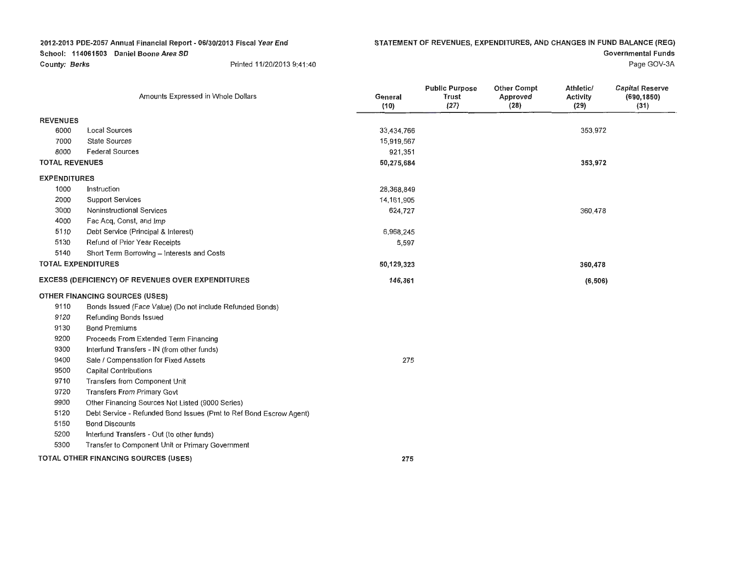# **School: 114061503 Daniel Boone Area SD**

**County: Berks** Printed 11/20/2013 9:41 :40

STATEMENT OF REVENUES, EXPENDITURES, AND CHANGES IN FUND BALANCE (REG)

Governmental Funds Page GOV-3A

|                           | Amounts Expressed in Whole Dollars                                 | General<br>(10) | <b>Public Purpose</b><br><b>Trust</b><br>(27) | <b>Other Compt</b><br>Approved<br>(28) | Athletic/<br>Activity<br>(29) | <b>Capital Reserve</b><br>(690, 1850)<br>(31) |
|---------------------------|--------------------------------------------------------------------|-----------------|-----------------------------------------------|----------------------------------------|-------------------------------|-----------------------------------------------|
| <b>REVENUES</b>           |                                                                    |                 |                                               |                                        |                               |                                               |
| 6000                      | <b>Local Sources</b>                                               | 33,434,766      |                                               |                                        | 353,972                       |                                               |
| 7000                      | <b>State Sources</b>                                               | 15,919,567      |                                               |                                        |                               |                                               |
| 8000                      | <b>Federal Sources</b>                                             | 921,351         |                                               |                                        |                               |                                               |
| <b>TOTAL REVENUES</b>     |                                                                    | 50,275,684      |                                               |                                        | 353,972                       |                                               |
| <b>EXPENDITURES</b>       |                                                                    |                 |                                               |                                        |                               |                                               |
| 1000                      | Instruction                                                        | 28,368,849      |                                               |                                        |                               |                                               |
| 2000                      | <b>Support Services</b>                                            | 14,161,905      |                                               |                                        |                               |                                               |
| 3000                      | Noninstructional Services                                          | 624,727         |                                               |                                        | 360,478                       |                                               |
| 4000                      | Fac Acq, Const, and Imp                                            |                 |                                               |                                        |                               |                                               |
| 5110                      | Debt Service (Principal & Interest)                                | 6,968,245       |                                               |                                        |                               |                                               |
| 5130                      | Refund of Prior Year Receipts                                      | 5,597           |                                               |                                        |                               |                                               |
| 5140                      | Short Term Borrowing - Interests and Costs                         |                 |                                               |                                        |                               |                                               |
| <b>TOTAL EXPENDITURES</b> |                                                                    | 50,129,323      |                                               |                                        | 360,478                       |                                               |
|                           | <b>EXCESS (DEFICIENCY) OF REVENUES OVER EXPENDITURES</b>           | 146,361         |                                               |                                        | (6, 506)                      |                                               |
|                           | OTHER FINANCING SOURCES (USES)                                     |                 |                                               |                                        |                               |                                               |
| 9110                      | Bonds Issued (Face Value) (Do not include Refunded Bonds)          |                 |                                               |                                        |                               |                                               |
| 9120                      | Refunding Bonds Issued                                             |                 |                                               |                                        |                               |                                               |
| 9130                      | <b>Bond Premiums</b>                                               |                 |                                               |                                        |                               |                                               |
| 9200                      | Proceeds From Extended Term Financing                              |                 |                                               |                                        |                               |                                               |
| 9300                      | Interfund Transfers - IN (from other funds)                        |                 |                                               |                                        |                               |                                               |
| 9400                      | Sale / Compensation for Fixed Assets                               | 275             |                                               |                                        |                               |                                               |
| 9500                      | Capital Contributions                                              |                 |                                               |                                        |                               |                                               |
| 9710                      | Transfers from Component Unit                                      |                 |                                               |                                        |                               |                                               |
| 9720                      | <b>Transfers From Primary Govt</b>                                 |                 |                                               |                                        |                               |                                               |
| 9900                      | Other Financing Sources Not Listed (9000 Series)                   |                 |                                               |                                        |                               |                                               |
| 5120                      | Debt Service - Refunded Bond Issues (Pmt to Ref Bond Escrow Agent) |                 |                                               |                                        |                               |                                               |
| 5150                      | <b>Bond Discounts</b>                                              |                 |                                               |                                        |                               |                                               |
| 5200                      | Interfund Transfers - Out (to other funds)                         |                 |                                               |                                        |                               |                                               |
| 5300                      | Transfer to Component Unit or Primary Government                   |                 |                                               |                                        |                               |                                               |
|                           | <b>TOTAL OTHER FINANCING SOURCES (USES)</b>                        | 275             |                                               |                                        |                               |                                               |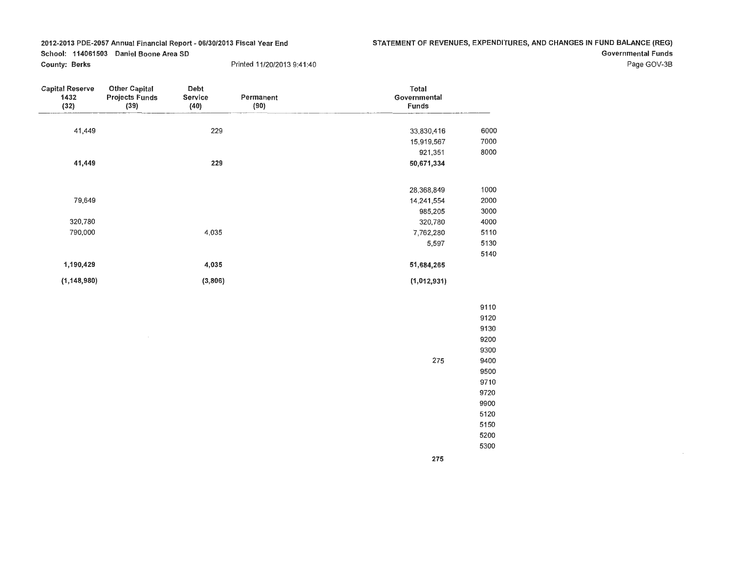School: 114061503 Daniel Boone Area SD

County: Berks

STATEMENT OF REVENUES, EXPENDITURES, AND CHANGES IN FUND BALANCE (REG)

Governmental Funds

Page GOV-3B

| <b>Capital Reserve</b><br>1432<br>(32) | <b>Other Capital</b><br><b>Projects Funds</b><br>(39) | Debt<br>Service<br>Permanent<br>(90)<br>(40) |  | <b>Total</b><br>Governmental<br>Funds |      |
|----------------------------------------|-------------------------------------------------------|----------------------------------------------|--|---------------------------------------|------|
|                                        |                                                       |                                              |  |                                       |      |
| 41,449                                 |                                                       | 229                                          |  | 33,830,416                            | 6000 |
|                                        |                                                       |                                              |  | 15,919,567                            | 7000 |
|                                        |                                                       |                                              |  | 921,351                               | 8000 |
| 41,449                                 |                                                       | 229                                          |  | 50,671,334                            |      |
|                                        |                                                       |                                              |  | 28,368,849                            | 1000 |
| 79,649                                 |                                                       |                                              |  | 14,241,554                            | 2000 |
|                                        |                                                       |                                              |  | 985,205                               | 3000 |
| 320,780                                |                                                       |                                              |  | 320,780                               | 4000 |
| 790,000                                |                                                       | 4,035                                        |  | 7,762,280                             | 5110 |
|                                        |                                                       |                                              |  | 5,597                                 | 5130 |
|                                        |                                                       |                                              |  |                                       | 5140 |
| 1,190,429                              |                                                       | 4,035                                        |  | 51,684,265                            |      |
| (1, 148, 980)                          |                                                       | (3,806)                                      |  | (1,012,931)                           |      |

Printed 11/20/2013 9:41 :40

|     | 9110 |
|-----|------|
|     | 9120 |
|     | 9130 |
|     | 9200 |
|     | 9300 |
| 275 | 9400 |
|     | 9500 |
|     | 9710 |
|     | 9720 |
|     | 9900 |
|     | 5120 |
|     | 5150 |
|     | 5200 |
|     | 5300 |
|     |      |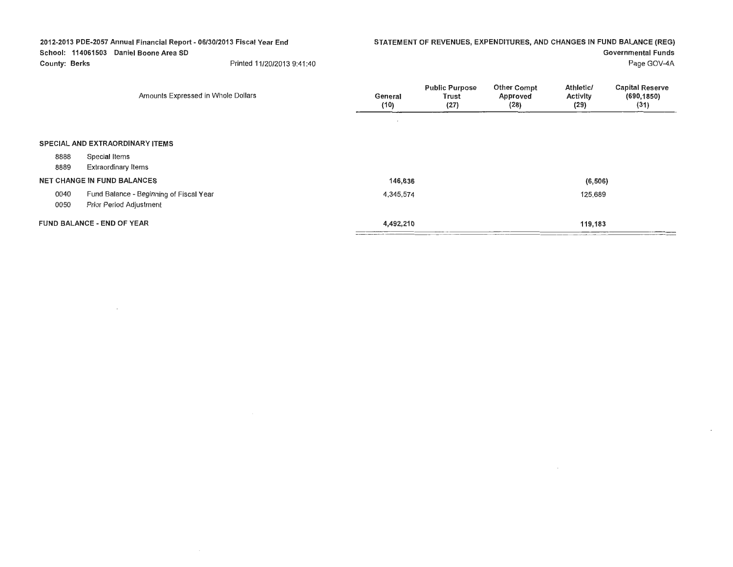| 2012-2013 PDE-2057 Annual Financial Report - 06/30/2013 Fiscal Year End |                                                                           |                            | STATEMENT OF REVENUES, EXPENDITURES, AND CHANGES IN FUND BALANCE (REG) |                                        |                                        |                               |                                               |  |
|-------------------------------------------------------------------------|---------------------------------------------------------------------------|----------------------------|------------------------------------------------------------------------|----------------------------------------|----------------------------------------|-------------------------------|-----------------------------------------------|--|
|                                                                         | School: 114061503 Daniel Boone Area SD                                    |                            |                                                                        |                                        |                                        |                               | <b>Governmental Funds</b>                     |  |
| <b>County: Berks</b>                                                    |                                                                           | Printed 11/20/2013 9:41:40 |                                                                        |                                        |                                        |                               | Page GOV-4A                                   |  |
|                                                                         | Amounts Expressed in Whole Dollars                                        |                            | General<br>(10)                                                        | <b>Public Purpose</b><br>Trust<br>(27) | <b>Other Compt</b><br>Approved<br>(28) | Athletic/<br>Activity<br>(29) | <b>Capital Reserve</b><br>(690, 1850)<br>(31) |  |
|                                                                         |                                                                           |                            |                                                                        |                                        |                                        |                               |                                               |  |
|                                                                         | SPECIAL AND EXTRAORDINARY ITEMS                                           |                            |                                                                        |                                        |                                        |                               |                                               |  |
| 8888                                                                    | Special Items                                                             |                            |                                                                        |                                        |                                        |                               |                                               |  |
| 8889                                                                    | Extraordinary Items                                                       |                            |                                                                        |                                        |                                        |                               |                                               |  |
| <b>NET CHANGE IN FUND BALANCES</b>                                      |                                                                           |                            | 146,636                                                                |                                        | (6, 506)                               |                               |                                               |  |
| 0040<br>0050                                                            | Fund Balance - Beginning of Fiscal Year<br><b>Prior Period Adjustment</b> |                            | 4,345,574                                                              |                                        |                                        | 125,689                       |                                               |  |
|                                                                         | FUND BALANCE - END OF YEAR                                                |                            | 4,492,210                                                              |                                        |                                        | 119,183                       |                                               |  |

 $\sim$ 

\_\_\_\_\_\_

 $\sim$   $\sim$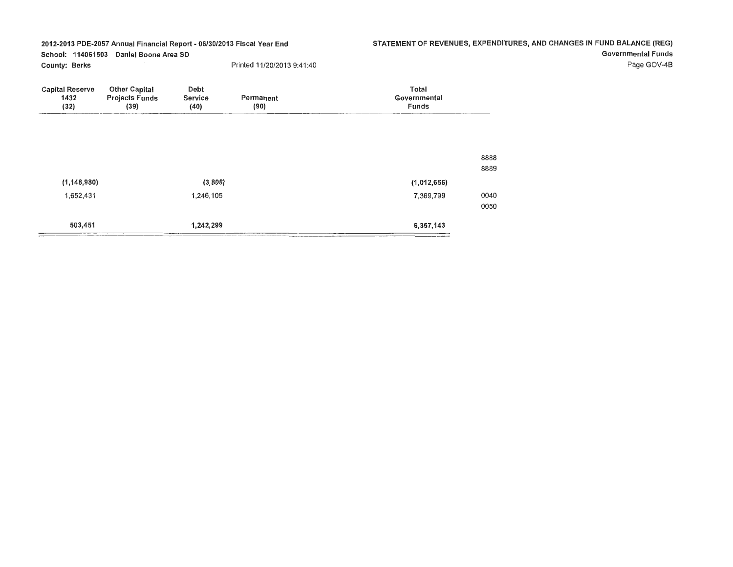#### School: 114061503 Daniel Boone Area SD

County: Berks

### STATEMENT OF REVENUES, EXPENDITURES, AND CHANGES IN FUND BALANCE (REG)

Governmental Funds

Page GOV-4B

|              | <b>Total</b><br>Governmental<br><b>Funds</b> | Permanent<br>(90) | Debt<br>Service<br>(40) | <b>Other Capital</b><br><b>Projects Funds</b><br>(39) | <b>Capital Reserve</b><br>1432<br>(32) |  |
|--------------|----------------------------------------------|-------------------|-------------------------|-------------------------------------------------------|----------------------------------------|--|
| 8888<br>8889 |                                              |                   |                         |                                                       |                                        |  |
|              | (1,012,656)                                  |                   | (3,806)                 |                                                       | (1, 148, 980)                          |  |
| 0040<br>0050 | 7,369,799                                    |                   | 1,246,105               |                                                       | 1,652,431                              |  |
|              | 6,357,143                                    |                   | 1,242,299               |                                                       | 503,451                                |  |

Printed 11/20/2013 9:41 :40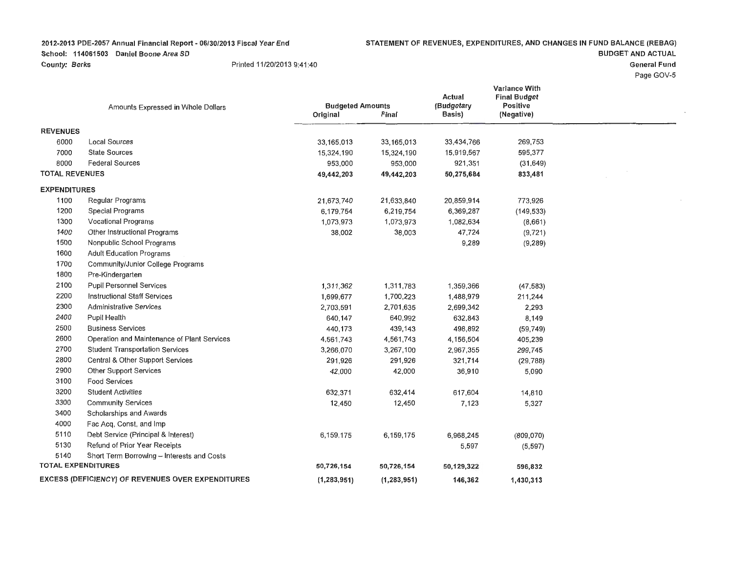### **STATEMENT OF REVENUES, EXPENDITURES, AND CHANGES IN FUND BALANCE (REBAG)**

School: 114061503 Daniel Boone Area SD

**County: Berks** Printed 11/20/2013 9:41 :40

**BUDGET AND ACTUAL General Fund** 

Page GOV-5

 $\cdot$ 

|                           |                                                   |                         |               | Actual     | Variance With<br><b>Final Budget</b> |  |
|---------------------------|---------------------------------------------------|-------------------------|---------------|------------|--------------------------------------|--|
|                           | Amounts Expressed in Whole Dollars                | <b>Budgeted Amounts</b> |               | (Budgetary | <b>Positive</b>                      |  |
|                           |                                                   | Original                | Final         | Basis)     | (Negative)                           |  |
| <b>REVENUES</b>           |                                                   |                         |               |            |                                      |  |
| 6000                      | <b>Local Sources</b>                              | 33,165,013              | 33,165,013    | 33,434,766 | 269,753                              |  |
| 7000                      | <b>State Sources</b>                              | 15,324,190              | 15,324,190    | 15,919,567 | 595,377                              |  |
| 8000                      | <b>Federal Sources</b>                            | 953,000                 | 953,000       | 921,351    | (31, 649)                            |  |
| <b>TOTAL REVENUES</b>     |                                                   | 49,442,203              | 49,442,203    | 50,275,684 | 833,481                              |  |
|                           |                                                   |                         |               |            |                                      |  |
| <b>EXPENDITURES</b>       |                                                   |                         |               |            |                                      |  |
| 1100                      | Regular Programs                                  | 21,673,740              | 21,633,840    | 20,859,914 | 773,926                              |  |
| 1200                      | <b>Special Programs</b>                           | 6,179,754               | 6,219,754     | 6,369,287  | (149, 533)                           |  |
| 1300                      | <b>Vocational Programs</b>                        | 1,073,973               | 1,073,973     | 1,082,634  | (8,661)                              |  |
| 1400                      | Other Instructional Programs                      | 38,002                  | 38,003        | 47,724     | (9, 721)                             |  |
| 1500                      | Nonpublic School Programs                         |                         |               | 9,289      | (9, 289)                             |  |
| 1600                      | <b>Adult Education Programs</b>                   |                         |               |            |                                      |  |
| 1700                      | Community/Junior College Programs                 |                         |               |            |                                      |  |
| 1800                      | Pre-Kindergarten                                  |                         |               |            |                                      |  |
| 2100                      | <b>Pupil Personnel Services</b>                   | 1,311,362               | 1,311,783     | 1,359,366  | (47, 583)                            |  |
| 2200                      | <b>Instructional Staff Services</b>               | 1,699,677               | 1,700,223     | 1,488,979  | 211,244                              |  |
| 2300                      | <b>Administrative Services</b>                    | 2,703,591               | 2,701,635     | 2,699,342  | 2,293                                |  |
| 2400                      | Pupil Health                                      | 640,147                 | 640,992       | 632,843    | 8,149                                |  |
| 2500                      | <b>Business Services</b>                          | 440,173                 | 439,143       | 498,892    | (59, 749)                            |  |
| 2600                      | Operation and Maintenance of Plant Services       | 4,561,743               | 4,561,743     | 4,156,504  | 405,239                              |  |
| 2700                      | <b>Student Transportation Services</b>            | 3,266,070               | 3,267,100     | 2,967,355  | 299,745                              |  |
| 2800                      | Central & Other Support Services                  | 291,926                 | 291,926       | 321,714    | (29, 788)                            |  |
| 2900                      | Other Support Services                            | 42,000                  | 42,000        | 36,910     | 5,090                                |  |
| 3100                      | <b>Food Services</b>                              |                         |               |            |                                      |  |
| 3200                      | <b>Student Activities</b>                         | 632,371                 | 632,414       | 617,604    | 14,810                               |  |
| 3300                      | <b>Community Services</b>                         | 12,450                  | 12,450        | 7,123      | 5,327                                |  |
| 3400                      | Scholarships and Awards                           |                         |               |            |                                      |  |
| 4000                      | Fac Acq, Const, and Imp                           |                         |               |            |                                      |  |
| 5110                      | Debt Service (Principal & Interest)               | 6,159,175               | 6,159,175     | 6,968,245  | (809,070)                            |  |
| 5130                      | Refund of Prior Year Receipts                     |                         |               | 5,597      | (5, 597)                             |  |
| 5140                      | Short Term Borrowing - Interests and Costs        |                         |               |            |                                      |  |
| <b>TOTAL EXPENDITURES</b> |                                                   | 50,726,154              | 50,726,154    | 50,129,322 | 596,832                              |  |
|                           | EXCESS (DEFICIENCY) OF REVENUES OVER EXPENDITURES | (1, 283, 951)           | (1, 283, 951) | 146,362    | 1,430,313                            |  |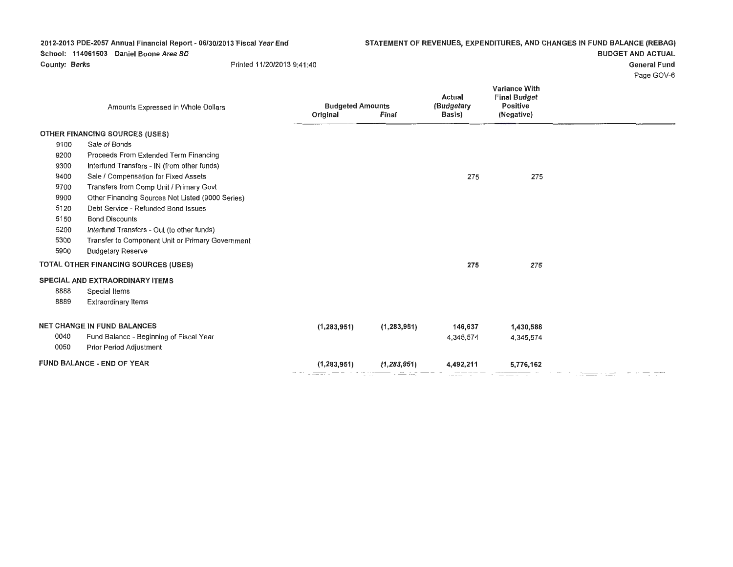# **STATEMENT** OF **REVENUES, EXPENDITURES, AND CHANGES IN FUND BALANCE (REBAG)**

School: 114061503 Daniel Boone Area SD

County: Berks **Printed 11/20/2013** 9:41:40

**General Fund** 

**BUDGET AND ACTUAL** 

Page GOV-6

|      | Amounts Expressed in Whole Dollars               | <b>Budgeted Amounts</b><br>Original | Final         | Actual<br>(Budgetary<br>Basis)                     | <b>Variance With</b><br><b>Final Budget</b><br><b>Positive</b><br>(Negative)                                                |                                                                                                                                                                                                                                                                                                                                                                                                                                                                                                          |  |
|------|--------------------------------------------------|-------------------------------------|---------------|----------------------------------------------------|-----------------------------------------------------------------------------------------------------------------------------|----------------------------------------------------------------------------------------------------------------------------------------------------------------------------------------------------------------------------------------------------------------------------------------------------------------------------------------------------------------------------------------------------------------------------------------------------------------------------------------------------------|--|
|      | OTHER FINANCING SOURCES (USES)                   |                                     |               |                                                    |                                                                                                                             |                                                                                                                                                                                                                                                                                                                                                                                                                                                                                                          |  |
| 9100 | Sale of Bonds                                    |                                     |               |                                                    |                                                                                                                             |                                                                                                                                                                                                                                                                                                                                                                                                                                                                                                          |  |
| 9200 | Proceeds From Extended Term Financing            |                                     |               |                                                    |                                                                                                                             |                                                                                                                                                                                                                                                                                                                                                                                                                                                                                                          |  |
| 9300 | Interfund Transfers - IN (from other funds)      |                                     |               |                                                    |                                                                                                                             |                                                                                                                                                                                                                                                                                                                                                                                                                                                                                                          |  |
| 9400 | Sale / Compensation for Fixed Assets             |                                     |               | 275                                                | 275                                                                                                                         |                                                                                                                                                                                                                                                                                                                                                                                                                                                                                                          |  |
| 9700 | Transfers from Comp Unit / Primary Govt          |                                     |               |                                                    |                                                                                                                             |                                                                                                                                                                                                                                                                                                                                                                                                                                                                                                          |  |
| 9900 | Other Financing Sources Not Listed (9000 Series) |                                     |               |                                                    |                                                                                                                             |                                                                                                                                                                                                                                                                                                                                                                                                                                                                                                          |  |
| 5120 | Debt Service - Refunded Bond Issues              |                                     |               |                                                    |                                                                                                                             |                                                                                                                                                                                                                                                                                                                                                                                                                                                                                                          |  |
| 5150 | <b>Bond Discounts</b>                            |                                     |               |                                                    |                                                                                                                             |                                                                                                                                                                                                                                                                                                                                                                                                                                                                                                          |  |
| 5200 | Interfund Transfers - Out (to other funds)       |                                     |               |                                                    |                                                                                                                             |                                                                                                                                                                                                                                                                                                                                                                                                                                                                                                          |  |
| 5300 | Transfer to Component Unit or Primary Government |                                     |               |                                                    |                                                                                                                             |                                                                                                                                                                                                                                                                                                                                                                                                                                                                                                          |  |
| 5900 | <b>Budgetary Reserve</b>                         |                                     |               |                                                    |                                                                                                                             |                                                                                                                                                                                                                                                                                                                                                                                                                                                                                                          |  |
|      | TOTAL OTHER FINANCING SOURCES (USES)             |                                     |               | 275                                                | 275                                                                                                                         |                                                                                                                                                                                                                                                                                                                                                                                                                                                                                                          |  |
|      | <b>SPECIAL AND EXTRAORDINARY ITEMS</b>           |                                     |               |                                                    |                                                                                                                             |                                                                                                                                                                                                                                                                                                                                                                                                                                                                                                          |  |
| 8888 | Special Items                                    |                                     |               |                                                    |                                                                                                                             |                                                                                                                                                                                                                                                                                                                                                                                                                                                                                                          |  |
| 8889 | <b>Extraordinary Items</b>                       |                                     |               |                                                    |                                                                                                                             |                                                                                                                                                                                                                                                                                                                                                                                                                                                                                                          |  |
|      | <b>NET CHANGE IN FUND BALANCES</b>               | (1, 283, 951)                       | (1, 283, 951) | 146,637                                            | 1,430,588                                                                                                                   |                                                                                                                                                                                                                                                                                                                                                                                                                                                                                                          |  |
| 0040 | Fund Balance - Beginning of Fiscal Year          |                                     |               | 4.345,574                                          | 4,345,574                                                                                                                   |                                                                                                                                                                                                                                                                                                                                                                                                                                                                                                          |  |
| 0050 | Prior Period Adjustment                          |                                     |               |                                                    |                                                                                                                             |                                                                                                                                                                                                                                                                                                                                                                                                                                                                                                          |  |
|      | <b>FUND BALANCE - END OF YEAR</b>                | (1, 283, 951)                       | (1, 283, 951) | 4,492,211                                          | 5,776,162                                                                                                                   |                                                                                                                                                                                                                                                                                                                                                                                                                                                                                                          |  |
|      |                                                  |                                     |               | $\cdots \cdots \cdots \cdots \cdots \cdots \cdots$ | $\mathcal{L}^{\mathcal{A}}(x) = \mathcal{L}^{\mathcal{A}}(x) = \mathcal{L}^{\mathcal{A}}(x) = \mathcal{L}^{\mathcal{A}}(x)$ | $\begin{aligned} \begin{array}{c} \text{if } \mathcal{L} \text{ is } \mathcal{L} \text{ is } \mathcal{L} \text{ is } \mathcal{L} \text{ is } \mathcal{L} \text{ is } \mathcal{L} \text{ is } \mathcal{L} \text{ is } \mathcal{L} \text{ is } \mathcal{L} \text{ is } \mathcal{L} \text{ is } \mathcal{L} \text{ is } \mathcal{L} \text{ is } \mathcal{L} \text{ is } \mathcal{L} \text{ is } \mathcal{L} \text{ is } \mathcal{L} \text{ is } \mathcal{L} \text{ is } \mathcal{L} \text{ is } \mathcal{L$ |  |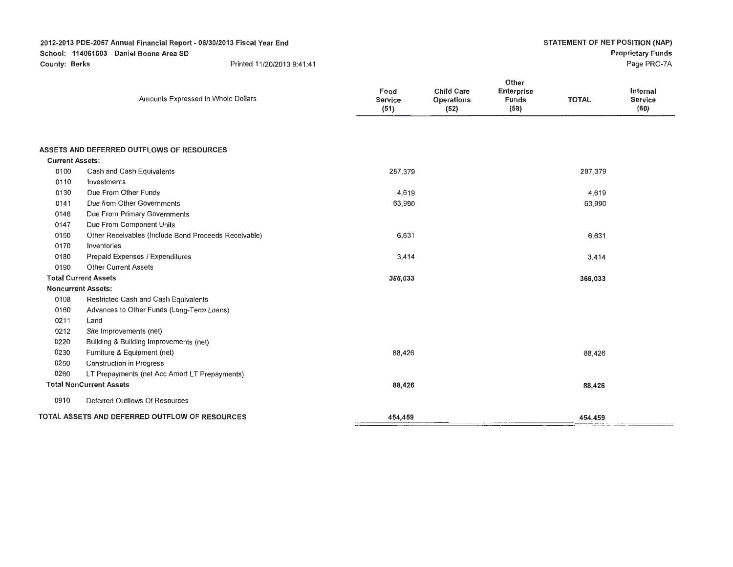**School: 114061503 Daniel Boone Area SD** 

**County: Berks** Printed 11/20/2013 9:41 :41

Page PRO-7A

|                        | Amounts Expressed in Whole Dollars                   | Food<br><b>Service</b><br>(51) | <b>Child Care</b><br><b>Operations</b><br>(52) | Other<br>Enterprise<br><b>Funds</b><br>(58) | <b>TOTAL</b> | Internal<br><b>Service</b><br>(60) |
|------------------------|------------------------------------------------------|--------------------------------|------------------------------------------------|---------------------------------------------|--------------|------------------------------------|
|                        |                                                      |                                |                                                |                                             |              |                                    |
|                        | ASSETS AND DEFERRED OUTFLOWS OF RESOURCES            |                                |                                                |                                             |              |                                    |
| <b>Current Assets:</b> |                                                      |                                |                                                |                                             |              |                                    |
| 0100                   | Cash and Cash Equivalents                            | 287,379                        |                                                |                                             | 287,379      |                                    |
| 0110                   | Investments                                          |                                |                                                |                                             |              |                                    |
| 0130                   | Due From Other Funds                                 | 4,619                          |                                                |                                             | 4,619        |                                    |
| 0141                   | Due from Other Governments                           | 63,990                         |                                                |                                             | 63,990       |                                    |
| 0146                   | Due From Primary Governments                         |                                |                                                |                                             |              |                                    |
| 0147                   | Due From Component Units                             |                                |                                                |                                             |              |                                    |
| 0150                   | Other Receivables (Include Bond Proceeds Receivable) | 6,631                          |                                                |                                             | 6,631        |                                    |
| 0170                   | Inventories                                          |                                |                                                |                                             |              |                                    |
| 0180                   | Prepaid Expenses / Expenditures                      | 3,414                          |                                                |                                             | 3,414        |                                    |
| 0190                   | <b>Other Current Assets</b>                          |                                |                                                |                                             |              |                                    |
|                        | <b>Total Current Assets</b>                          | 366,033                        |                                                |                                             | 366,033      |                                    |
|                        | <b>Noncurrent Assets:</b>                            |                                |                                                |                                             |              |                                    |
| 0108                   | Restricted Cash and Cash Equivalents                 |                                |                                                |                                             |              |                                    |
| 0160                   | Advances to Other Funds (Long-Term Loans)            |                                |                                                |                                             |              |                                    |
| 0211                   | Land                                                 |                                |                                                |                                             |              |                                    |
| 0212                   | Site Improvements (net)                              |                                |                                                |                                             |              |                                    |
| 0220                   | Building & Building Improvements (net)               |                                |                                                |                                             |              |                                    |
| 0230                   | Furniture & Equipment (net)                          | 88,426                         |                                                |                                             | 88,426       |                                    |
| 0250                   | <b>Construction in Progress</b>                      |                                |                                                |                                             |              |                                    |
| 0260                   | LT Prepayments (net Acc Amort LT Prepayments)        |                                |                                                |                                             |              |                                    |
|                        | <b>Total NonCurrent Assets</b>                       | 88,426                         |                                                |                                             | 88,426       |                                    |
| 0910                   | Deferred Outflows Of Resources                       |                                |                                                |                                             |              |                                    |
|                        | TOTAL ASSETS AND DEFERRED OUTFLOW OF RESOURCES       | 454,459                        |                                                |                                             | 454,459      |                                    |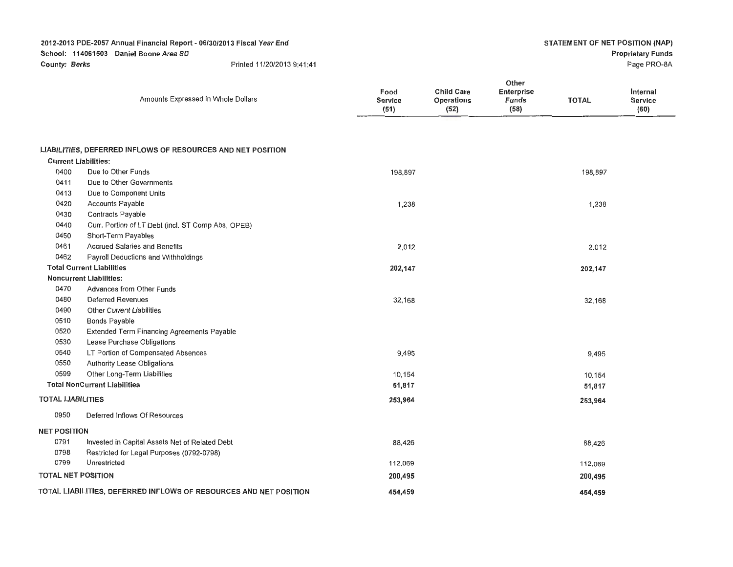School: 114061503 Daniel Boone Area SD

County: Berks **Printed 11/20/2013 9:41:41** 

Page PRO-8A

|                             | Amounts Expressed in Whole Dollars                                      | Food<br><b>Service</b><br>(51) | <b>Child Care</b><br>Operations<br>(52) | Other<br>Enterprise<br>Funds<br>(58) | <b>TOTAL</b> | Internal<br><b>Service</b><br>(60) |
|-----------------------------|-------------------------------------------------------------------------|--------------------------------|-----------------------------------------|--------------------------------------|--------------|------------------------------------|
|                             |                                                                         |                                |                                         |                                      |              |                                    |
|                             | LIABILITIES, DEFERRED INFLOWS OF RESOURCES AND NET POSITION             |                                |                                         |                                      |              |                                    |
| <b>Current Liabilities:</b> |                                                                         |                                |                                         |                                      |              |                                    |
| 0400                        | Due to Other Funds                                                      | 198,897                        |                                         |                                      | 198,897      |                                    |
| 0411                        | Due to Other Governments                                                |                                |                                         |                                      |              |                                    |
| 0413                        | Due to Component Units                                                  |                                |                                         |                                      |              |                                    |
| 0420                        | Accounts Payable                                                        | 1,238                          |                                         |                                      | 1,238        |                                    |
| 0430                        | Contracts Payable                                                       |                                |                                         |                                      |              |                                    |
| 0440                        | Curr. Portion of LT Debt (incl. ST Comp Abs, OPEB)                      |                                |                                         |                                      |              |                                    |
| 0450                        | Short-Term Payables                                                     |                                |                                         |                                      |              |                                    |
| 0461                        | <b>Accrued Salaries and Benefits</b>                                    | 2,012                          |                                         |                                      | 2,012        |                                    |
| 0462                        | Payroll Deductions and Withholdings<br><b>Total Current Liabilities</b> |                                |                                         |                                      |              |                                    |
|                             |                                                                         | 202,147                        |                                         |                                      | 202,147      |                                    |
|                             | <b>Noncurrent Liabilities:</b><br>Advances from Other Funds             |                                |                                         |                                      |              |                                    |
| 0470                        |                                                                         |                                |                                         |                                      |              |                                    |
| 0480                        | <b>Deferred Revenues</b>                                                | 32,168                         |                                         |                                      | 32,168       |                                    |
| 0490                        | <b>Other Current Liabilities</b>                                        |                                |                                         |                                      |              |                                    |
| 0510                        | <b>Bonds Payable</b>                                                    |                                |                                         |                                      |              |                                    |
| 0520                        | Extended Term Financing Agreements Payable                              |                                |                                         |                                      |              |                                    |
| 0530                        | Lease Purchase Obligations                                              |                                |                                         |                                      |              |                                    |
| 0540                        | LT Portion of Compensated Absences                                      | 9,495                          |                                         |                                      | 9,495        |                                    |
| 0550                        | Authority Lease Obligations                                             |                                |                                         |                                      |              |                                    |
| 0599                        | Other Long-Term Liabilities                                             | 10,154                         |                                         |                                      | 10,154       |                                    |
|                             | <b>Total NonCurrent Liabilities</b>                                     | 51,817                         |                                         |                                      | 51,817       |                                    |
| <b>TOTAL LIABILITIES</b>    |                                                                         | 253,964                        |                                         |                                      | 253,964      |                                    |
| 0950                        | Deferred Inflows Of Resources                                           |                                |                                         |                                      |              |                                    |
| <b>NET POSITION</b>         |                                                                         |                                |                                         |                                      |              |                                    |
| 0791                        | Invested in Capital Assets Net of Related Debt                          | 88,426                         |                                         |                                      | 88,426       |                                    |
| 0798                        | Restricted for Legal Purposes (0792-0798)                               |                                |                                         |                                      |              |                                    |
| 0799                        | Unrestricted                                                            | 112,069                        |                                         |                                      | 112,069      |                                    |
| <b>TOTAL NET POSITION</b>   |                                                                         | 200,495                        |                                         |                                      | 200,495      |                                    |
|                             | TOTAL LIABILITIES, DEFERRED INFLOWS OF RESOURCES AND NET POSITION       | 454,459                        |                                         |                                      | 454,459      |                                    |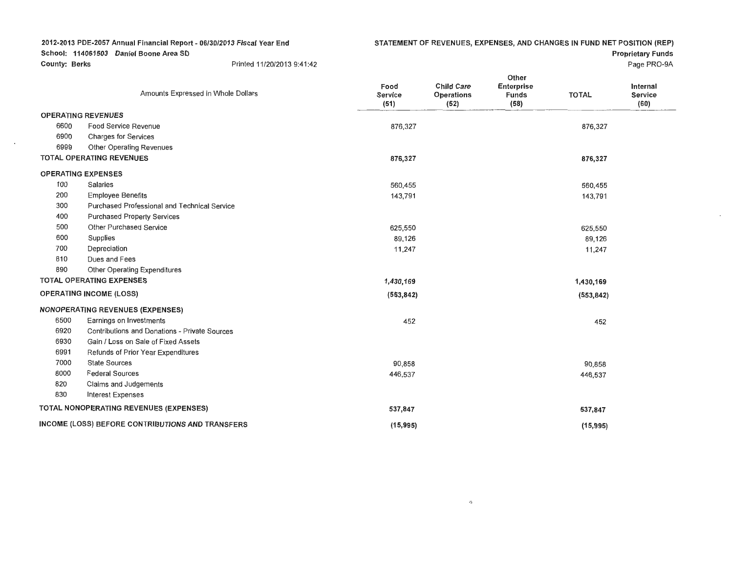#### School: 114061503 Daniel Boone Area SD

 $\sim$ 

County: Berks Printed 11/20/2013 9:41:42

**STATEMENT OF REVENUES, EXPENSES, AND CHANGES IN FUND NET POSITION (REP)** 

 $\alpha$ 

**Proprietary Funds**  Page PRO-9A

|                           |                                                  |                         |                                         | Other                                     |              |                             |
|---------------------------|--------------------------------------------------|-------------------------|-----------------------------------------|-------------------------------------------|--------------|-----------------------------|
|                           | Amounts Expressed in Whole Dollars               | Food<br>Service<br>(51) | <b>Child Care</b><br>Operations<br>(52) | <b>Enterprise</b><br><b>Funds</b><br>(58) | <b>TOTAL</b> | Internal<br>Service<br>(60) |
| <b>OPERATING REVENUES</b> |                                                  |                         |                                         |                                           |              |                             |
| 6600                      | Food Service Revenue                             | 876,327                 |                                         |                                           | 876,327      |                             |
| 6900                      | <b>Charges for Services</b>                      |                         |                                         |                                           |              |                             |
| 6999                      | Other Operating Revenues                         |                         |                                         |                                           |              |                             |
|                           | TOTAL OPERATING REVENUES                         | 876,327                 |                                         |                                           | 876,327      |                             |
| <b>OPERATING EXPENSES</b> |                                                  |                         |                                         |                                           |              |                             |
| 100                       | Salaries                                         | 560,455                 |                                         |                                           | 560,455      |                             |
| 200                       | <b>Employee Benefits</b>                         | 143,791                 |                                         |                                           | 143,791      |                             |
| 300                       | Purchased Professional and Technical Service     |                         |                                         |                                           |              |                             |
| 400                       | <b>Purchased Property Services</b>               |                         |                                         |                                           |              |                             |
| 500                       | Other Purchased Service                          | 625,550                 |                                         |                                           | 625,550      |                             |
| 600                       | Supplies                                         | 89,126                  |                                         |                                           | 89,126       |                             |
| 700                       | Depreciation                                     | 11,247                  |                                         |                                           | 11,247       |                             |
| 810                       | Dues and Fees                                    |                         |                                         |                                           |              |                             |
| 890                       | Other Operating Expenditures                     |                         |                                         |                                           |              |                             |
|                           | <b>TOTAL OPERATING EXPENSES</b>                  | 1,430,169               |                                         |                                           | 1,430,169    |                             |
|                           | <b>OPERATING INCOME (LOSS)</b>                   | (553, 842)              |                                         |                                           | (553, 842)   |                             |
|                           | <b>NONOPERATING REVENUES (EXPENSES)</b>          |                         |                                         |                                           |              |                             |
| 6500                      | Earnings on Investments                          | 452                     |                                         |                                           | 452          |                             |
| 6920                      | Contributions and Donations - Private Sources    |                         |                                         |                                           |              |                             |
| 6930                      | Gain / Loss on Sale of Fixed Assets              |                         |                                         |                                           |              |                             |
| 6991                      | Refunds of Prior Year Expenditures               |                         |                                         |                                           |              |                             |
| 7000                      | <b>State Sources</b>                             | 90,858                  |                                         |                                           | 90,858       |                             |
| 8000                      | <b>Federal Sources</b>                           | 446,537                 |                                         |                                           | 446,537      |                             |
| 820                       | Claims and Judgements                            |                         |                                         |                                           |              |                             |
| 830                       | <b>Interest Expenses</b>                         |                         |                                         |                                           |              |                             |
|                           | TOTAL NONOPERATING REVENUES (EXPENSES)           | 537,847                 |                                         |                                           | 537,847      |                             |
|                           | INCOME (LOSS) BEFORE CONTRIBUTIONS AND TRANSFERS | (15,995)                |                                         |                                           | (15, 995)    |                             |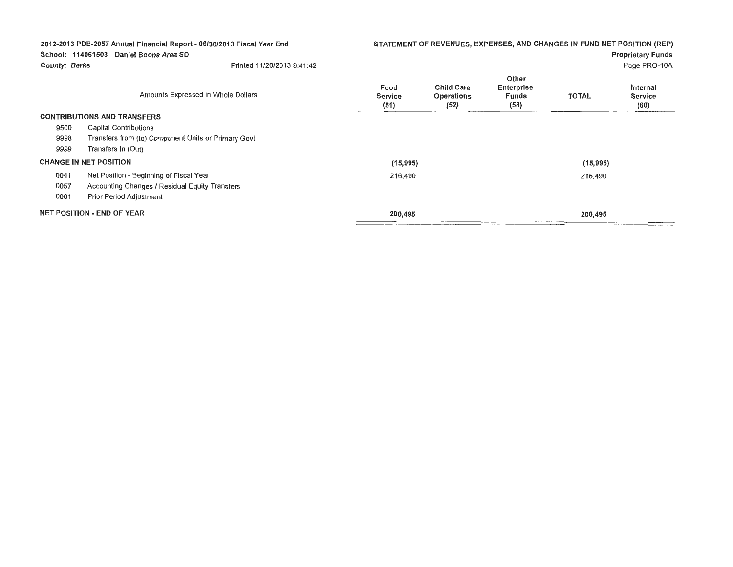| 2012-2013 PDE-2057 Annual Financial Report - 06/30/2013 Fiscal Year End |                                                     | STATEMENT OF REVENUES, EXPENSES, AND CHANGES IN FUND NET POSITION (REP) |                                         |                                             |              |                                    |  |
|-------------------------------------------------------------------------|-----------------------------------------------------|-------------------------------------------------------------------------|-----------------------------------------|---------------------------------------------|--------------|------------------------------------|--|
|                                                                         | School: 114061503 Daniel Boone Area SD              |                                                                         |                                         |                                             |              | <b>Proprietary Funds</b>           |  |
| <b>County: Berks</b>                                                    | Printed 11/20/2013 9:41:42                          |                                                                         |                                         |                                             |              | Page PRO-10A                       |  |
|                                                                         | Amounts Expressed in Whole Dollars                  | Food<br><b>Service</b><br>(51)                                          | Child Care<br><b>Operations</b><br>(52) | Other<br>Enterprise<br><b>Funds</b><br>(58) | <b>TOTAL</b> | Internal<br><b>Service</b><br>(60) |  |
|                                                                         | <b>CONTRIBUTIONS AND TRANSFERS</b>                  |                                                                         |                                         |                                             |              |                                    |  |
| 9500                                                                    | Capital Contributions                               |                                                                         |                                         |                                             |              |                                    |  |
| 9998                                                                    | Transfers from (to) Component Units or Primary Govt |                                                                         |                                         |                                             |              |                                    |  |
| 9999                                                                    | Transfers In (Out)                                  |                                                                         |                                         |                                             |              |                                    |  |
|                                                                         | <b>CHANGE IN NET POSITION</b>                       | (15, 995)                                                               |                                         |                                             | (15, 995)    |                                    |  |
| 0041                                                                    | Net Position - Beginning of Fiscal Year             | 216,490                                                                 |                                         |                                             | 216,490      |                                    |  |
| 0057                                                                    | Accounting Changes / Residual Equity Transfers      |                                                                         |                                         |                                             |              |                                    |  |
| 0061                                                                    | Prior Period Adjustment                             |                                                                         |                                         |                                             |              |                                    |  |
| <b>NET POSITION - END OF YEAR</b>                                       |                                                     | 200,495                                                                 |                                         |                                             | 200,495      |                                    |  |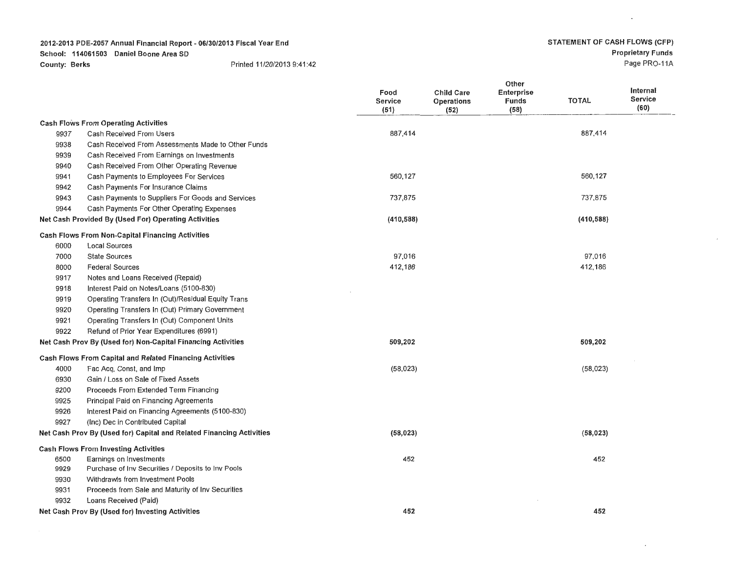#### School: 114061503 Daniel Boone Area SD

County: Berks **Printed 11/20/2013 9:41:42** 

 $\mathcal{L}^{\mathcal{L}}$ 

Page PRO-11A

 $\epsilon$ 

|      |                                                                      | Food<br>Service<br>(51) | <b>Child Care</b><br><b>Operations</b><br>(52) | Other<br>Enterprise<br>Funds<br>(58) | <b>TOTAL</b> | Internal<br>Service<br>(60) |
|------|----------------------------------------------------------------------|-------------------------|------------------------------------------------|--------------------------------------|--------------|-----------------------------|
|      | <b>Cash Flows From Operating Activities</b>                          |                         |                                                |                                      |              |                             |
| 9937 | Cash Received From Users                                             | 887,414                 |                                                |                                      | 887,414      |                             |
| 9938 | Cash Received From Assessments Made to Other Funds                   |                         |                                                |                                      |              |                             |
| 9939 | Cash Received From Earnings on Investments                           |                         |                                                |                                      |              |                             |
| 9940 | Cash Received From Other Operating Revenue                           |                         |                                                |                                      |              |                             |
| 9941 | Cash Payments to Employees For Services                              | 560,127                 |                                                |                                      | 560,127      |                             |
| 9942 | Cash Payments For Insurance Claims                                   |                         |                                                |                                      |              |                             |
| 9943 | Cash Payments to Suppliers For Goods and Services                    | 737,875                 |                                                |                                      | 737,875      |                             |
| 9944 | Cash Payments For Other Operating Expenses                           |                         |                                                |                                      |              |                             |
|      | Net Cash Provided By (Used For) Operating Activities                 | (410, 588)              |                                                |                                      | (410, 588)   |                             |
|      | <b>Cash Flows From Non-Capital Financing Activities</b>              |                         |                                                |                                      |              |                             |
| 6000 | <b>Local Sources</b>                                                 |                         |                                                |                                      |              |                             |
| 7000 | <b>State Sources</b>                                                 | 97,016                  |                                                |                                      | 97,016       |                             |
| 8000 | <b>Federal Sources</b>                                               | 412,186                 |                                                |                                      | 412,186      |                             |
| 9917 | Notes and Loans Received (Repaid)                                    |                         |                                                |                                      |              |                             |
| 9918 | Interest Paid on Notes/Loans (5100-830)                              |                         |                                                |                                      |              |                             |
| 9919 | Operating Transfers In (Out)/Residual Equity Trans                   |                         |                                                |                                      |              |                             |
| 9920 | Operating Transfers In (Out) Primary Government                      |                         |                                                |                                      |              |                             |
| 9921 | Operating Transfers In (Out) Component Units                         |                         |                                                |                                      |              |                             |
| 9922 | Refund of Prior Year Expenditures (6991)                             |                         |                                                |                                      |              |                             |
|      | Net Cash Prov By (Used for) Non-Capital Financing Activities         | 509,202                 |                                                |                                      | 509,202      |                             |
|      | Cash Flows From Capital and Related Financing Activities             |                         |                                                |                                      |              |                             |
| 4000 | Fac Acq, Const, and Imp                                              | (58, 023)               |                                                |                                      | (58, 023)    |                             |
| 6930 | Gain / Loss on Sale of Fixed Assets                                  |                         |                                                |                                      |              |                             |
| 9200 | Proceeds From Extended Term Financing                                |                         |                                                |                                      |              |                             |
| 9925 | Principal Paid on Financing Agreements                               |                         |                                                |                                      |              |                             |
| 9926 | Interest Paid on Financing Agreements (5100-830)                     |                         |                                                |                                      |              |                             |
| 9927 | (Inc) Dec in Contributed Capital                                     |                         |                                                |                                      |              |                             |
|      | Net Cash Prov By (Used for) Capital and Related Financing Activities | (58, 023)               |                                                |                                      | (58, 023)    |                             |
|      | <b>Cash Flows From Investing Activities</b>                          |                         |                                                |                                      |              |                             |
| 6500 | Earnings on Investments                                              | 452                     |                                                |                                      | 452          |                             |
| 9929 | Purchase of Inv Securities / Deposits to Inv Pools                   |                         |                                                |                                      |              |                             |
| 9930 | Withdrawls from Investment Pools                                     |                         |                                                |                                      |              |                             |
| 9931 | Proceeds from Sale and Maturity of Inv Securities                    |                         |                                                |                                      |              |                             |
| 9932 | Loans Received (Paid)                                                |                         |                                                |                                      |              |                             |
|      | Net Cash Prov By (Used for) Investing Activities                     | 452                     |                                                |                                      | 452          |                             |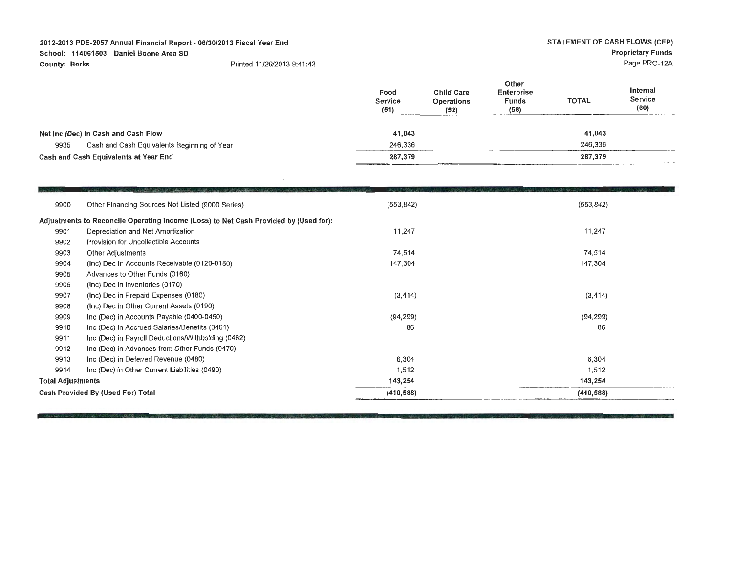School: 114061503 Daniel Boone Area SD

County: Berks **Printed 11/20/2013 9:41:42** 

| Page PR( |  |
|----------|--|
|          |  |

Service and the service of the service of the service of the service of the service of the service of the service of the service of the service of the service of the service of the service of the service of the service of

|                                                     | Food<br>Service<br>(51) | <b>Child Care</b><br><b>Operations</b><br>(52) | Other<br>Enterprise<br><b>Funds</b><br>(58) | <b>TOTAL</b> | Internal<br>Service<br>(60) |  |
|-----------------------------------------------------|-------------------------|------------------------------------------------|---------------------------------------------|--------------|-----------------------------|--|
| Net Inc (Dec) in Cash and Cash Flow                 | 41.043                  |                                                |                                             | 41,043       |                             |  |
| Cash and Cash Equivalents Beginning of Year<br>9935 | 246,336                 |                                                |                                             | 246,336      |                             |  |
| Cash and Cash Equivalents at Year End               | 287,379                 |                                                |                                             | 287,379      |                             |  |

| 9900                     | Other Financing Sources Not Listed (9000 Series)                                     | (553, 842) | (553, 842) |
|--------------------------|--------------------------------------------------------------------------------------|------------|------------|
|                          | Adjustments to Reconcile Operating Income (Loss) to Net Cash Provided by (Used for): |            |            |
| 9901                     | Depreciation and Net Amortization                                                    | 11,247     | 11,247     |
| 9902                     | Provision for Uncollectible Accounts                                                 |            |            |
| 9903                     | Other Adjustments                                                                    | 74,514     | 74,514     |
| 9904                     | (Inc) Dec In Accounts Receivable (0120-0150)                                         | 147,304    | 147,304    |
| 9905                     | Advances to Other Funds (0160)                                                       |            |            |
| 9906                     | (Inc) Dec in Inventories (0170)                                                      |            |            |
| 9907                     | (Inc) Dec in Prepaid Expenses (0180)                                                 | (3, 414)   | (3, 414)   |
| 9908                     | (Inc) Dec in Other Current Assets (0190)                                             |            |            |
| 9909                     | Inc (Dec) in Accounts Payable (0400-0450)                                            | (94, 299)  | (94, 299)  |
| 9910                     | Inc (Dec) in Accrued Salaries/Benefits (0461)                                        | 86         | 86         |
| 9911                     | Inc (Dec) in Payroll Deductions/Withholding (0462)                                   |            |            |
| 9912                     | Inc (Dec) in Advances from Other Funds (0470)                                        |            |            |
| 9913                     | Inc (Dec) in Deferred Revenue (0480)                                                 | 6,304      | 6,304      |
| 9914                     | Inc (Dec) in Other Current Liabilities (0490)                                        | 1,512      | 1,512      |
| <b>Total Adjustments</b> |                                                                                      | 143,254    | 143,254    |
|                          | Cash Provided By (Used For) Total                                                    | (410, 588) | (410, 588) |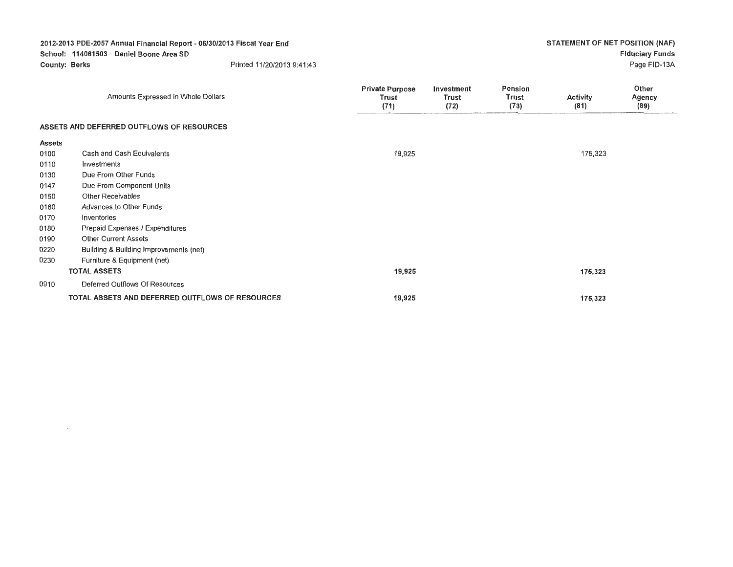| School: 114061503<br><b>County: Berks</b> | 2012-2013 PDE-2057 Annual Financial Report - 06/30/2013 Fiscal Year End<br>Daniel Boone Area SD<br>Printed 11/20/2013 9:41:43 |                                         |                                    |                                 | STATEMENT OF NET POSITION (NAF) | <b>Fiduciary Funds</b><br>Page FID-13A |
|-------------------------------------------|-------------------------------------------------------------------------------------------------------------------------------|-----------------------------------------|------------------------------------|---------------------------------|---------------------------------|----------------------------------------|
|                                           | Amounts Expressed in Whole Dollars                                                                                            | <b>Private Purpose</b><br>Trust<br>(71) | Investment<br><b>Trust</b><br>(72) | Pension<br><b>Trust</b><br>(73) | <b>Activity</b><br>(81)         | Other<br>Agency<br>(89)                |
|                                           | ASSETS AND DEFERRED OUTFLOWS OF RESOURCES                                                                                     |                                         |                                    |                                 |                                 |                                        |
| Assets                                    |                                                                                                                               |                                         |                                    |                                 |                                 |                                        |
| 0100                                      | Cash and Cash Equivalents                                                                                                     | 19,925                                  |                                    |                                 | 175,323                         |                                        |
| 0110                                      | Investments                                                                                                                   |                                         |                                    |                                 |                                 |                                        |
| 0130                                      | Due From Other Funds                                                                                                          |                                         |                                    |                                 |                                 |                                        |
| 0147                                      | Due From Component Units                                                                                                      |                                         |                                    |                                 |                                 |                                        |
| 0150                                      | <b>Other Receivables</b>                                                                                                      |                                         |                                    |                                 |                                 |                                        |
| 0160                                      | Advances to Other Funds                                                                                                       |                                         |                                    |                                 |                                 |                                        |
| 0170                                      | Inventories                                                                                                                   |                                         |                                    |                                 |                                 |                                        |
| 0180                                      | Prepaid Expenses / Expenditures                                                                                               |                                         |                                    |                                 |                                 |                                        |
| 0190                                      | <b>Other Current Assets</b>                                                                                                   |                                         |                                    |                                 |                                 |                                        |

**175,323** 

**175,323** 

| 0220 | Building & Building Improvements (net) |        |
|------|----------------------------------------|--------|
| 0230 | Furniture & Equipment (net)            |        |
|      | <b>TOTAL ASSETS</b>                    | 19,925 |
| 0910 | Deferred Outflows Of Resources         |        |

#### **TOTAL ASSETS AND DEFERRED OUTFLOWS OF RESOURCES 19,925**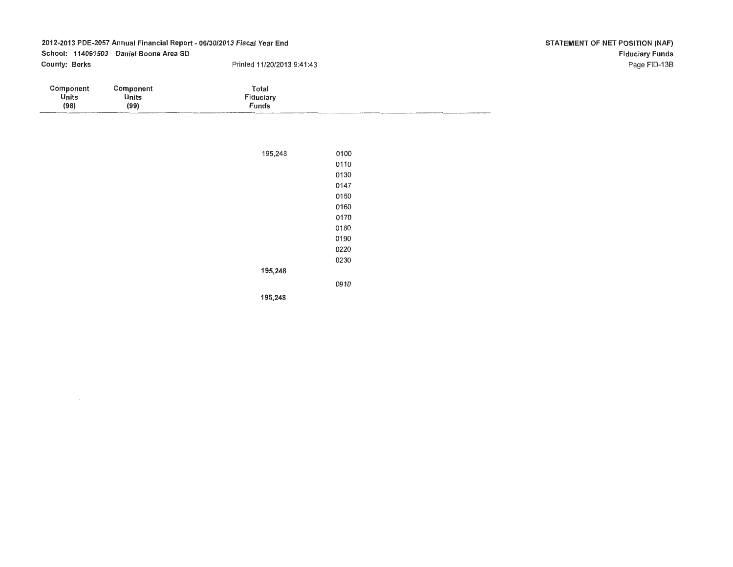## 2012-2013 PDE-2057 Annual Financial Report - 06/30/2013 Fiscal Year End School: 114061503 Daniel Boone Area SD

County: Berks

 $\sim 10^7$ 

Printed 11/20/2013 9:41 :43

| Component | Component    | Total            |
|-----------|--------------|------------------|
| Units     | <b>Units</b> | <b>Fiduciary</b> |
| (98)      | (99)         | Funds<br>___     |

| 195,248 | 0100 |
|---------|------|
|         | 0110 |
|         | 0130 |
|         | 0147 |
|         | 0150 |
|         | 0160 |
|         | 0170 |
|         | 0180 |
|         | 0190 |
|         | 0220 |
|         | 0230 |
| 195,248 |      |
|         | 0910 |
| 195,248 |      |
|         |      |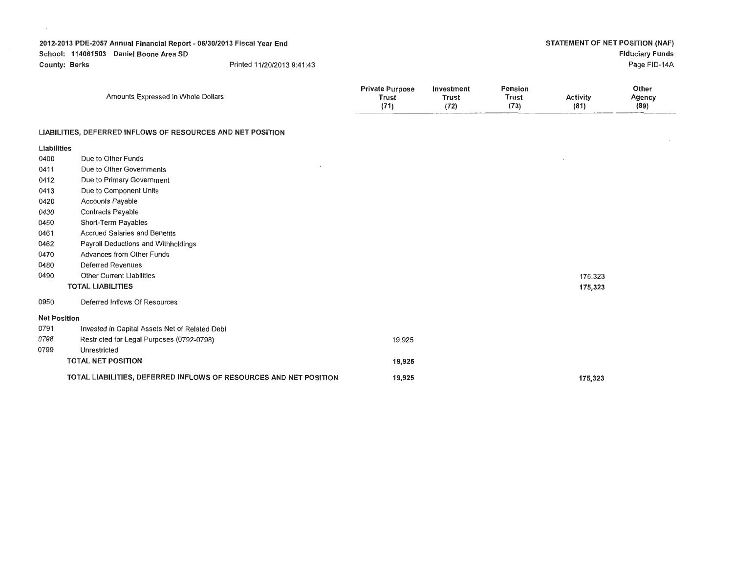| 2012-2013 PDE-2057 Annual Financial Report - 06/30/2013 Fiscal Year End |                                                                   |                                                |                                    | STATEMENT OF NET POSITION (NAF) |                         |                         |
|-------------------------------------------------------------------------|-------------------------------------------------------------------|------------------------------------------------|------------------------------------|---------------------------------|-------------------------|-------------------------|
|                                                                         | School: 114061503<br>Daniel Boone Area SD                         |                                                |                                    |                                 |                         | <b>Fiduciary Funds</b>  |
|                                                                         | <b>County: Berks</b><br>Printed 11/20/2013 9:41:43                |                                                |                                    |                                 |                         | Page FID-14A            |
|                                                                         | Amounts Expressed in Whole Dollars                                | <b>Private Purpose</b><br><b>Trust</b><br>(71) | Investment<br><b>Trust</b><br>(72) | Pension<br><b>Trust</b><br>(73) | <b>Activity</b><br>(81) | Other<br>Agency<br>(89) |
|                                                                         | LIABILITIES, DEFERRED INFLOWS OF RESOURCES AND NET POSITION       |                                                |                                    |                                 |                         |                         |
| Liabilities                                                             |                                                                   |                                                |                                    |                                 |                         |                         |
| 0400                                                                    | Due to Other Funds                                                |                                                |                                    |                                 |                         |                         |
| 0411                                                                    | Due to Other Governments                                          |                                                |                                    |                                 |                         |                         |
| 0412                                                                    | Due to Primary Government                                         |                                                |                                    |                                 |                         |                         |
| 0413                                                                    | Due to Component Units                                            |                                                |                                    |                                 |                         |                         |
| 0420                                                                    | Accounts Payable                                                  |                                                |                                    |                                 |                         |                         |
| 0430                                                                    | <b>Contracts Payable</b>                                          |                                                |                                    |                                 |                         |                         |
| 0450                                                                    | Short-Term Payables                                               |                                                |                                    |                                 |                         |                         |
| 0461                                                                    | Accrued Salaries and Benefits                                     |                                                |                                    |                                 |                         |                         |
| 0462                                                                    | Payroll Deductions and Withholdings                               |                                                |                                    |                                 |                         |                         |
| 0470                                                                    | Advances from Other Funds                                         |                                                |                                    |                                 |                         |                         |
| 0480                                                                    | <b>Deferred Revenues</b>                                          |                                                |                                    |                                 |                         |                         |
| 0490                                                                    | Other Current Liabilities                                         |                                                |                                    |                                 | 175,323                 |                         |
|                                                                         | <b>TOTAL LIABILITIES</b>                                          |                                                |                                    |                                 | 175,323                 |                         |
| 0950                                                                    | Deferred Inflows Of Resources                                     |                                                |                                    |                                 |                         |                         |
| <b>Net Position</b>                                                     |                                                                   |                                                |                                    |                                 |                         |                         |
| 0791                                                                    | Invested in Capital Assets Net of Related Debt                    |                                                |                                    |                                 |                         |                         |
| 0798                                                                    | Restricted for Legal Purposes (0792-0798)                         | 19,925                                         |                                    |                                 |                         |                         |
| 0799                                                                    | Unrestricted                                                      |                                                |                                    |                                 |                         |                         |
|                                                                         | <b>TOTAL NET POSITION</b>                                         | 19,925                                         |                                    |                                 |                         |                         |
|                                                                         | TOTAL LIABILITIES, DEFERRED INFLOWS OF RESOURCES AND NET POSITION | 19,925                                         |                                    |                                 | 175,323                 |                         |

 $\sim 10^{11}$  km s  $^{-1}$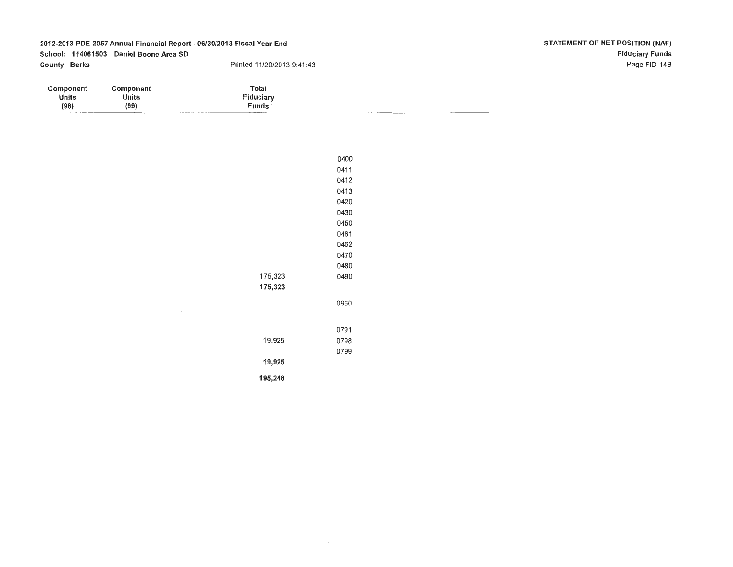### 2012-2013 PDE-2057 Annual Financial Report - 06/30/2013 Fiscal Year End School: 114061503 Daniel Boone Area SD

 $\sim 10^7$ 

County: Berks

Printed 11/20/2013 9:41 :43

| .omponent | `omponent | Total     |           |
|-----------|-----------|-----------|-----------|
| Units     | Units     | Fiduciary |           |
| (98)      | (99)      | Funds     | _________ |

|         | 0400 |
|---------|------|
|         | 0411 |
|         | 0412 |
|         | 0413 |
|         | 0420 |
|         | 0430 |
|         | 0450 |
|         | 0461 |
|         | 0462 |
|         | 0470 |
|         | 0480 |
| 175,323 | 0490 |
| 175,323 |      |
|         | 0950 |
|         | 0791 |
| 19,925  | 0798 |
|         | 0799 |
| 19,925  |      |
| 195,248 |      |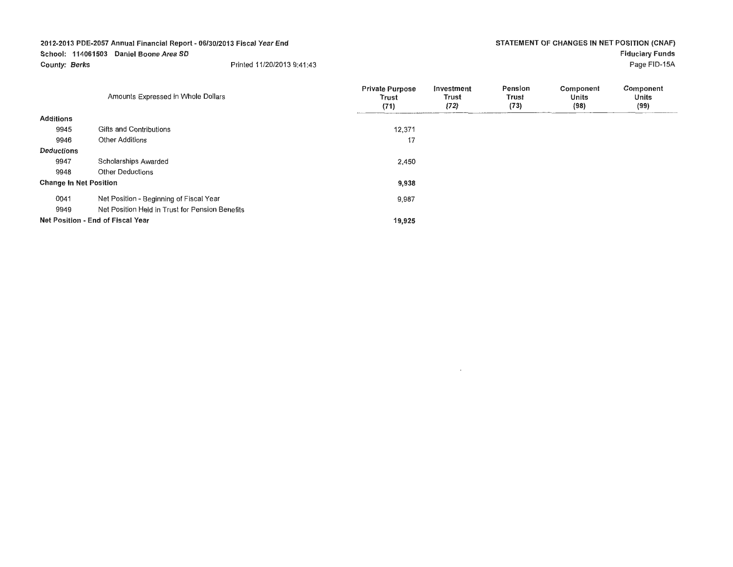School: 114061503 Daniel Boone Area SD

| <b>County: Berks</b> | Printed 11/20/2013 9:41:43 |
|----------------------|----------------------------|
|                      |                            |

Page FID-15A

| Amounts Expressed in Whole Dollars |                                                 | <b>Private Purpose</b><br>Trust<br>(71) | Investment<br>Trust<br>(72) | Pension<br>Trust<br>(73) | Component<br>Units<br>(98) | Component<br>Units<br>(99) |
|------------------------------------|-------------------------------------------------|-----------------------------------------|-----------------------------|--------------------------|----------------------------|----------------------------|
| <b>Additions</b>                   |                                                 |                                         |                             |                          |                            |                            |
| 9945                               | <b>Gifts and Contributions</b>                  | 12,371                                  |                             |                          |                            |                            |
| 9946                               | <b>Other Additions</b>                          | 17                                      |                             |                          |                            |                            |
| <b>Deductions</b>                  |                                                 |                                         |                             |                          |                            |                            |
| 9947                               | <b>Scholarships Awarded</b>                     | 2,450                                   |                             |                          |                            |                            |
| 9948                               | <b>Other Deductions</b>                         |                                         |                             |                          |                            |                            |
| <b>Change In Net Position</b>      |                                                 | 9,938                                   |                             |                          |                            |                            |
| 0041                               | Net Position - Beginning of Fiscal Year         | 9,987                                   |                             |                          |                            |                            |
| 9949                               | Net Position Held in Trust for Pension Benefits |                                         |                             |                          |                            |                            |
| Net Position - End of Fiscal Year  |                                                 | 19,925                                  |                             |                          |                            |                            |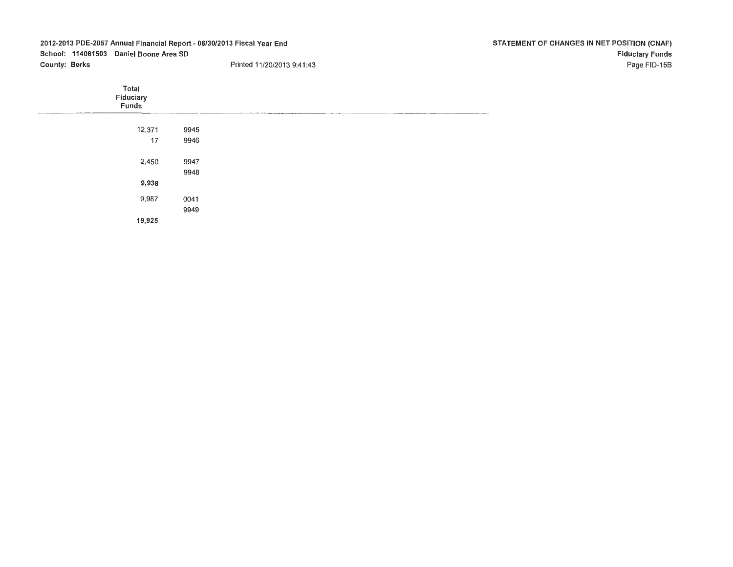| 2012-2013 PDE-2057 Annual Financial Report - 06/30/2013 Fiscal Year End |                             |      |                            | STATEMENT OF CHANGES IN NET POSITION (CNAF) |              |
|-------------------------------------------------------------------------|-----------------------------|------|----------------------------|---------------------------------------------|--------------|
| School: 114061503 Daniel Boone Area SD                                  |                             |      |                            | <b>Fiduciary Funds</b>                      |              |
| <b>County: Berks</b>                                                    |                             |      | Printed 11/20/2013 9:41:43 |                                             | Page FID-15B |
|                                                                         | Total<br>Fiduciary<br>Funds |      |                            |                                             |              |
|                                                                         | 12,371                      | 9945 |                            |                                             |              |
|                                                                         | 17                          | 9946 |                            |                                             |              |
|                                                                         | 2,450                       | 9947 |                            |                                             |              |
|                                                                         |                             | 9948 |                            |                                             |              |
|                                                                         | 9,938                       |      |                            |                                             |              |
|                                                                         | 9,987                       | 0041 |                            |                                             |              |
|                                                                         |                             | 9949 |                            |                                             |              |
|                                                                         | 19,925                      |      |                            |                                             |              |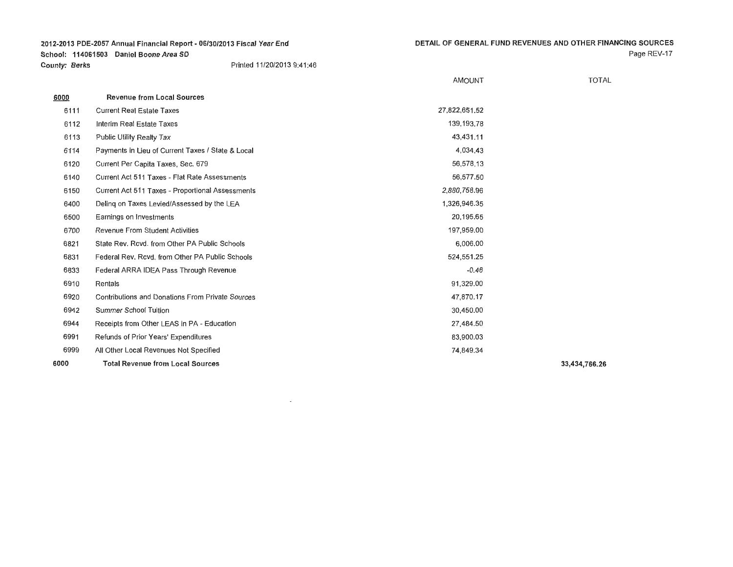**2012-2013 PDE-2057 Annual Financial Report** - **06/30/2013 Fiscal Year End School: 114061503 Daniel Boone Area SD** 

**DETAIL OF GENERAL FUND REVENUES AND OTHER FINANCING SOURCES** Page REV-17

**County: Berks** Printed 11/20/2013 9:41:46

|  | r aye ne |  |
|--|----------|--|
|  |          |  |

|      |                                                         | <b>AMOUNT</b> | <b>TOTAL</b>  |
|------|---------------------------------------------------------|---------------|---------------|
| 6000 | <b>Revenue from Local Sources</b>                       |               |               |
| 6111 | <b>Current Real Estate Taxes</b>                        | 27.822,651.52 |               |
| 6112 | Interim Real Estate Taxes                               | 139,193.78    |               |
| 6113 | Public Utility Realty Tax                               | 43,431.11     |               |
| 6114 | Payments in Lieu of Current Taxes / State & Local       | 4,034.43      |               |
| 6120 | Current Per Capita Taxes, Sec. 679                      | 56,578.13     |               |
| 6140 | Current Act 511 Taxes - Flat Rate Assessments           | 56,577.50     |               |
| 6150 | Current Act 511 Taxes - Proportional Assessments        | 2,880,758.96  |               |
| 6400 | Deling on Taxes Levied/Assessed by the LEA              | 1,326,946.35  |               |
| 6500 | Earnings on Investments                                 | 20,195.65     |               |
| 6700 | <b>Revenue From Student Activities</b>                  | 197,959.00    |               |
| 6821 | State Rev. Rcvd. from Other PA Public Schools           | 6,006.00      |               |
| 6831 | Federal Rev. Rcvd. from Other PA Public Schools         | 524,551.25    |               |
| 6833 | Federal ARRA IDEA Pass Through Revenue                  | $-0.46$       |               |
| 6910 | Rentals                                                 | 91,329.00     |               |
| 6920 | <b>Contributions and Donations From Private Sources</b> | 47,870.17     |               |
| 6942 | <b>Summer School Tuition</b>                            | 30,450.00     |               |
| 6944 | Receipts from Other LEAS in PA - Education              | 27,484.50     |               |
| 6991 | Refunds of Prior Years' Expenditures                    | 83,900.03     |               |
| 6999 | All Other Local Revenues Not Specified                  | 74,849.34     |               |
| 6000 | <b>Total Revenue from Local Sources</b>                 |               | 33,434,766.26 |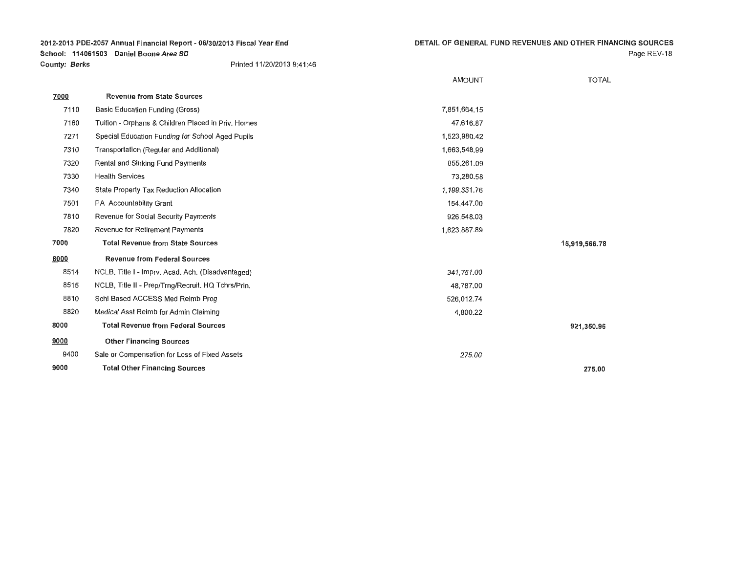| 2012-2013 PDE-2057 Annual Financial Report - 06/30/2013 Fiscal Year End |                                        |  |  |
|-------------------------------------------------------------------------|----------------------------------------|--|--|
|                                                                         | School: 114061503 Daniel Boone Area SD |  |  |
| <b>County: Berks</b>                                                    | Printed 11/20/2013 9:41:46             |  |  |

**DETAIL OF GENERAL FUND REVENUES AND OTHER FINANCING SOURCES** Page REV-18

|      |                                                    | <b>AMOUNT</b> | <b>TOTAL</b>  |
|------|----------------------------------------------------|---------------|---------------|
| 7000 | <b>Revenue from State Sources</b>                  |               |               |
| 7110 | Basic Education Funding (Gross)                    | 7,851,664.15  |               |
| 7160 | Tuition - Orphans & Children Placed in Priv. Homes | 47,616.87     |               |
| 7271 | Special Education Funding for School Aged Pupils   | 1,523,980.42  |               |
| 7310 | Transportation (Regular and Additional)            | 1,663,548.99  |               |
| 7320 | Rental and Sinking Fund Payments                   | 855,261.09    |               |
| 7330 | <b>Health Services</b>                             | 73,280.58     |               |
| 7340 | State Property Tax Reduction Allocation            | 1,199,331.76  |               |
| 7501 | PA Accountability Grant                            | 154,447.00    |               |
| 7810 | Revenue for Social Security Payments               | 926,548.03    |               |
| 7820 | Revenue for Retirement Payments                    | 1,623,887.89  |               |
| 7000 | <b>Total Revenue from State Sources</b>            |               | 15,919,566.78 |
| 8000 | <b>Revenue from Federal Sources</b>                |               |               |
| 8514 | NCLB, Title I - Imprv. Acad. Ach. (Disadvantaged)  | 341,751.00    |               |
| 8515 | NCLB, Title II - Prep/Trng/Recruit, HQ Tchrs/Prin. | 48,787.00     |               |
| 8810 | Schl Based ACCESS Med Reimb Prog                   | 526,012.74    |               |
| 8820 | Medical Asst Reimb for Admin Claiming              | 4,800.22      |               |
| 8000 | <b>Total Revenue from Federal Sources</b>          |               | 921,350.96    |
| 9000 | <b>Other Financing Sources</b>                     |               |               |
| 9400 | Sale or Compensation for Loss of Fixed Assets      | 275.00        |               |
| 9000 | <b>Total Other Financing Sources</b>               |               | 275.00        |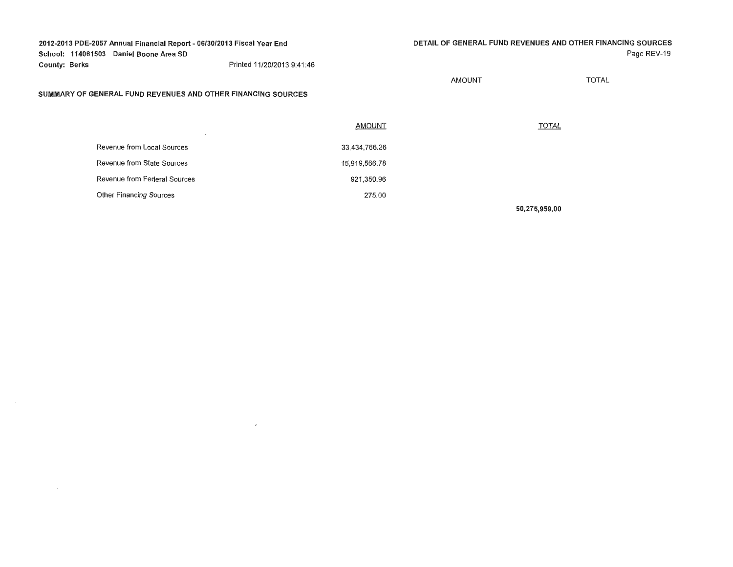| 2012-2013 PDE-2057 Annual Financial Report - 06/30/2013 Fiscal Year End |                            | DETAIL OF GENERAL FUND REVENUES AND OTHER FINANCING SOURCES |               |              |
|-------------------------------------------------------------------------|----------------------------|-------------------------------------------------------------|---------------|--------------|
| School: 114061503 Daniel Boone Area SD                                  |                            |                                                             |               | Page REV-19  |
| <b>County: Berks</b>                                                    | Printed 11/20/2013 9:41:46 |                                                             |               |              |
|                                                                         |                            |                                                             | <b>AMOUNT</b> | <b>TOTAL</b> |
| SUMMARY OF GENERAL FUND REVENUES AND OTHER FINANCING SOURCES            |                            |                                                             |               |              |
|                                                                         |                            | AMOUNT                                                      |               | <b>TOTAL</b> |
| Revenue from Local Sources                                              |                            | 33,434,766.26                                               |               |              |

15,919,566.78 921,350.96

 $\mathcal{A}$ 

275.00

Revenue from Stale Sources Revenue from Federal Sources Other Financing Sources

**50,275,959.00**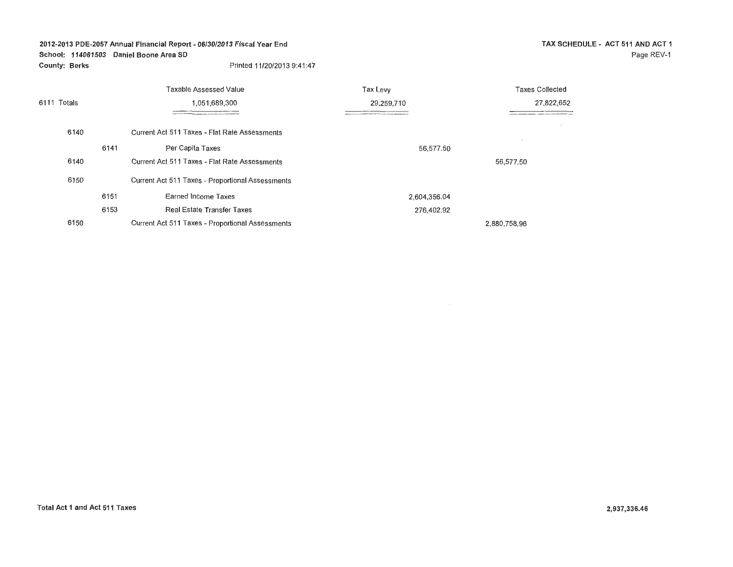#### **School: 114061503 Daniel Boone Area SD**

**County: Berks** 

Printed 11/20/2013 9:41 :47

|                |      | Taxable Assessed Value                           | Tax Levy     | <b>Taxes Collected</b> |
|----------------|------|--------------------------------------------------|--------------|------------------------|
| Totals<br>6111 |      | 1,051,689,300                                    | 29,259,710   | 27,822,652             |
|                |      | _____________                                    |              |                        |
| 6140           |      | Current Act 511 Taxes - Flat Rate Assessments    |              |                        |
|                | 6141 | Per Capita Taxes                                 | 56,577.50    |                        |
| 6140           |      | Current Act 511 Taxes - Flat Rate Assessments    |              | 56,577.50              |
| 6150           |      | Current Act 511 Taxes - Proportional Assessments |              |                        |
|                | 6151 | Earned Income Taxes                              | 2,604,356.04 |                        |
|                | 6153 | Real Estate Transfer Taxes                       | 276,402.92   |                        |
| 6150           |      | Current Act 511 Taxes - Proportional Assessments |              | 2.880.758.96           |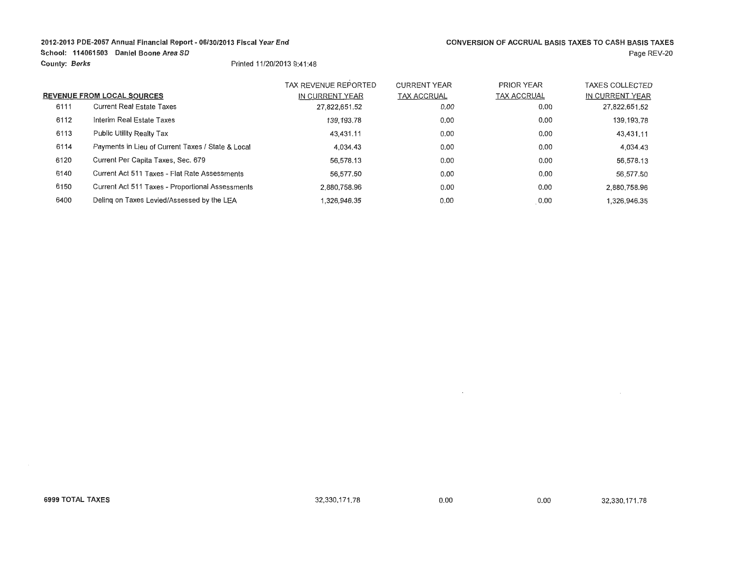School: 114061503 Daniel Boone Area SD

### **County: Berks** Printed 11/20/2013 9:41:48

|      |                                                   | TAX REVENUE REPORTED | <b>CURRENT YEAR</b> | <b>PRIOR YEAR</b>  | <b>TAXES COLLECTED</b> |
|------|---------------------------------------------------|----------------------|---------------------|--------------------|------------------------|
|      | <b>REVENUE FROM LOCAL SOURCES</b>                 | IN CURRENT YEAR      | <b>TAX ACCRUAL</b>  | <b>TAX ACCRUAL</b> | IN CURRENT YEAR        |
| 6111 | <b>Current Real Estate Taxes</b>                  | 27,822,651.52        | 0.00                | 0.00               | 27,822,651.52          |
| 6112 | Interim Real Estate Taxes                         | 139, 193.78          | 0.00                | 0.00               | 139,193.78             |
| 6113 | Public Utility Realty Tax                         | 43,431.11            | 0.00                | 0.00               | 43,431.11              |
| 6114 | Payments in Lieu of Current Taxes / State & Local | 4.034.43             | 0.00                | 0.00               | 4,034.43               |
| 6120 | Current Per Capita Taxes, Sec. 679                | 56,578.13            | 0.00                | 0.00               | 56.578.13              |
| 6140 | Current Act 511 Taxes - Flat Rate Assessments     | 56.577.50            | 0.00                | 0.00               | 56.577.50              |
| 6150 | Current Act 511 Taxes - Proportional Assessments  | 2,880,758,96         | 0.00                | 0.00               | 2,880,758.96           |
| 6400 | Deling on Taxes Levied/Assessed by the LEA        | .326.946.35          | 0.00                | 0.00               | 1.326.946.35           |

 $\sim$   $\sim$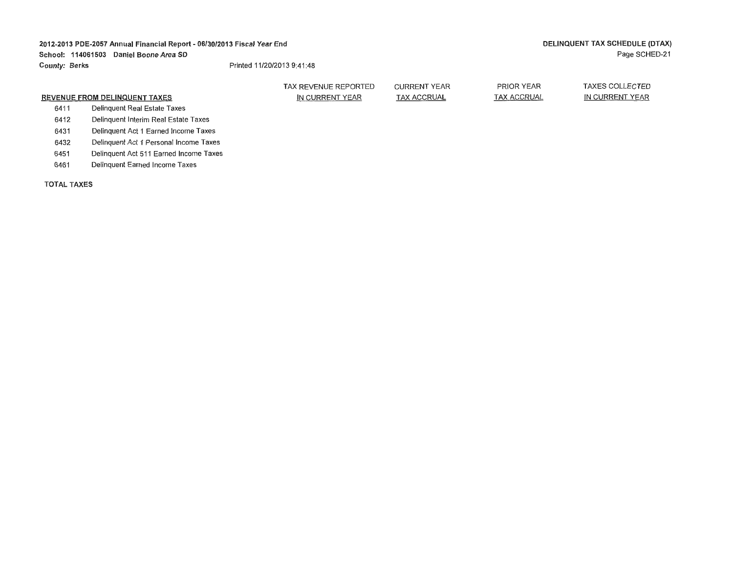#### **2012-2013 PDE-2057 Annual Financial Report** - **06/30/2013 Fiscal Year End School: 114061503 Daniel Boone Area SD County: Berks**  Printed 11/20/2013 9:41 :48

|      |                                        | TAX REVENUE REPORTED | <b>CURRENT YEAR</b> | PRIOR YEAR         | <b>TAXES COLLECTED</b> |
|------|----------------------------------------|----------------------|---------------------|--------------------|------------------------|
|      | REVENUE FROM DELINQUENT TAXES          | IN CURRENT YEAR      | TAX ACCRUAL         | <b>TAX ACCRUAL</b> | IN CURRENT YEAR        |
| 6411 | Delinquent Real Estate Taxes           |                      |                     |                    |                        |
| 6412 | Delinguent Interim Real Estate Taxes   |                      |                     |                    |                        |
| 6431 | Delinguent Act 1 Earned Income Taxes   |                      |                     |                    |                        |
| 6432 | Delinquent Act 1 Personal Income Taxes |                      |                     |                    |                        |
| 6451 | Delinguent Act 511 Earned Income Taxes |                      |                     |                    |                        |
| 6461 | Delinguent Earned Income Taxes         |                      |                     |                    |                        |
|      |                                        |                      |                     |                    |                        |

**TOTAL TAXES**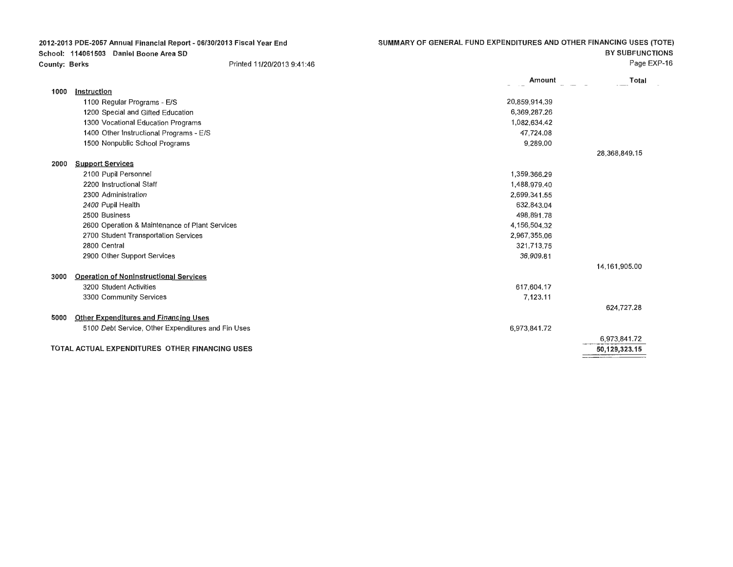|                      | 2012-2013 PDE-2057 Annual Financial Report - 06/30/2013 Fiscal Year End<br>School: 114061503 Daniel Boone Area SD | SUMMARY OF GENERAL FUND EXPENDITURES AND OTHER FINANCING USES (TOTE) | <b>BY SUBFUNCTIONS</b> |
|----------------------|-------------------------------------------------------------------------------------------------------------------|----------------------------------------------------------------------|------------------------|
| <b>County: Berks</b> | Printed 11/20/2013 9:41:46                                                                                        |                                                                      | Page EXP-16            |
|                      |                                                                                                                   | Amount                                                               | Total                  |
| 1000                 | instruction                                                                                                       |                                                                      |                        |
|                      | 1100 Regular Programs - E/S                                                                                       | 20,859,914.39                                                        |                        |
|                      | 1200 Special and Gifted Education                                                                                 | 6,369,287.26                                                         |                        |
|                      | 1300 Vocational Education Programs                                                                                | 1,082,634.42                                                         |                        |
|                      | 1400 Other Instructional Programs - E/S                                                                           | 47.724.08                                                            |                        |
|                      | 1500 Nonpublic School Programs                                                                                    | 9,289.00                                                             |                        |
|                      |                                                                                                                   |                                                                      | 28,368,849.15          |
| 2000                 | <b>Support Services</b>                                                                                           |                                                                      |                        |
|                      | 2100 Pupil Personnel                                                                                              | 1,359,366,29                                                         |                        |
|                      | 2200 Instructional Staff                                                                                          | 1,488,979.40                                                         |                        |
|                      | 2300 Administration                                                                                               | 2,699,341.55                                                         |                        |
|                      | 2400 Pupil Health                                                                                                 | 632,843.04                                                           |                        |
|                      | 2500 Business                                                                                                     | 498,891.78                                                           |                        |
|                      | 2600 Operation & Maintenance of Plant Services                                                                    | 4,156,504.32                                                         |                        |
|                      | 2700 Student Transportation Services                                                                              | 2,967,355.06                                                         |                        |
|                      | 2800 Central                                                                                                      | 321,713,75                                                           |                        |
|                      | 2900 Other Support Services                                                                                       | 36,909.81                                                            |                        |
|                      |                                                                                                                   |                                                                      | 14,161,905.00          |
| 3000                 | <b>Operation of Noninstructional Services</b>                                                                     |                                                                      |                        |
|                      | 3200 Student Activities                                                                                           | 617,604.17                                                           |                        |
|                      | 3300 Community Services                                                                                           | 7,123.11                                                             |                        |
|                      |                                                                                                                   |                                                                      | 624,727.28             |
| 5000                 | <b>Other Expenditures and Financing Uses</b>                                                                      |                                                                      |                        |
|                      | 5100 Debt Service, Other Expenditures and Fin Uses                                                                | 6,973,841.72                                                         |                        |
|                      |                                                                                                                   |                                                                      | 6,973,841.72           |
|                      | TOTAL ACTUAL EXPENDITURES OTHER FINANCING USES                                                                    |                                                                      | 50,129,323.15          |
|                      |                                                                                                                   |                                                                      |                        |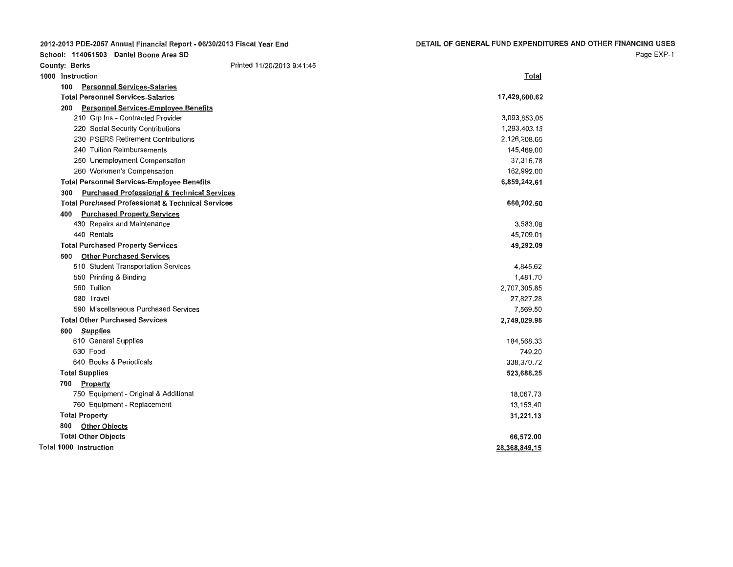| 2012-2013 PDE-2057 Annual Financial Report - 06/30/2013 Fiscal Year End                                                       | DETAIL OF GENERAL FUND EXPENDITURES AND OTHER FINANCING USES<br>Page EXP-1 |
|-------------------------------------------------------------------------------------------------------------------------------|----------------------------------------------------------------------------|
| School: 114061503 Daniel Boone Area SD                                                                                        |                                                                            |
| Printed 11/20/2013 9:41:45<br><b>County: Berks</b>                                                                            |                                                                            |
| 1000 Instruction                                                                                                              | <b>Total</b>                                                               |
| 100 Personnel Services-Salaries<br><b>Total Personnel Services-Salaries</b>                                                   | 17,429,600.62                                                              |
|                                                                                                                               |                                                                            |
| <b>Personnel Services-Employee Benefits</b><br>200<br>210 Grp Ins - Contracted Provider                                       | 3,093,853.05                                                               |
| 220 Social Security Contributions                                                                                             | 1,293,403.13                                                               |
| 230 PSERS Retirement Contributions                                                                                            | 2.126,208.65                                                               |
| 240 Tuition Reimbursements                                                                                                    | 145,469.00                                                                 |
| 250 Unemployment Compensation                                                                                                 | 37.316.78                                                                  |
| 260 Workmen's Compensation                                                                                                    | 162.992.00                                                                 |
|                                                                                                                               |                                                                            |
| <b>Total Personnel Services-Employee Benefits</b>                                                                             | 6,859,242.61                                                               |
| <b>Purchased Professional &amp; Technical Services</b><br>300<br><b>Total Purchased Professional &amp; Technical Services</b> |                                                                            |
|                                                                                                                               | 660,202.50                                                                 |
| <b>Purchased Property Services</b><br>400<br>430 Repairs and Maintenance                                                      | 3,583.08                                                                   |
| 440 Rentals                                                                                                                   | 45,709.01                                                                  |
| <b>Total Purchased Property Services</b>                                                                                      | 49,292.09                                                                  |
| <b>Other Purchased Services</b><br>500                                                                                        |                                                                            |
| 510 Student Transportation Services                                                                                           | 4.845.62                                                                   |
|                                                                                                                               |                                                                            |
| 550 Printing & Binding                                                                                                        | 1,481.70                                                                   |
| 560 Tuition                                                                                                                   | 2,707,305.85                                                               |
| 580 Travel                                                                                                                    | 27,827,28                                                                  |
| 590 Miscellaneous Purchased Services                                                                                          | 7,569.50                                                                   |
| <b>Total Other Purchased Services</b>                                                                                         | 2,749,029.95                                                               |
| <b>Supplies</b><br>600                                                                                                        |                                                                            |
| 610 General Supplies                                                                                                          | 184,568.33                                                                 |
| 630 Food                                                                                                                      | 749.20                                                                     |
| 640 Books & Periodicals                                                                                                       | 338,370.72                                                                 |
| <b>Total Supplies</b>                                                                                                         | 523,688.25                                                                 |
| 700 Property                                                                                                                  |                                                                            |
| 750 Equipment - Original & Additional                                                                                         | 18,067.73                                                                  |
| 760 Equipment - Replacement                                                                                                   | 13,153,40                                                                  |
| <b>Total Property</b>                                                                                                         | 31,221.13                                                                  |
| 800<br><b>Other Objects</b>                                                                                                   |                                                                            |
| <b>Total Other Objects</b>                                                                                                    | 66,572.00                                                                  |
| <b>Total 1000 Instruction</b>                                                                                                 | 28,368,849.15                                                              |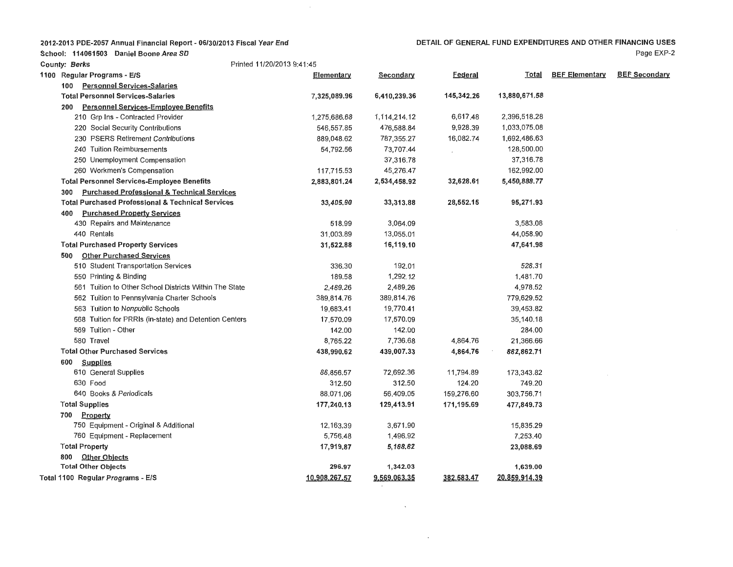School: 114061503 Daniel Boone Area SD

**DETAIL OF GENERAL FUND EXPENDITURES AND OTHER FINANCING USES** 

Page EXP-2

| <b>County: Berks</b>                                          | Printed 11/20/2013 9:41:45 |               |              |            |               |                       |                      |
|---------------------------------------------------------------|----------------------------|---------------|--------------|------------|---------------|-----------------------|----------------------|
| 1100 Regular Programs - E/S                                   |                            | Elementary    | Secondary    | Federal    | Total         | <b>BEF Elementary</b> | <b>BEF Secondary</b> |
| <b>Personnel Services-Salaries</b><br>100                     |                            |               |              |            |               |                       |                      |
| <b>Total Personnel Services-Salaries</b>                      |                            | 7,325,089.96  | 6,410,239.36 | 145,342.26 | 13,880,671.58 |                       |                      |
| <b>Personnel Services-Employee Benefits</b><br>200            |                            |               |              |            |               |                       |                      |
| 210 Grp Ins - Contracted Provider                             |                            | 1,275,686,68  | 1,114,214.12 | 6,617.48   | 2,396,518.28  |                       |                      |
| 220 Social Security Contributions                             |                            | 546,557.85    | 476,588.84   | 9,928.39   | 1,033,075.08  |                       |                      |
| 230 PSERS Retirement Contributions                            |                            | 889,048.62    | 787,355.27   | 16,082.74  | 1,692,486.63  |                       |                      |
| 240 Tuition Reimbursements                                    |                            | 54,792.56     | 73,707.44    |            | 128,500.00    |                       |                      |
| 250 Unemployment Compensation                                 |                            |               | 37,316.78    |            | 37,316.78     |                       |                      |
| 260 Workmen's Compensation                                    |                            | 117,715.53    | 45,276.47    |            | 162,992.00    |                       |                      |
| <b>Total Personnel Services-Employee Benefits</b>             |                            | 2,883,801.24  | 2,534,458.92 | 32,628.61  | 5,450,888.77  |                       |                      |
| <b>Purchased Professional &amp; Technical Services</b><br>300 |                            |               |              |            |               |                       |                      |
| <b>Total Purchased Professional &amp; Technical Services</b>  |                            | 33,405.90     | 33,313.88    | 28,552.15  | 95,271.93     |                       |                      |
| <b>Purchased Property Services</b><br>400                     |                            |               |              |            |               |                       |                      |
| 430 Repairs and Maintenance                                   |                            | 518.99        | 3,064.09     |            | 3,583.08      |                       |                      |
| 440 Rentals                                                   |                            | 31,003.89     | 13,055.01    |            | 44,058.90     |                       |                      |
| <b>Total Purchased Property Services</b>                      |                            | 31,522.88     | 16,119.10    |            | 47,641.98     |                       |                      |
| <b>Other Purchased Services</b><br>500                        |                            |               |              |            |               |                       |                      |
| 510 Student Transportation Services                           |                            | 336.30        | 192.01       |            | 528.31        |                       |                      |
| 550 Printing & Binding                                        |                            | 189.58        | 1,292.12     |            | 1,481.70      |                       |                      |
| 561 Tuition to Other School Districts Within The State        |                            | 2,489.26      | 2,489.26     |            | 4,978.52      |                       |                      |
| 562 Tuition to Pennsylvania Charter Schools                   |                            | 389,814.76    | 389,814.76   |            | 779,629.52    |                       |                      |
| 563 Tuition to Nonpublic Schools                              |                            | 19,683.41     | 19,770.41    |            | 39,453.82     |                       |                      |
| 568 Tuition for PRRIs (in-state) and Detention Centers        |                            | 17,570.09     | 17,570.09    |            | 35,140.18     |                       |                      |
| 569 Tuition - Other                                           |                            | 142.00        | 142.00       |            | 284.00        |                       |                      |
| 580 Travel                                                    |                            | 8,765.22      | 7,736.68     | 4,864.76   | 21,366.66     |                       |                      |
| <b>Total Other Purchased Services</b>                         |                            | 438,990.62    | 439,007.33   | 4,864.76   | 882,862.71    |                       |                      |
| <b>Supplies</b><br>600                                        |                            |               |              |            |               |                       |                      |
| 610 General Supplies                                          |                            | 88.856.57     | 72,692.36    | 11,794.89  | 173,343.82    |                       |                      |
| 630 Food                                                      |                            | 312.50        | 312.50       | 124.20     | 749.20        |                       |                      |
| 640 Books & Periodicals                                       |                            | 88,071.06     | 56,409.05    | 159,276.60 | 303,756.71    |                       |                      |
| <b>Total Supplies</b>                                         |                            | 177,240.13    | 129,413.91   | 171,195.69 | 477,849.73    |                       |                      |
| 700<br>Property                                               |                            |               |              |            |               |                       |                      |
| 750 Equipment - Original & Additional                         |                            | 12,163.39     | 3,671.90     |            | 15,835.29     |                       |                      |
| 760 Equipment - Replacement                                   |                            | 5,756.48      | 1,496.92     |            | 7,253,40      |                       |                      |
| <b>Total Property</b>                                         |                            | 17,919.87     | 5,168.82     |            | 23,088.69     |                       |                      |
| <b>Other Objects</b><br>800                                   |                            |               |              |            |               |                       |                      |
| <b>Total Other Objects</b>                                    |                            | 296.97        | 1,342.03     |            | 1,639.00      |                       |                      |
| Total 1100 Regular Programs - E/S                             |                            | 10.908.267.57 | 9,569,063.35 | 382,583.47 | 20.859.914.39 |                       |                      |
|                                                               |                            |               |              |            |               |                       |                      |

 $\sim 10^{-11}$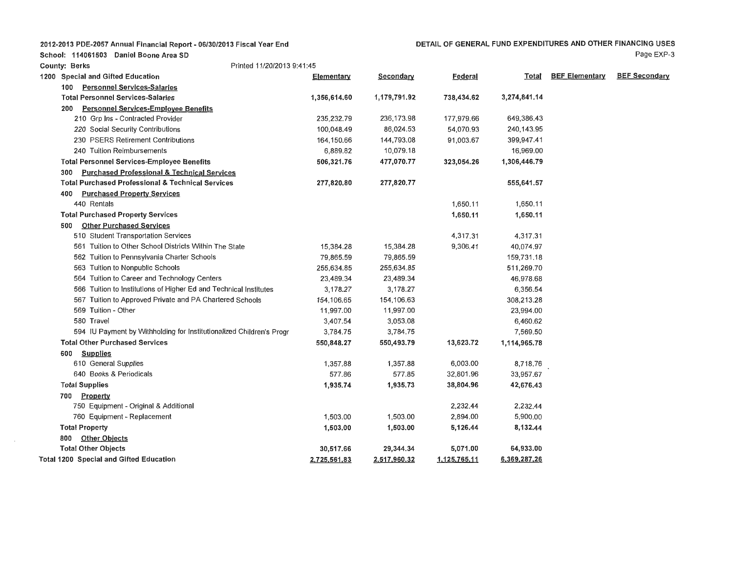School: 114061503 Daniel Boone Area SD

 $\sim$   $\sim$ 

Page EXP-3

| County: Berks                                  | Printed 11/20/2013 9:41:45                                           |              |                  |                |              |                       |                      |
|------------------------------------------------|----------------------------------------------------------------------|--------------|------------------|----------------|--------------|-----------------------|----------------------|
| 1200 Special and Gifted Education              |                                                                      | Elementary   | <b>Secondary</b> | <b>Federal</b> | <b>Total</b> | <b>BEF Elementary</b> | <b>BEF Secondary</b> |
| 100 Personnel Services-Salaries                |                                                                      |              |                  |                |              |                       |                      |
| <b>Total Personnel Services-Salaries</b>       |                                                                      | 1,356,614.60 | 1,179,791.92     | 738,434.62     | 3,274,841.14 |                       |                      |
| 200                                            | Personnel Services-Employee Benefits                                 |              |                  |                |              |                       |                      |
| 210 Grp Ins - Contracted Provider              |                                                                      | 235,232.79   | 236,173.98       | 177,979.66     | 649,386.43   |                       |                      |
| 220 Social Security Contributions              |                                                                      | 100,048.49   | 86,024.53        | 54,070.93      | 240,143.95   |                       |                      |
|                                                | 230 PSERS Retirement Contributions                                   | 164,150.66   | 144,793.08       | 91,003.67      | 399,947.41   |                       |                      |
| 240 Tuition Reimbursements                     |                                                                      | 6,889.82     | 10,079.18        |                | 16,969.00    |                       |                      |
|                                                | <b>Total Personnel Services-Employee Benefits</b>                    | 506,321.76   | 477,070.77       | 323,054.26     | 1,306,446.79 |                       |                      |
| 300                                            | <b>Purchased Professional &amp; Technical Services</b>               |              |                  |                |              |                       |                      |
|                                                | <b>Total Purchased Professional &amp; Technical Services</b>         | 277,820.80   | 277,820.77       |                | 555,641.57   |                       |                      |
| 400                                            | <b>Purchased Property Services</b>                                   |              |                  |                |              |                       |                      |
| 440 Rentals                                    |                                                                      |              |                  | 1,650.11       | 1,650.11     |                       |                      |
| <b>Total Purchased Property Services</b>       |                                                                      |              |                  | 1,650.11       | 1,650.11     |                       |                      |
| <b>Other Purchased Services</b><br>500         |                                                                      |              |                  |                |              |                       |                      |
|                                                | 510 Student Transportation Services                                  |              |                  | 4,317.31       | 4,317.31     |                       |                      |
|                                                | 561 Tuition to Other School Districts Within The State               | 15,384.28    | 15,384.28        | 9,306.41       | 40,074.97    |                       |                      |
|                                                | 562 Tuition to Pennsylvania Charter Schools                          | 79,865.59    | 79,865.59        |                | 159,731.18   |                       |                      |
| 563 Tuition to Nonpublic Schools               |                                                                      | 255,634.85   | 255,634.85       |                | 511,269.70   |                       |                      |
|                                                | 564 Tuition to Career and Technology Centers                         | 23,489.34    | 23,489.34        |                | 46,978.68    |                       |                      |
|                                                | 566 Tuition to Institutions of Higher Ed and Technical Institutes    | 3,178.27     | 3,178.27         |                | 6,356.54     |                       |                      |
|                                                | 567 Tuition to Approved Private and PA Chartered Schools             | 154,106.65   | 154,106.63       |                | 308,213.28   |                       |                      |
| 569 Tuition - Other                            |                                                                      | 11,997.00    | 11,997.00        |                | 23,994.00    |                       |                      |
| 580 Travel                                     |                                                                      | 3,407.54     | 3,053.08         |                | 6,460.62     |                       |                      |
|                                                | 594 IU Payment by Withholding for Institutionalized Children's Progr | 3,784.75     | 3,784.75         |                | 7,569.50     |                       |                      |
| <b>Total Other Purchased Services</b>          |                                                                      | 550,848.27   | 550,493.79       | 13,623.72      | 1,114,965.78 |                       |                      |
| <b>Supplies</b><br>600                         |                                                                      |              |                  |                |              |                       |                      |
| 610 General Supplies                           |                                                                      | 1,357.88     | 1,357.88         | 6,003.00       | 8,718.76     |                       |                      |
| 640 Books & Periodicals                        |                                                                      | 577.86       | 577.85           | 32,801.96      | 33,957.67    |                       |                      |
| <b>Total Supplies</b>                          |                                                                      | 1,935.74     | 1,935.73         | 38,804.96      | 42,676.43    |                       |                      |
| <b>Property</b><br>700                         |                                                                      |              |                  |                |              |                       |                      |
|                                                | 750 Equipment - Original & Additional                                |              |                  | 2,232.44       | 2,232.44     |                       |                      |
| 760 Equipment - Replacement                    |                                                                      | 1,503.00     | 1,503.00         | 2,894.00       | 5,900.00     |                       |                      |
| <b>Total Property</b>                          |                                                                      | 1,503,00     | 1,503.00         | 5,126.44       | 8,132.44     |                       |                      |
| 800<br><b>Other Objects</b>                    |                                                                      |              |                  |                |              |                       |                      |
| <b>Total Other Objects</b>                     |                                                                      | 30,517.66    | 29,344.34        | 5,071.00       | 64,933.00    |                       |                      |
| <b>Total 1200 Special and Gifted Education</b> |                                                                      | 2,725,561,83 | 2,517,960.32     | 1,125,765.11   | 6,369,287,26 |                       |                      |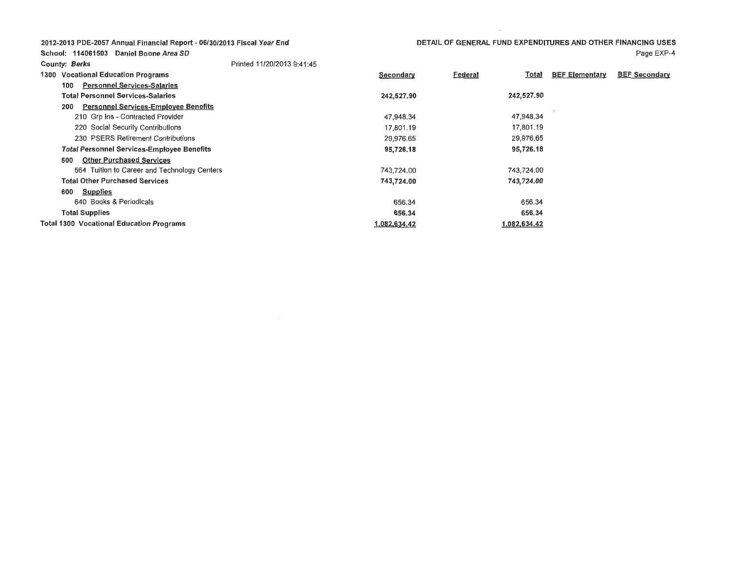School: 114061503 Daniel Boone Area SD

DETAIL OF GENERAL FUND EXPENDITURES AND OTHER FINANCING USES Page EXP-4

| <b>County: Berks</b>                               | Printed 11/20/2013 9:41:45 |              |         |              |                       |                      |
|----------------------------------------------------|----------------------------|--------------|---------|--------------|-----------------------|----------------------|
| <b>Vocational Education Programs</b><br>1300       |                            | Secondary    | Federal | <u>Total</u> | <b>BEF Elementary</b> | <b>BEF Secondary</b> |
| <b>Personnel Services-Salaries</b><br>100          |                            |              |         |              |                       |                      |
| <b>Total Personnel Services-Salaries</b>           |                            | 242,527.90   |         | 242,527.90   |                       |                      |
| <b>Personnel Services-Employee Benefits</b><br>200 |                            |              |         |              |                       |                      |
| 210 Grp Ins - Contracted Provider                  |                            | 47.948.34    |         | 47,948,34    |                       |                      |
| 220 Social Security Contributions                  |                            | 17,801.19    |         | 17,801.19    |                       |                      |
| 230 PSERS Retirement Contributions                 |                            | 29,976.65    |         | 29,976.65    |                       |                      |
| <b>Total Personnel Services-Employee Benefits</b>  |                            | 95,726.18    |         | 95,726.18    |                       |                      |
| <b>Other Purchased Services</b><br>500             |                            |              |         |              |                       |                      |
| 564 Tuition to Career and Technology Centers       |                            | 743,724.00   |         | 743,724.00   |                       |                      |
| <b>Total Other Purchased Services</b>              |                            | 743,724.00   |         | 743,724.00   |                       |                      |
| 600<br>Supplies                                    |                            |              |         |              |                       |                      |
| 640 Books & Periodicals                            |                            | 656.34       |         | 656.34       |                       |                      |
| <b>Total Supplies</b>                              |                            | 656.34       |         | 656.34       |                       |                      |
| <b>Total 1300 Vocational Education Programs</b>    |                            | 1,082,634.42 |         | 1,082,634.42 |                       |                      |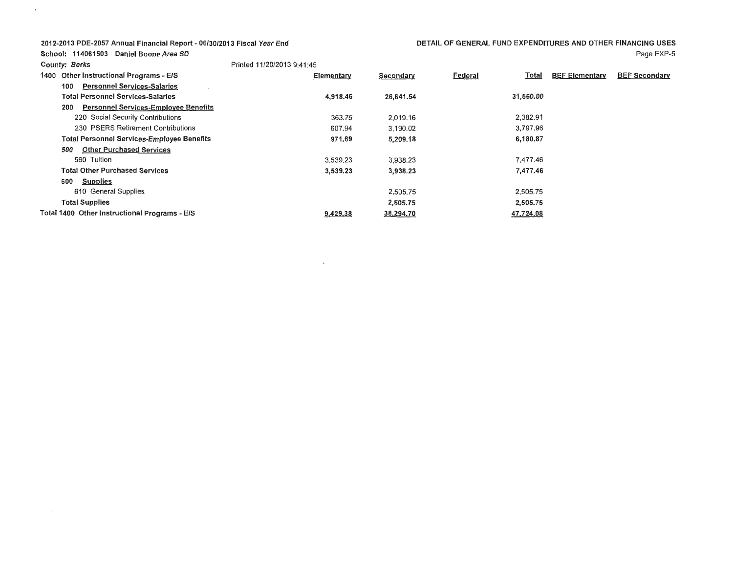School: 114061503 Daniel Boone Area SD

 $\sim$ 

 $\sim 100$ 

| <b>County: Berks</b>                               | Printed 11/20/2013 9:41:45 |           |                |              |                       |                      |
|----------------------------------------------------|----------------------------|-----------|----------------|--------------|-----------------------|----------------------|
| <b>Other Instructional Programs - E/S</b><br>1400  | Elementary                 | Secondary | <b>Federal</b> | <b>Total</b> | <b>BEF Elementary</b> | <b>BEF Secondary</b> |
| <b>Personnel Services-Salaries</b><br>100          |                            |           |                |              |                       |                      |
| <b>Total Personnel Services-Salaries</b>           | 4,918.46                   | 26,641.54 |                | 31,560.00    |                       |                      |
| <b>Personnel Services-Employee Benefits</b><br>200 |                            |           |                |              |                       |                      |
| 220 Social Security Contributions                  | 363.75                     | 2,019.16  |                | 2.382.91     |                       |                      |
| 230 PSERS Retirement Contributions                 | 607.94                     | 3,190.02  |                | 3,797.96     |                       |                      |
| <b>Total Personnel Services-Employee Benefits</b>  | 971.69                     | 5,209.18  |                | 6,180.87     |                       |                      |
| <b>Other Purchased Services</b><br>500             |                            |           |                |              |                       |                      |
| 560 Tuition                                        | 3,539,23                   | 3,938.23  |                | 7,477.46     |                       |                      |
| <b>Total Other Purchased Services</b>              | 3,539.23                   | 3,938.23  |                | 7,477.46     |                       |                      |
| 600<br><b>Supplies</b>                             |                            |           |                |              |                       |                      |
| 610 General Supplies                               |                            | 2,505.75  |                | 2,505.75     |                       |                      |
| <b>Total Supplies</b>                              |                            | 2,505.75  |                | 2,505.75     |                       |                      |
| Total 1400 Other Instructional Programs - E/S      | 9,429.38                   | 38,294.70 |                | 47,724.08    |                       |                      |

 $\epsilon$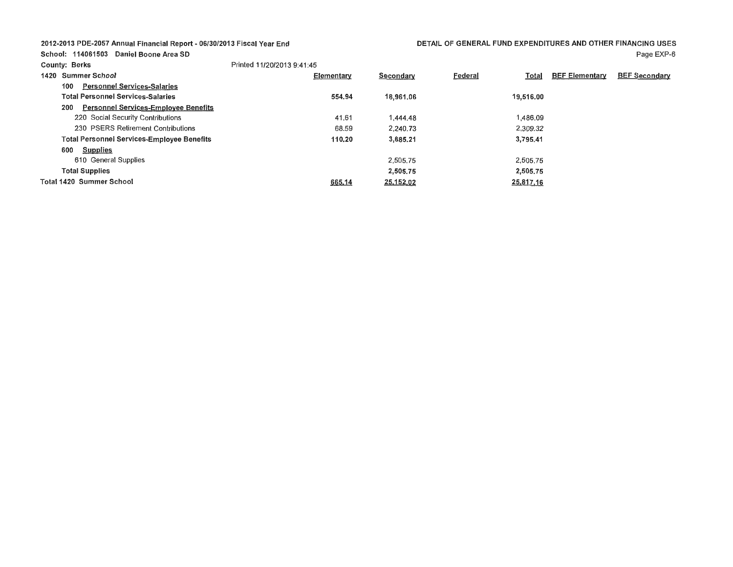School: 114061503 Daniel Boone Area SD

DETAIL OF GENERAL FUND EXPENDITURES AND OTHER FINANCING USES Page EXP-6

| <b>County: Berks</b>                               | Printed 11/20/2013 9:41:45 |           |                         |                       |                      |
|----------------------------------------------------|----------------------------|-----------|-------------------------|-----------------------|----------------------|
| 1420 Summer School                                 | Elementary                 | Secondary | Federal<br><b>Total</b> | <u>BEF Elementary</u> | <b>BEF Secondary</b> |
| <b>Personnel Services-Salaries</b><br>100          |                            |           |                         |                       |                      |
| <b>Total Personnel Services-Salaries</b>           | 554.94                     | 18.961.06 | 19,516,00               |                       |                      |
| <b>Personnel Services-Employee Benefits</b><br>200 |                            |           |                         |                       |                      |
| 220 Social Security Contributions                  | 41.61                      | 1,444.48  | 1.486.09                |                       |                      |
| 230 PSERS Retirement Contributions                 | 68.59                      | 2,240.73  | 2.309.32                |                       |                      |
| <b>Total Personnel Services-Employee Benefits</b>  | 110.20                     | 3.685.21  | 3,795,41                |                       |                      |
| <b>Supplies</b><br>600                             |                            |           |                         |                       |                      |
| 610 General Supplies                               |                            | 2,505.75  | 2,505,75                |                       |                      |
| <b>Total Supplies</b>                              |                            | 2,505.75  | 2,505.75                |                       |                      |
| <b>Total 1420 Summer School</b>                    | 665,14                     | 25,152.02 | 25,817.16               |                       |                      |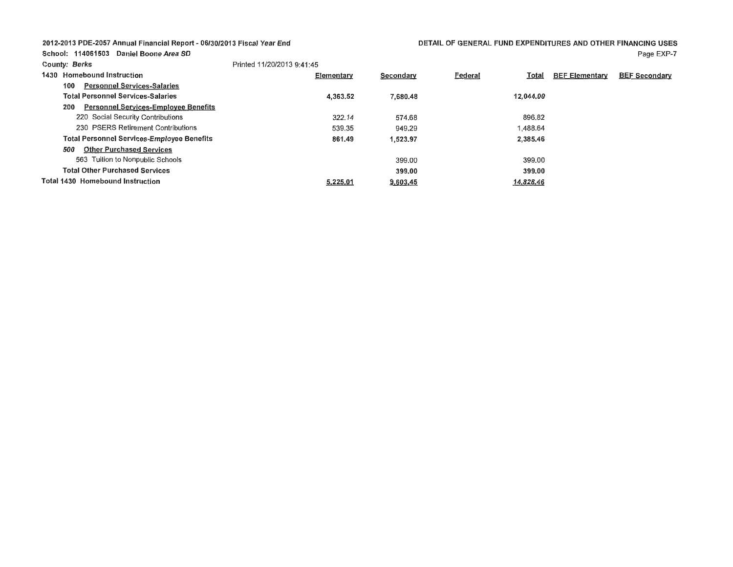School: 114061503 Daniel Boone Area SD

DETAIL OF GENERAL FUND EXPENDITURES AND OTHER **FINANCING** USES Page EXP-7

| <b>County: Berks</b>                               | Printed 11/20/2013 9:41:45 |           |                         |                       |                      |
|----------------------------------------------------|----------------------------|-----------|-------------------------|-----------------------|----------------------|
| 1430 Homebound Instruction                         | Elementary                 | Secondary | Federal<br><u>Total</u> | <b>BEF Elementary</b> | <b>BEF Secondary</b> |
| <b>Personnel Services-Salaries</b><br>100          |                            |           |                         |                       |                      |
| <b>Total Personnel Services-Salaries</b>           | 4.363.52                   | 7.680.48  | 12.044.00               |                       |                      |
| <b>Personnel Services-Employee Benefits</b><br>200 |                            |           |                         |                       |                      |
| 220 Social Security Contributions                  | 322.14                     | 574.68    | 896.82                  |                       |                      |
| 230 PSERS Retirement Contributions                 | 539.35                     | 949.29    | 1.488.64                |                       |                      |
| <b>Total Personnel Services-Employee Benefits</b>  | 861.49                     | 1,523.97  | 2,385.46                |                       |                      |
| <b>Other Purchased Services</b><br>500             |                            |           |                         |                       |                      |
| 563 Tuition to Nonpublic Schools                   |                            | 399.00    | 399.00                  |                       |                      |
| <b>Total Other Purchased Services</b>              |                            | 399.00    | 399.00                  |                       |                      |
| <b>Total 1430 Homebound Instruction</b>            | 5,225,01                   | 9,603,45  | 14,828.46               |                       |                      |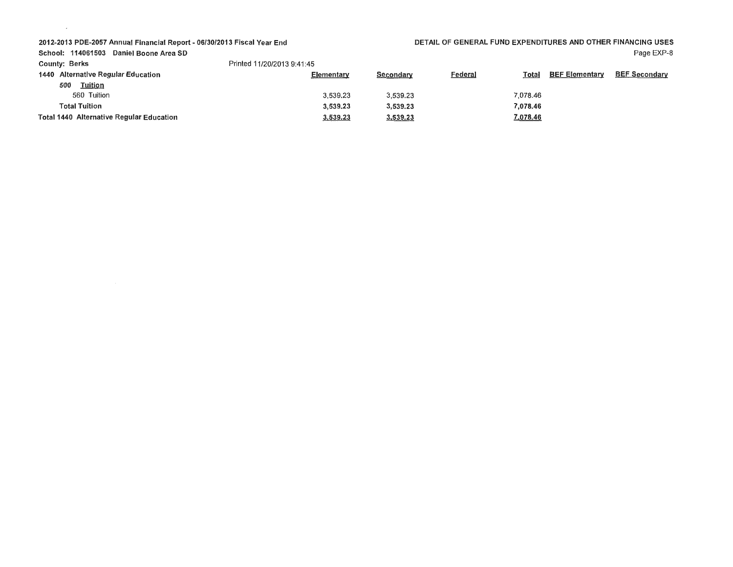School: 114061503 Daniel Boone Area SD

 $\sim$ 

### DETAIL OF GENERAL FUND EXPENDITURES AND OTHER FINANCING USES Page EXP-8

| County: Berks                            | Printed 11/20/2013 9:41:45 |           |                                |                       |                      |
|------------------------------------------|----------------------------|-----------|--------------------------------|-----------------------|----------------------|
| 1440 Alternative Regular Education       | <b>Elementary</b>          | Secondary | <b>Federal</b><br><b>Total</b> | <b>BEF Elementary</b> | <b>BEF Secondary</b> |
| <b>Tuition</b><br>500                    |                            |           |                                |                       |                      |
| 560 Tuition                              | 3,539.23                   | 3,539.23  | 7.078.46                       |                       |                      |
| <b>Total Tuition</b>                     | 3,539,23                   | 3,539.23  | 7.078.46                       |                       |                      |
| Total 1440 Alternative Regular Education | 3,539.23                   | 3,539.23  | 7,078.46                       |                       |                      |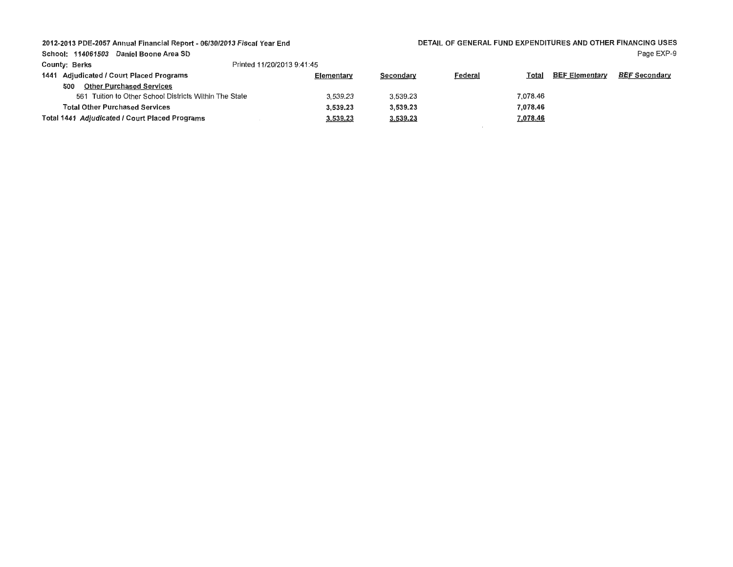| Printed 11/20/2013 9:41:45 |                                                    |                                                |                 |                       |                      |
|----------------------------|----------------------------------------------------|------------------------------------------------|-----------------|-----------------------|----------------------|
|                            | Secondary                                          | <b>Federal</b>                                 | <u>Total</u>    | <b>BEF Elementary</b> | <b>BEF Secondary</b> |
|                            |                                                    |                                                |                 |                       |                      |
|                            | 3.539.23                                           |                                                | 7.078.46        |                       |                      |
|                            | 3,539.23                                           |                                                | 7.078.46        |                       |                      |
|                            | 3,539.23                                           |                                                | <u>7,078.46</u> |                       |                      |
|                            | Tuition to Other School Districts Within The State | Elementary<br>3.539.23<br>3,539.23<br>3,539.23 |                 |                       |                      |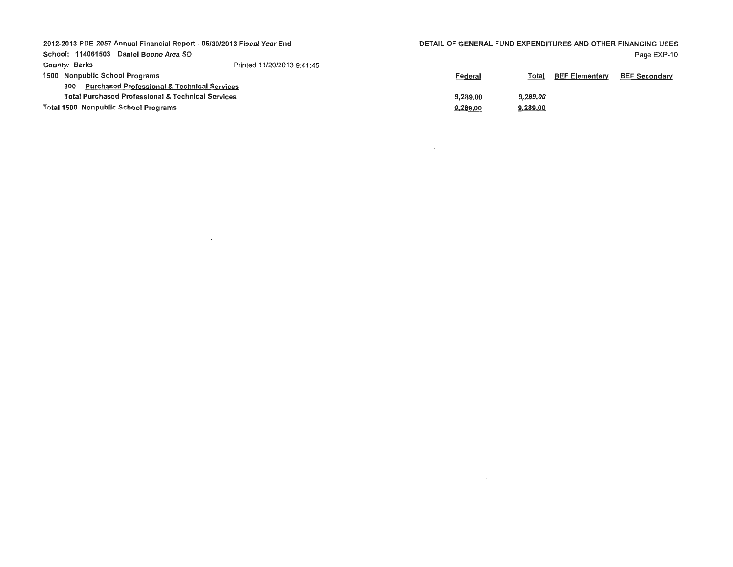| 2012-2013 PDE-2057 Annual Financial Report - 06/30/2013 Fiscal Year End |                                                              |                            | DETAIL OF GENERAL FUND EXPENDITURES AND OTHER FINANCING USES |          |                       |                      |
|-------------------------------------------------------------------------|--------------------------------------------------------------|----------------------------|--------------------------------------------------------------|----------|-----------------------|----------------------|
| School: 114061503                                                       | Daniel Boone Area SD                                         |                            |                                                              |          |                       | Page EXP-10          |
| <b>County: Berks</b>                                                    |                                                              | Printed 11/20/2013 9:41:45 |                                                              |          |                       |                      |
|                                                                         | 1500 Nonpublic School Programs                               |                            | Federal                                                      | Total    | <b>BEF Elementary</b> | <b>BEF Secondary</b> |
| 300                                                                     | <b>Purchased Professional &amp; Technical Services</b>       |                            |                                                              |          |                       |                      |
|                                                                         | <b>Total Purchased Professional &amp; Technical Services</b> |                            | 9.289.00                                                     | 9,289.00 |                       |                      |
|                                                                         | <b>Total 1500 Nonpublic School Programs</b>                  |                            | 9,289,00                                                     | 9,289,00 |                       |                      |

 $\mathcal{L}(\mathcal{L}^{\mathcal{L}})$  and  $\mathcal{L}(\mathcal{L}^{\mathcal{L}})$  and  $\mathcal{L}(\mathcal{L}^{\mathcal{L}})$  and  $\mathcal{L}(\mathcal{L}^{\mathcal{L}})$ 

 $\mathcal{L}(\mathcal{L}(\mathcal{L}))$  and  $\mathcal{L}(\mathcal{L}(\mathcal{L}))$  . The contribution of  $\mathcal{L}(\mathcal{L})$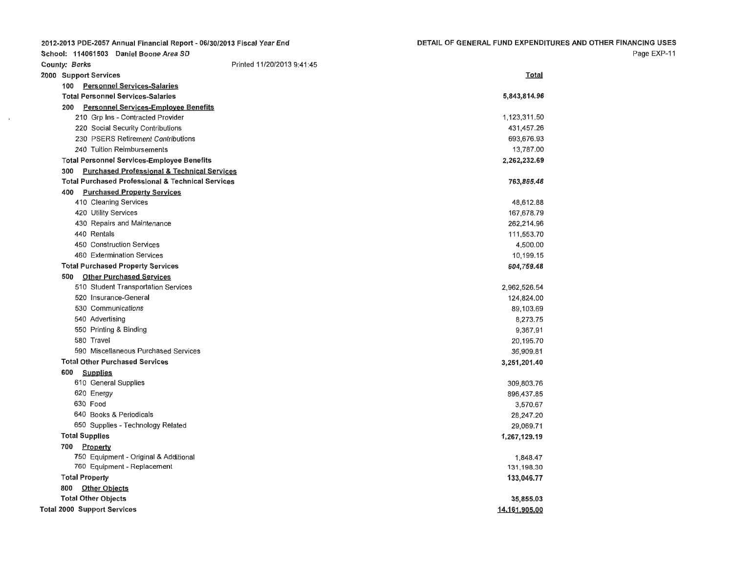| 2012-2013 PDE-2057 Annual Financial Report - 06/30/2013 Fiscal Year End |                            | DETAIL OF GENERAL FUND EXPENDITURES AND OTHER FINANCING USES |  |
|-------------------------------------------------------------------------|----------------------------|--------------------------------------------------------------|--|
| School: 114061503 Daniel Boone Area SD                                  |                            | Page EXP-11                                                  |  |
| <b>County: Berks</b>                                                    | Printed 11/20/2013 9:41:45 |                                                              |  |
| 2000 Support Services                                                   |                            | <b>Total</b>                                                 |  |
| 100 Personnel Services-Salaries                                         |                            |                                                              |  |
| <b>Total Personnel Services-Salaries</b>                                |                            | 5,843,814.96                                                 |  |
| <b>Personnel Services-Employee Benefits</b><br>200                      |                            |                                                              |  |
| 210 Grp Ins - Contracted Provider                                       |                            | 1,123,311.50                                                 |  |
| 220 Social Security Contributions                                       |                            | 431,457.26                                                   |  |
| 230 PSERS Retirement Contributions                                      |                            | 693,676.93                                                   |  |
| 240 Tuition Reimbursements                                              |                            | 13,787.00                                                    |  |
| <b>Total Personnel Services-Employee Benefits</b>                       |                            | 2,262,232.69                                                 |  |
| <b>Purchased Professional &amp; Technical Services</b><br>300           |                            |                                                              |  |
| <b>Total Purchased Professional &amp; Technical Services</b>            |                            | 763,865.48                                                   |  |
| <b>Purchased Property Services</b><br>400                               |                            |                                                              |  |
| 410 Cleaning Services                                                   |                            | 48,612.88                                                    |  |
| 420 Utility Services                                                    |                            | 167,678.79                                                   |  |
| 430 Repairs and Maintenance                                             |                            | 262,214.96                                                   |  |
| 440 Rentals                                                             |                            | 111,553.70                                                   |  |
| 450 Construction Services                                               |                            | 4.500.00                                                     |  |
| 460 Extermination Services                                              |                            | 10,199.15                                                    |  |
| <b>Total Purchased Property Services</b>                                |                            | 604,759.48                                                   |  |
| 500<br><b>Other Purchased Services</b>                                  |                            |                                                              |  |
| 510 Student Transportation Services                                     |                            | 2,962,526.54                                                 |  |
| 520 Insurance-General                                                   |                            | 124,824.00                                                   |  |
| 530 Communications                                                      |                            | 89,103.69                                                    |  |
| 540 Advertising                                                         |                            | 8,273.75                                                     |  |
| 550 Printing & Binding                                                  |                            | 9,367.91                                                     |  |
| 580 Travel                                                              |                            | 20,195.70                                                    |  |
| 590 Miscellaneous Purchased Services                                    |                            | 36,909.81                                                    |  |
| <b>Total Other Purchased Services</b>                                   |                            | 3,251,201.40                                                 |  |
| <b>Supplies</b><br>600                                                  |                            |                                                              |  |
| 610 General Supplies                                                    |                            | 309,803.76                                                   |  |
| 620 Energy                                                              |                            | 896,437.85                                                   |  |
| 630 Food                                                                |                            | 3,570.67                                                     |  |
| 640 Books & Periodicals                                                 |                            | 28,247.20                                                    |  |
| 650 Supplies - Technology Related                                       |                            | 29,069.71                                                    |  |
| <b>Total Supplies</b>                                                   |                            | 1,267,129.19                                                 |  |
| 700 Property                                                            |                            |                                                              |  |
| 750 Equipment - Original & Additional                                   |                            | 1,848.47                                                     |  |
| 760 Equipment - Replacement                                             |                            | 131,198.30                                                   |  |
| <b>Total Property</b>                                                   |                            | 133,046.77                                                   |  |
| 800 Other Objects                                                       |                            |                                                              |  |
| <b>Total Other Objects</b>                                              |                            | 35,855.03                                                    |  |
| <b>Total 2000 Support Services</b>                                      |                            | 14.161.905.00                                                |  |

 $\sim 10^{-1}$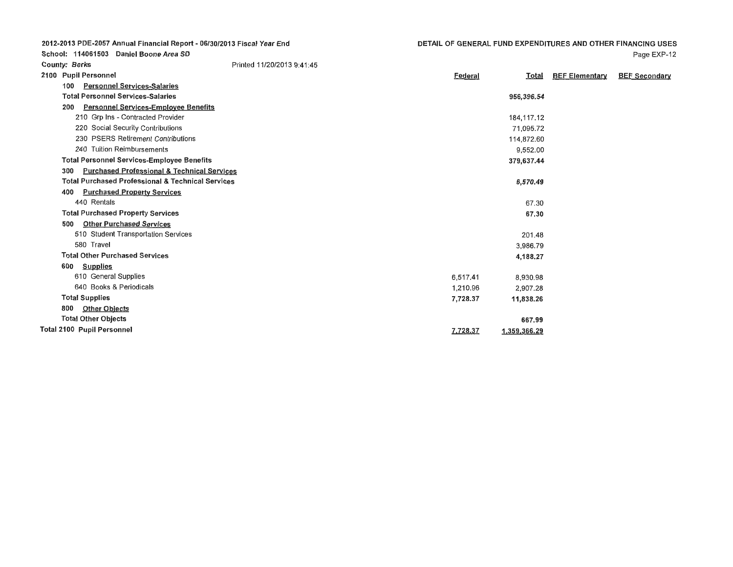|  | 2012-2013 PDE-2057 Annual Financial Report - 06/30/2013 Fiscal Year End |  |
|--|-------------------------------------------------------------------------|--|
|  | School: 114061503 Daniel Boone Area SD                                  |  |

| DETAIL OF GENERAL FUND EXPENDITURES AND OTHER FINANCING USES |
|--------------------------------------------------------------|
| Page EXP-12                                                  |

| <b>County: Berks</b>                                          | Printed 11/20/2013 9:41:45 |          |              |                       |                      |
|---------------------------------------------------------------|----------------------------|----------|--------------|-----------------------|----------------------|
| 2100 Pupil Personnel                                          |                            | Federal  | <b>Total</b> | <b>BEF Elementary</b> | <b>BEF Secondary</b> |
| <b>Personnel Services-Salaries</b><br>100                     |                            |          |              |                       |                      |
| <b>Total Personnel Services-Salaries</b>                      |                            |          | 956,396.54   |                       |                      |
| <b>Personnel Services-Employee Benefits</b><br>200            |                            |          |              |                       |                      |
| 210 Grp Ins - Contracted Provider                             |                            |          | 184.117.12   |                       |                      |
| 220 Social Security Contributions                             |                            |          | 71,095.72    |                       |                      |
| 230 PSERS Retirement Contributions                            |                            |          | 114,872.60   |                       |                      |
| 240 Tuition Reimbursements                                    |                            |          | 9,552,00     |                       |                      |
| <b>Total Personnel Services-Employee Benefits</b>             |                            |          | 379,637.44   |                       |                      |
| <b>Purchased Professional &amp; Technical Services</b><br>300 |                            |          |              |                       |                      |
| <b>Total Purchased Professional &amp; Technical Services</b>  |                            |          | 6,570.49     |                       |                      |
| <b>Purchased Property Services</b><br>400                     |                            |          |              |                       |                      |
| 440 Rentals                                                   |                            |          | 67.30        |                       |                      |
| <b>Total Purchased Property Services</b>                      |                            |          | 67.30        |                       |                      |
| <b>Other Purchased Services</b><br>500                        |                            |          |              |                       |                      |
| 510 Student Transportation Services                           |                            |          | 201.48       |                       |                      |
| 580 Travel                                                    |                            |          | 3,986.79     |                       |                      |
| <b>Total Other Purchased Services</b>                         |                            |          | 4,188.27     |                       |                      |
| <b>Supplies</b><br>600                                        |                            |          |              |                       |                      |
| 610 General Supplies                                          |                            | 6.517.41 | 8,930.98     |                       |                      |
| 640 Books & Periodicals                                       |                            | 1,210.96 | 2,907.28     |                       |                      |
| <b>Total Supplies</b>                                         |                            | 7,728.37 | 11,838.26    |                       |                      |
| 800<br><b>Other Objects</b>                                   |                            |          |              |                       |                      |
| <b>Total Other Objects</b>                                    |                            |          | 667.99       |                       |                      |
| <b>Total 2100 Pupil Personnel</b>                             |                            | 7,728.37 | 1,359,366.29 |                       |                      |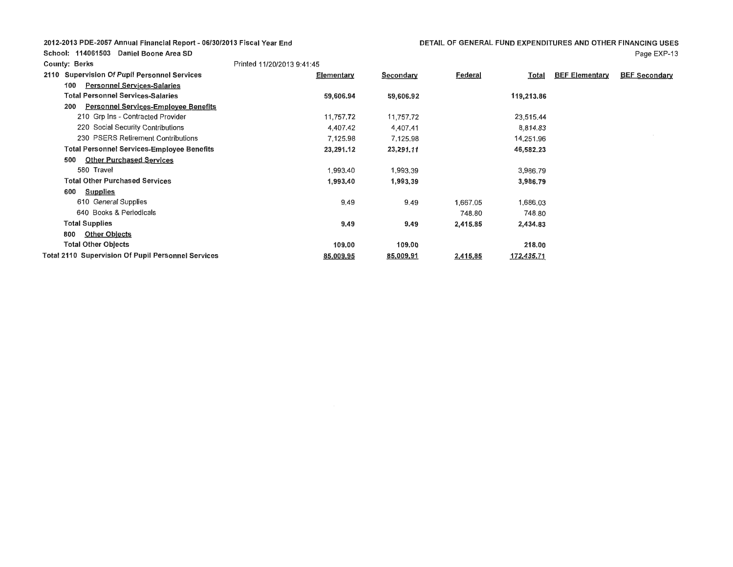School: 114061503 Daniel Boone Area SD

**County: Berks** 

| County: Berks                                             | Printed 11/20/2013 9:41:45 |                  |                |              |                       |                      |
|-----------------------------------------------------------|----------------------------|------------------|----------------|--------------|-----------------------|----------------------|
| 2110<br><b>Supervision Of Pupil Personnel Services</b>    | Elementary                 | <b>Secondary</b> | <b>Federal</b> | <b>Total</b> | <b>BEF Elementary</b> | <b>BEF Secondary</b> |
| 100<br><b>Personnel Services-Salaries</b>                 |                            |                  |                |              |                       |                      |
| <b>Total Personnel Services-Salaries</b>                  | 59,606.94                  | 59,606.92        |                | 119,213.86   |                       |                      |
| 200<br><b>Personnel Services-Employee Benefits</b>        |                            |                  |                |              |                       |                      |
| 210 Grp Ins - Contracted Provider                         | 11,757,72                  | 11,757.72        |                | 23,515,44    |                       |                      |
| 220 Social Security Contributions                         | 4,407.42                   | 4,407.41         |                | 8,814.83     |                       |                      |
| 230 PSERS Retirement Contributions                        | 7.125.98                   | 7,125.98         |                | 14,251,96    |                       |                      |
| <b>Total Personnel Services-Employee Benefits</b>         | 23,291.12                  | 23,291.11        |                | 46,582.23    |                       |                      |
| 500<br><b>Other Purchased Services</b>                    |                            |                  |                |              |                       |                      |
| 580 Travel                                                | 1.993.40                   | 1,993.39         |                | 3,986.79     |                       |                      |
| <b>Total Other Purchased Services</b>                     | 1,993.40                   | 1,993,39         |                | 3,986.79     |                       |                      |
| 600<br><b>Supplies</b>                                    |                            |                  |                |              |                       |                      |
| 610 General Supplies                                      | 9.49                       | 9.49             | 1,667.05       | 1,686.03     |                       |                      |
| 640 Books & Periodicals                                   |                            |                  | 748.80         | 748.80       |                       |                      |
| <b>Total Supplies</b>                                     | 9.49                       | 9,49             | 2,415.85       | 2,434.83     |                       |                      |
| <b>Other Objects</b><br>800                               |                            |                  |                |              |                       |                      |
| <b>Total Other Objects</b>                                | 109.00                     | 109.00           |                | 218.00       |                       |                      |
| <b>Total 2110 Supervision Of Pupil Personnel Services</b> | 85,009.95                  | 85,009,91        | 2,415,85       | 172,435.71   |                       |                      |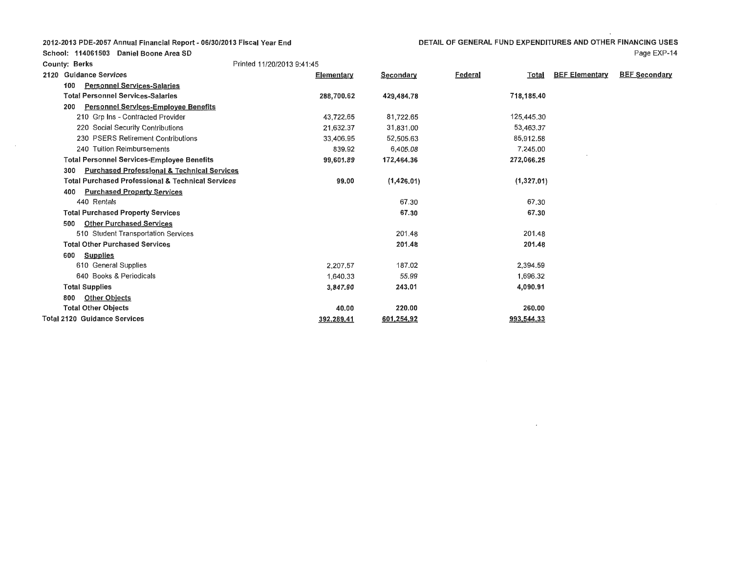School: 114061503 Daniel Boone Area SD

 $\sim 100$ 

DETAIL OF GENERAL FUND EXPENDITURES AND OTHER **FINANCING** USES Page EXP-14

 $\cdot$ 

 $\overline{\phantom{a}}$ 

|      | <b>County: Berks</b>                                          | Printed 11/20/2013 9:41:45 |            |                         |                       |                      |
|------|---------------------------------------------------------------|----------------------------|------------|-------------------------|-----------------------|----------------------|
| 2120 | <b>Guidance Services</b>                                      | Elementary                 | Secondary  | Federal<br><u>Total</u> | <b>BEF Elementary</b> | <b>BEF Secondary</b> |
|      | <b>Personnel Services-Salaries</b><br>100                     |                            |            |                         |                       |                      |
|      | <b>Total Personnel Services-Salaries</b>                      | 288,700.62                 | 429,484.78 | 718,185.40              |                       |                      |
|      | <b>Personnel Services-Employee Benefits</b><br>200            |                            |            |                         |                       |                      |
|      | 210 Grp Ins - Contracted Provider                             | 43,722.65                  | 81,722.65  | 125,445.30              |                       |                      |
|      | 220 Social Security Contributions                             | 21,632.37                  | 31,831.00  | 53,463.37               |                       |                      |
|      | 230 PSERS Retirement Contributions                            | 33,406.95                  | 52,505.63  | 85,912.58               |                       |                      |
|      | 240 Tuition Reimbursements                                    | 839.92                     | 6,405.08   | 7,245.00                |                       |                      |
|      | <b>Total Personnel Services-Employee Benefits</b>             | 99,601.89                  | 172,464.36 | 272,066.25              |                       |                      |
|      | <b>Purchased Professional &amp; Technical Services</b><br>300 |                            |            |                         |                       |                      |
|      | <b>Total Purchased Professional &amp; Technical Services</b>  | 99.00                      | (1,426.01) | (1,327.01)              |                       |                      |
|      | <b>Purchased Property Services</b><br>400                     |                            |            |                         |                       |                      |
|      | 440 Rentals                                                   |                            | 67.30      | 67.30                   |                       |                      |
|      | <b>Total Purchased Property Services</b>                      |                            | 67.30      | 67.30                   |                       |                      |
|      | <b>Other Purchased Services</b><br>500                        |                            |            |                         |                       |                      |
|      | 510 Student Transportation Services                           |                            | 201.48     | 201.48                  |                       |                      |
|      | <b>Total Other Purchased Services</b>                         |                            | 201.48     | 201.48                  |                       |                      |
|      | <b>Supplies</b><br>600                                        |                            |            |                         |                       |                      |
|      | 610 General Supplies                                          | 2,207,57                   | 187.02     | 2,394.59                |                       |                      |
|      | 640 Books & Periodicals                                       | 1,640.33                   | 55.99      | 1,696.32                |                       |                      |
|      | <b>Total Supplies</b>                                         | 3,847.90                   | 243,01     | 4,090.91                |                       |                      |
|      | <b>Other Objects</b><br>800                                   |                            |            |                         |                       |                      |
|      | <b>Total Other Objects</b>                                    | 40.00                      | 220.00     | 260.00                  |                       |                      |
|      | <b>Total 2120 Guidance Services</b>                           | 392,289.41                 | 601,254.92 | 993,544.33              |                       |                      |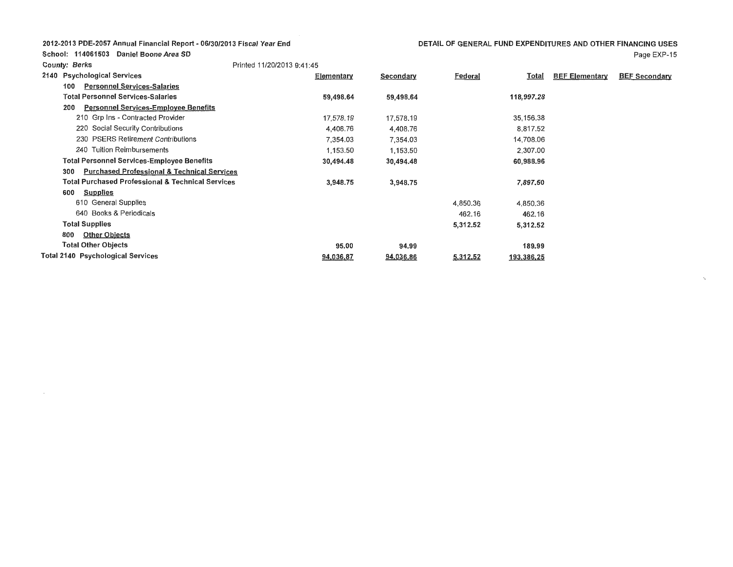School: 114061503 Daniel Boone Area SD

 $\sim$ 

| <b>County: Berks</b> |                                                              | Printed 11/20/2013 9:41:45 |                  |          |              |                       |                      |
|----------------------|--------------------------------------------------------------|----------------------------|------------------|----------|--------------|-----------------------|----------------------|
| 2140                 | <b>Psychological Services</b>                                | Elementary                 | <b>Secondary</b> | Federal  | <b>Total</b> | <b>BEF Elementary</b> | <b>BEF Secondary</b> |
| 100                  | <b>Personnel Services-Salaries</b>                           |                            |                  |          |              |                       |                      |
|                      | <b>Total Personnel Services-Salaries</b>                     | 59,498.64                  | 59,498.64        |          | 118,997.28   |                       |                      |
| 200                  | <b>Personnel Services-Employee Benefits</b>                  |                            |                  |          |              |                       |                      |
|                      | 210 Grp Ins - Contracted Provider                            | 17,578,19                  | 17,578.19        |          | 35,156.38    |                       |                      |
|                      | 220 Social Security Contributions                            | 4,408.76                   | 4,408.76         |          | 8,817.52     |                       |                      |
|                      | 230 PSERS Retirement Contributions                           | 7,354.03                   | 7,354.03         |          | 14,708.06    |                       |                      |
|                      | 240 Tuition Reimbursements                                   | 1,153.50                   | 1,153.50         |          | 2,307.00     |                       |                      |
|                      | <b>Total Personnel Services-Employee Benefits</b>            | 30,494.48                  | 30,494.48        |          | 60,988.96    |                       |                      |
| 300                  | <b>Purchased Professional &amp; Technical Services</b>       |                            |                  |          |              |                       |                      |
|                      | <b>Total Purchased Professional &amp; Technical Services</b> | 3,948.75                   | 3,948.75         |          | 7,897.50     |                       |                      |
| 600                  | <b>Supplies</b>                                              |                            |                  |          |              |                       |                      |
|                      | 610 General Supplies                                         |                            |                  | 4,850.36 | 4,850.36     |                       |                      |
|                      | 640 Books & Periodicals                                      |                            |                  | 462.16   | 462.16       |                       |                      |
|                      | <b>Total Supplies</b>                                        |                            |                  | 5,312.52 | 5,312.52     |                       |                      |
| 800                  | <b>Other Objects</b>                                         |                            |                  |          |              |                       |                      |
|                      | <b>Total Other Objects</b>                                   | 95.00                      | 94.99            |          | 189.99       |                       |                      |
|                      | <b>Total 2140 Psychological Services</b>                     | 94,036,87                  | 94,036,86        | 5,312,52 | 193,386,25   |                       |                      |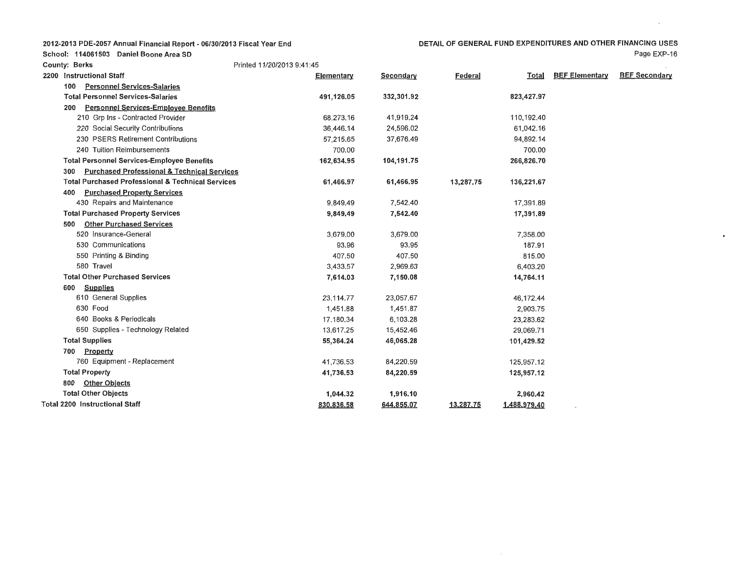**County: Berks** Printed 11/20/2013 9:41 :45

School: 114061503 Daniel Boone Area SD

DETAIL OF GENERAL FUND EXPENDITURES AND OTHER FINANCING USES

 $\sim$   $\sim$ 

| 2200 Instructional Staff                                      | Elementary | Secondary  | <b>Federal</b> | <b>Total</b> | <b>BEF Elementary</b> | <b>BEF Secondary</b> |
|---------------------------------------------------------------|------------|------------|----------------|--------------|-----------------------|----------------------|
| <b>Personnel Services-Salaries</b><br>100                     |            |            |                |              |                       |                      |
| <b>Total Personnel Services-Salaries</b>                      | 491,126.05 | 332,301.92 |                | 823,427.97   |                       |                      |
| <b>Personnel Services-Employee Benefits</b><br>200            |            |            |                |              |                       |                      |
| 210 Grp Ins - Contracted Provider                             | 68,273.16  | 41,919.24  |                | 110,192.40   |                       |                      |
| 220 Social Security Contributions                             | 36,446.14  | 24,596.02  |                | 61,042.16    |                       |                      |
| 230 PSERS Retirement Contributions                            | 57,215.65  | 37,676.49  |                | 94,892.14    |                       |                      |
| 240 Tuition Reimbursements                                    | 700.00     |            |                | 700.00       |                       |                      |
| <b>Total Personnel Services-Employee Benefits</b>             | 162,634.95 | 104,191.75 |                | 266,826.70   |                       |                      |
| <b>Purchased Professional &amp; Technical Services</b><br>300 |            |            |                |              |                       |                      |
| <b>Total Purchased Professional &amp; Technical Services</b>  | 61,466.97  | 61,466.95  | 13,287.75      | 136,221.67   |                       |                      |
| <b>Purchased Property Services</b><br>400                     |            |            |                |              |                       |                      |
| 430 Repairs and Maintenance                                   | 9,849.49   | 7,542.40   |                | 17,391.89    |                       |                      |
| <b>Total Purchased Property Services</b>                      | 9,849.49   | 7,542.40   |                | 17,391.89    |                       |                      |
| <b>Other Purchased Services</b><br>500                        |            |            |                |              |                       |                      |
| 520 Insurance-General                                         | 3,679.00   | 3,679.00   |                | 7,358.00     |                       |                      |
| 530 Communications                                            | 93.96      | 93.95      |                | 187.91       |                       |                      |
| 550 Printing & Binding                                        | 407.50     | 407.50     |                | 815.00       |                       |                      |
| 580 Travel                                                    | 3,433.57   | 2,969.63   |                | 6,403.20     |                       |                      |
| <b>Total Other Purchased Services</b>                         | 7,614.03   | 7,150.08   |                | 14,764.11    |                       |                      |
| <b>Supplies</b><br>600                                        |            |            |                |              |                       |                      |
| 610 General Supplies                                          | 23,114.77  | 23,057.67  |                | 46,172.44    |                       |                      |
| 630 Food                                                      | 1,451.88   | 1,451.87   |                | 2,903.75     |                       |                      |
| 640 Books & Periodicals                                       | 17,180.34  | 6,103.28   |                | 23,283.62    |                       |                      |
| 650 Supplies - Technology Related                             | 13,617.25  | 15,452.46  |                | 29,069.71    |                       |                      |
| <b>Total Supplies</b>                                         | 55,364.24  | 46,065.28  |                | 101,429.52   |                       |                      |
| Property<br>700                                               |            |            |                |              |                       |                      |
| 760 Equipment - Replacement                                   | 41,736.53  | 84,220.59  |                | 125,957,12   |                       |                      |
| <b>Total Property</b>                                         | 41,736.53  | 84,220.59  |                | 125,957.12   |                       |                      |
| <b>Other Objects</b><br>800                                   |            |            |                |              |                       |                      |
| <b>Total Other Objects</b>                                    | 1,044.32   | 1,916.10   |                | 2,960.42     |                       |                      |
| <b>Total 2200 Instructional Staff</b>                         | 830,836.58 | 644,855.07 | 13,287.75      | 1.488.979.40 |                       |                      |

Page EXP-16

 $\mathcal{L}^{\pm}$ 

 $\hat{\boldsymbol{r}}$ 

 $\mathcal{A}$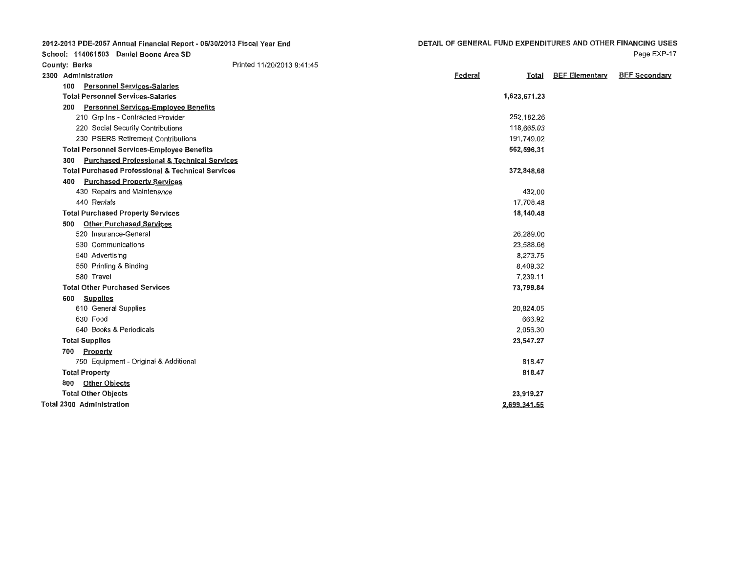| 2012-2013 PDE-2057 Annual Financial Report - 06/30/2013 Fiscal Year End |                            | DETAIL OF GENERAL FUND EXPENDITURES AND OTHER FINANCING USES |              |                       |                      |
|-------------------------------------------------------------------------|----------------------------|--------------------------------------------------------------|--------------|-----------------------|----------------------|
| School: 114061503 Daniel Boone Area SD                                  |                            |                                                              |              |                       | Page EXP-17          |
| <b>County: Berks</b>                                                    | Printed 11/20/2013 9:41:45 |                                                              |              |                       |                      |
| 2300 Administration                                                     |                            | <b>Federal</b>                                               | Total        | <b>BEF Elementary</b> | <b>BEF Secondary</b> |
| <b>Personnel Services-Salaries</b><br>100                               |                            |                                                              |              |                       |                      |
| <b>Total Personnel Services-Salaries</b>                                |                            |                                                              | 1,623,671.23 |                       |                      |
| <b>Personnel Services-Employee Benefits</b><br>200                      |                            |                                                              |              |                       |                      |
| 210 Grp Ins - Contracted Provider                                       |                            |                                                              | 252,182,26   |                       |                      |
| 220 Social Security Contributions                                       |                            |                                                              | 118,665.03   |                       |                      |
| 230 PSERS Retirement Contributions                                      |                            |                                                              | 191,749.02   |                       |                      |
| <b>Total Personnel Services-Employee Benefits</b>                       |                            |                                                              | 562,596.31   |                       |                      |
| <b>Purchased Professional &amp; Technical Services</b><br>300           |                            |                                                              |              |                       |                      |
| <b>Total Purchased Professional &amp; Technical Services</b>            |                            |                                                              | 372,848.68   |                       |                      |
| <b>Purchased Property Services</b><br>400                               |                            |                                                              |              |                       |                      |
| 430 Repairs and Maintenance                                             |                            |                                                              | 432.00       |                       |                      |
| 440 Rentals                                                             |                            |                                                              | 17,708.48    |                       |                      |
| <b>Total Purchased Property Services</b>                                |                            |                                                              | 18,140.48    |                       |                      |
| <b>Other Purchased Services</b><br>500                                  |                            |                                                              |              |                       |                      |
| 520 Insurance-General                                                   |                            |                                                              | 26,289,00    |                       |                      |
| 530 Communications                                                      |                            |                                                              | 23,588,66    |                       |                      |
| 540 Advertising                                                         |                            |                                                              | 8.273.75     |                       |                      |
| 550 Printing & Binding                                                  |                            |                                                              | 8,409.32     |                       |                      |
| 580 Travel                                                              |                            |                                                              | 7,239.11     |                       |                      |
| <b>Total Other Purchased Services</b>                                   |                            |                                                              | 73,799.84    |                       |                      |
| <b>Supplies</b><br>600                                                  |                            |                                                              |              |                       |                      |
| 610 General Supplies                                                    |                            |                                                              | 20.824.05    |                       |                      |
| 630 Food                                                                |                            |                                                              | 666.92       |                       |                      |
| 640 Books & Periodicals                                                 |                            |                                                              | 2,056.30     |                       |                      |
| <b>Total Supplies</b>                                                   |                            |                                                              | 23,547.27    |                       |                      |
| Property<br>700                                                         |                            |                                                              |              |                       |                      |
| 750 Equipment - Original & Additional                                   |                            |                                                              | 818.47       |                       |                      |

818.47 **818.47** 

**23,919.27 2,699,341.55** 

**Total Property 800 Other Objects Total Other Objects Total 2300 Administration**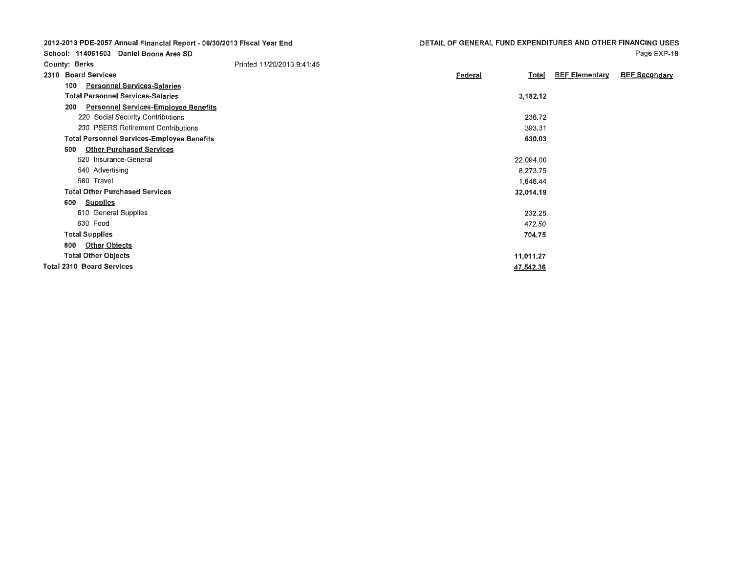| 2012-2013 PDE-2057 Annual Financial Report - 06/30/2013 Fiscal Year End | DETAIL OF GENERAL FUND E)  |         |
|-------------------------------------------------------------------------|----------------------------|---------|
| School: 114061503 Daniel Boone Area SD                                  |                            |         |
| <b>County: Berks</b>                                                    | Printed 11/20/2013 9:41:45 |         |
| 2310 Board Services                                                     |                            | Federal |
| <b>Personnel Services-Salaries</b><br>100                               |                            |         |
|                                                                         |                            |         |

| 2310 | <b>Board Services</b>                              | <b>Federal</b><br><b>Total</b> | <b>BEF Elementary</b> | <b>BEF Secondary</b> |
|------|----------------------------------------------------|--------------------------------|-----------------------|----------------------|
|      | <b>Personnel Services-Salaries</b><br>100          |                                |                       |                      |
|      | <b>Total Personnel Services-Salaries</b>           | 3,182.12                       |                       |                      |
|      | <b>Personnel Services-Employee Benefits</b><br>200 |                                |                       |                      |
|      | 220 Social Security Contributions                  | 236,72                         |                       |                      |
|      | 230 PSERS Retirement Contributions                 | 393.31                         |                       |                      |
|      | <b>Total Personnel Services-Employee Benefits</b>  | 630.03                         |                       |                      |
|      | <b>Other Purchased Services</b><br>500             |                                |                       |                      |
|      | 520 Insurance-General                              | 22,094.00                      |                       |                      |
|      | 540 Advertising                                    | 8,273.75                       |                       |                      |
|      | 580 Travel                                         | 1,646.44                       |                       |                      |
|      | <b>Total Other Purchased Services</b>              | 32,014.19                      |                       |                      |
|      | <b>Supplies</b><br>600                             |                                |                       |                      |
|      | 610 General Supplies                               | 232.25                         |                       |                      |
|      | 630 Food                                           | 472.50                         |                       |                      |
|      | <b>Total Supplies</b>                              | 704.75                         |                       |                      |
|      | <b>Other Objects</b><br>800                        |                                |                       |                      |
|      | <b>Total Other Objects</b>                         | 11,011.27                      |                       |                      |
|      | <b>Total 2310 Board Services</b>                   | 47,542.36                      |                       |                      |
|      |                                                    |                                |                       |                      |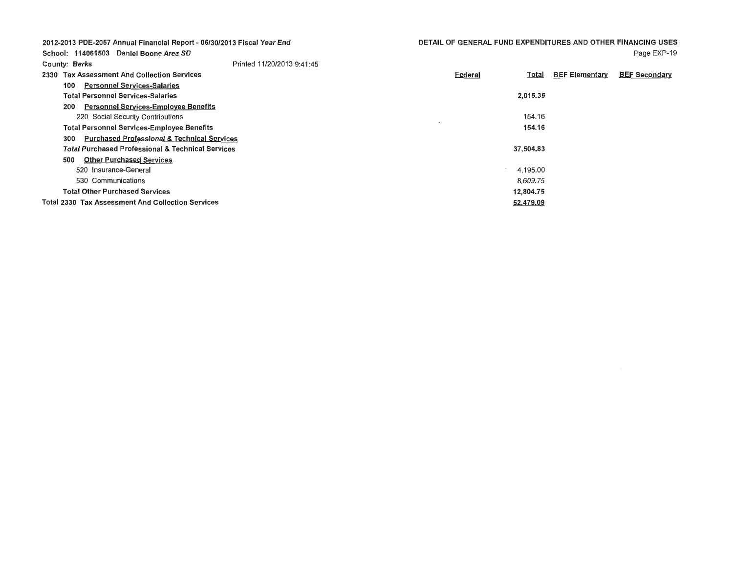| 2012-2013 PDE-2057 Annual Financial Report - 06/30/2013 Fiscal Year End |                                                              |                            |         | DETAIL OF GENERAL FUND EXPENDITURES AND OTHER FINANCING USES |                       |                      |  |
|-------------------------------------------------------------------------|--------------------------------------------------------------|----------------------------|---------|--------------------------------------------------------------|-----------------------|----------------------|--|
|                                                                         | School: 114061503 Daniel Boone Area SD                       |                            |         |                                                              |                       | Page EXP-19          |  |
| <b>County: Berks</b>                                                    |                                                              | Printed 11/20/2013 9:41:45 |         |                                                              |                       |                      |  |
|                                                                         | 2330 Tax Assessment And Collection Services                  |                            | Federal | Total                                                        | <b>BEF Elementary</b> | <b>BEF Secondary</b> |  |
| 100                                                                     | <b>Personnel Services-Salaries</b>                           |                            |         |                                                              |                       |                      |  |
|                                                                         | Total Personnel Services-Salaries                            |                            |         | 2,015.35                                                     |                       |                      |  |
| 200                                                                     | <b>Personnel Services-Employee Benefits</b>                  |                            |         |                                                              |                       |                      |  |
|                                                                         | 220 Social Security Contributions                            |                            |         | 154.16                                                       |                       |                      |  |
|                                                                         | <b>Total Personnel Services-Employee Benefits</b>            |                            |         | 154.16                                                       |                       |                      |  |
| 300                                                                     | <b>Purchased Professional &amp; Technical Services</b>       |                            |         |                                                              |                       |                      |  |
|                                                                         | <b>Total Purchased Professional &amp; Technical Services</b> |                            |         | 37,504.83                                                    |                       |                      |  |
| 500                                                                     | <b>Other Purchased Services</b>                              |                            |         |                                                              |                       |                      |  |
|                                                                         | 520 Insurance-General                                        |                            |         | 4,195.00                                                     |                       |                      |  |
|                                                                         | 530 Communications                                           |                            |         | 8.609.75                                                     |                       |                      |  |
|                                                                         | <b>Total Other Purchased Services</b>                        |                            |         | 12,804.75                                                    |                       |                      |  |
|                                                                         | <b>Total 2330 Tax Assessment And Collection Services</b>     |                            |         | 52.479.09                                                    |                       |                      |  |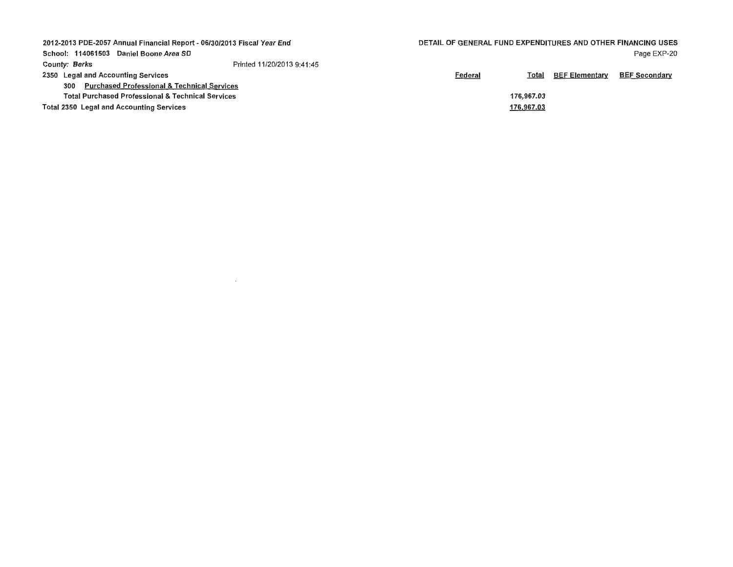| 2012-2013 PDE-2057 Annual Financial Report - 06/30/2013 Fiscal Year End |                                                        |                            |         | DETAIL OF GENERAL FUND EXPENDITURES AND OTHER FINANCING USES |                       |                      |  |
|-------------------------------------------------------------------------|--------------------------------------------------------|----------------------------|---------|--------------------------------------------------------------|-----------------------|----------------------|--|
|                                                                         | School: 114061503<br>Daniel Boone Area SD              |                            |         |                                                              |                       | Page EXP-20          |  |
| <b>County: Berks</b>                                                    |                                                        | Printed 11/20/2013 9:41:45 |         |                                                              |                       |                      |  |
|                                                                         | 2350 Legal and Accounting Services                     |                            | Federal | Total                                                        | <b>BEF Elementary</b> | <b>BEF Secondary</b> |  |
| 300                                                                     | <b>Purchased Professional &amp; Technical Services</b> |                            |         |                                                              |                       |                      |  |
| <b>Total Purchased Professional &amp; Technical Services</b>            |                                                        |                            |         | 176.967.03                                                   |                       |                      |  |
|                                                                         | <b>Total 2350 Legal and Accounting Services</b>        |                            |         | 176,967.03                                                   |                       |                      |  |

 $\label{eq:2.1} \mathcal{L}(\mathcal{L}^{\mathcal{L}}_{\mathcal{L}}(\mathcal{L}^{\mathcal{L}}_{\mathcal{L}})) = \mathcal{L}(\mathcal{L}^{\mathcal{L}}_{\mathcal{L}}(\mathcal{L}^{\mathcal{L}}_{\mathcal{L}})) = \mathcal{L}(\mathcal{L}^{\mathcal{L}}_{\mathcal{L}}(\mathcal{L}^{\mathcal{L}}_{\mathcal{L}}))$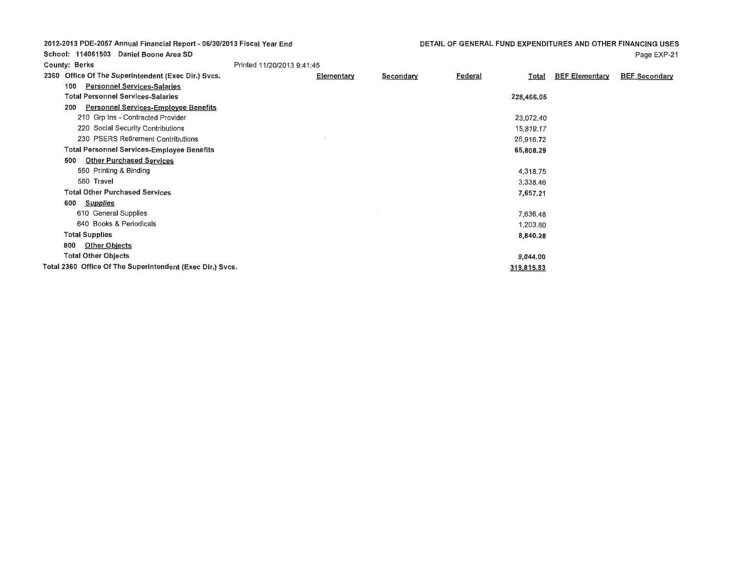| <b>County: Berks</b>                                      | Printed 11/20/2013 9:41:45 |                   |                  |                |              |                       |                      |
|-----------------------------------------------------------|----------------------------|-------------------|------------------|----------------|--------------|-----------------------|----------------------|
| Office Of The Superintendent (Exec Dir.) Svcs.<br>2360    |                            | <b>Elementary</b> | <b>Secondary</b> | <b>Federal</b> | <u>Total</u> | <b>BEF Elementary</b> | <b>BEF Secondary</b> |
| <b>Personnel Services-Salaries</b><br>100                 |                            |                   |                  |                |              |                       |                      |
| <b>Total Personnel Services-Salaries</b>                  |                            |                   |                  |                | 228,466.05   |                       |                      |
| <b>Personnel Services-Employee Benefits</b><br>200        |                            |                   |                  |                |              |                       |                      |
| 210 Grp Ins - Contracted Provider                         |                            |                   |                  |                | 23,072.40    |                       |                      |
| 220 Social Security Contributions                         |                            |                   |                  |                | 15,819.17    |                       |                      |
| 230 PSERS Retirement Contributions                        |                            |                   |                  |                | 26,916.72    |                       |                      |
| <b>Total Personnel Services-Employee Benefits</b>         |                            |                   |                  |                | 65,808.29    |                       |                      |
| <b>Other Purchased Services</b><br>500                    |                            |                   |                  |                |              |                       |                      |
| 550 Printing & Binding                                    |                            |                   |                  |                | 4,318.75     |                       |                      |
| 580 Travel                                                |                            |                   |                  |                | 3,338.46     |                       |                      |
| <b>Total Other Purchased Services</b>                     |                            |                   |                  |                | 7,657.21     |                       |                      |
| 600<br><b>Supplies</b>                                    |                            |                   |                  |                |              |                       |                      |
| 610 General Supplies                                      |                            |                   |                  |                | 7,636.48     |                       |                      |
| 640 Books & Periodicals                                   |                            |                   |                  |                | 1,203,80     |                       |                      |
| <b>Total Supplies</b>                                     |                            |                   |                  |                | 8,840.28     |                       |                      |
| <b>Other Objects</b><br>800                               |                            |                   |                  |                |              |                       |                      |
| <b>Total Other Objects</b>                                |                            |                   |                  |                | 9,044.00     |                       |                      |
| Total 2360 Office Of The Superintendent (Exec Dir.) Svcs. |                            |                   |                  |                | 319,815.83   |                       |                      |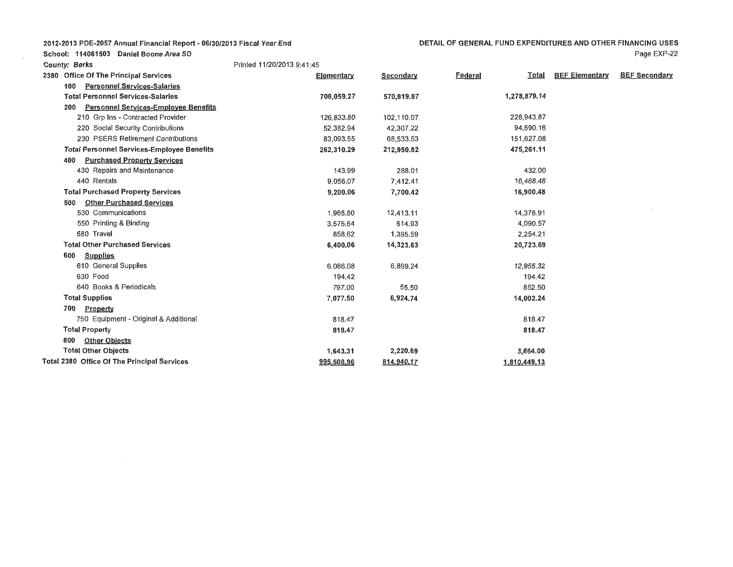| <b>County: Berks</b>                               | Printed 11/20/2013 9:41:45 |            |                         |                       |                      |
|----------------------------------------------------|----------------------------|------------|-------------------------|-----------------------|----------------------|
| 2380 Office Of The Principal Services              | Elementary                 | Secondary  | <b>Federal</b><br>Total | <b>BEF Elementary</b> | <b>BEF Secondary</b> |
| <b>Personnel Services-Salaries</b><br>100          |                            |            |                         |                       |                      |
| <b>Total Personnel Services-Salaries</b>           | 708,059.27                 | 570,819.87 | 1,278,879.14            |                       |                      |
| Personnel Services-Employee Benefits<br>200        |                            |            |                         |                       |                      |
| 210 Grp Ins - Contracted Provider                  | 126.833.80                 | 102,110.07 | 228,943.87              |                       |                      |
| 220 Social Security Contributions                  | 52,382.94                  | 42,307.22  | 94,690,16               |                       |                      |
| 230 PSERS Retirement Contributions                 | 83,093.55                  | 68,533.53  | 151,627.08              |                       |                      |
| <b>Total Personnel Services-Employee Benefits</b>  | 262,310.29                 | 212,950.82 | 475,261.11              |                       |                      |
| <b>Purchased Property Services</b><br>400          |                            |            |                         |                       |                      |
| 430 Repairs and Maintenance                        | 143.99                     | 288.01     | 432.00                  |                       |                      |
| 440 Rentals                                        | 9,056.07                   | 7,412.41   | 16,468.48               |                       |                      |
| <b>Total Purchased Property Services</b>           | 9,200.06                   | 7,700.42   | 16,900.48               |                       |                      |
| <b>Other Purchased Services</b><br>500             |                            |            |                         |                       |                      |
| 530 Communications                                 | 1,965.80                   | 12,413.11  | 14,378.91               |                       |                      |
| 550 Printing & Binding                             | 3,575.64                   | 514.93     | 4,090,57                |                       |                      |
| 580 Travel                                         | 858.62                     | 1,395.59   | 2,254.21                |                       |                      |
| <b>Total Other Purchased Services</b>              | 6,400.06                   | 14,323.63  | 20,723.69               |                       |                      |
| <b>Supplies</b><br>600                             |                            |            |                         |                       |                      |
| 610 General Supplies                               | 6.086.08                   | 6,869.24   | 12,955.32               |                       |                      |
| 630 Food                                           | 194.42                     |            | 194.42                  |                       |                      |
| 640 Books & Periodicals                            | 797.00                     | 55.50      | 852.50                  |                       |                      |
| <b>Total Supplies</b>                              | 7,077.50                   | 6,924.74   | 14,002.24               |                       |                      |
| <b>Property</b><br>700                             |                            |            |                         |                       |                      |
| 750 Equipment - Original & Additional              | 818.47                     |            | 818.47                  |                       |                      |
| <b>Total Property</b>                              | 818.47                     |            | 818.47                  |                       |                      |
| <b>Other Objects</b><br>800                        |                            |            |                         |                       |                      |
| <b>Total Other Objects</b>                         | 1,643.31                   | 2,220.69   | 3,864.00                |                       |                      |
| <b>Total 2380 Office Of The Principal Services</b> | 995,508,96                 | 814,940,17 | 1,810,449,13            |                       |                      |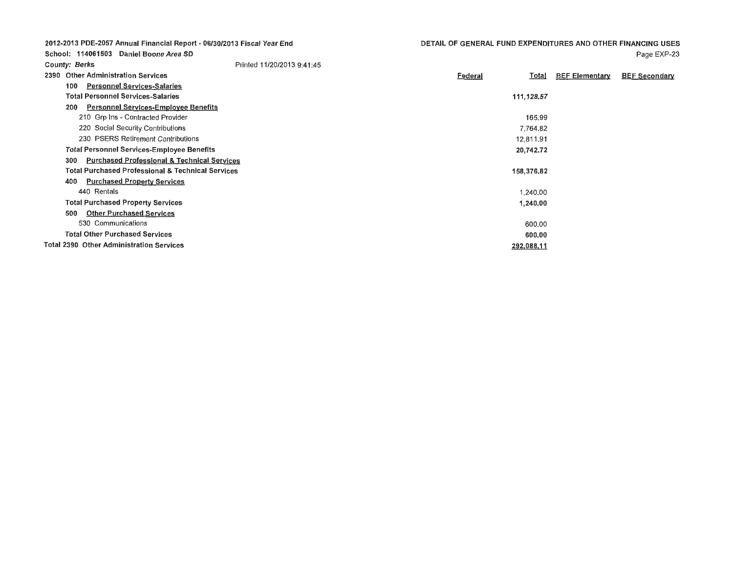| <b>County: Berks</b>                                          | Printed 11/20/2013 9:41:45 |                                |                       |                      |
|---------------------------------------------------------------|----------------------------|--------------------------------|-----------------------|----------------------|
| 2390 Other Administration Services                            |                            | <b>Federal</b><br><u>Total</u> | <b>BEF Elementary</b> | <b>BEF Secondary</b> |
| <b>Personnel Services-Salaries</b><br>100                     |                            |                                |                       |                      |
| <b>Total Personnel Services-Salaries</b>                      |                            | 111,128.57                     |                       |                      |
| <b>Personnel Services-Employee Benefits</b><br>200            |                            |                                |                       |                      |
| 210 Grp Ins - Contracted Provider                             |                            | 165,99                         |                       |                      |
| 220 Social Security Contributions                             |                            | 7.764.82                       |                       |                      |
| 230 PSERS Retirement Contributions                            |                            | 12,811.91                      |                       |                      |
| <b>Total Personnel Services-Employee Benefits</b>             |                            | 20,742.72                      |                       |                      |
| <b>Purchased Professional &amp; Technical Services</b><br>300 |                            |                                |                       |                      |
| <b>Total Purchased Professional &amp; Technical Services</b>  |                            | 158,376.82                     |                       |                      |
| <b>Purchased Property Services</b><br>400                     |                            |                                |                       |                      |
| 440 Rentals                                                   |                            | 1,240.00                       |                       |                      |
| <b>Total Purchased Property Services</b>                      |                            | 1,240.00                       |                       |                      |
| <b>Other Purchased Services</b><br>500                        |                            |                                |                       |                      |
| 530 Communications                                            |                            | 600.00                         |                       |                      |
| <b>Total Other Purchased Services</b>                         |                            | 600,00                         |                       |                      |
| <b>Total 2390 Other Administration Services</b>               |                            | 292,088,11                     |                       |                      |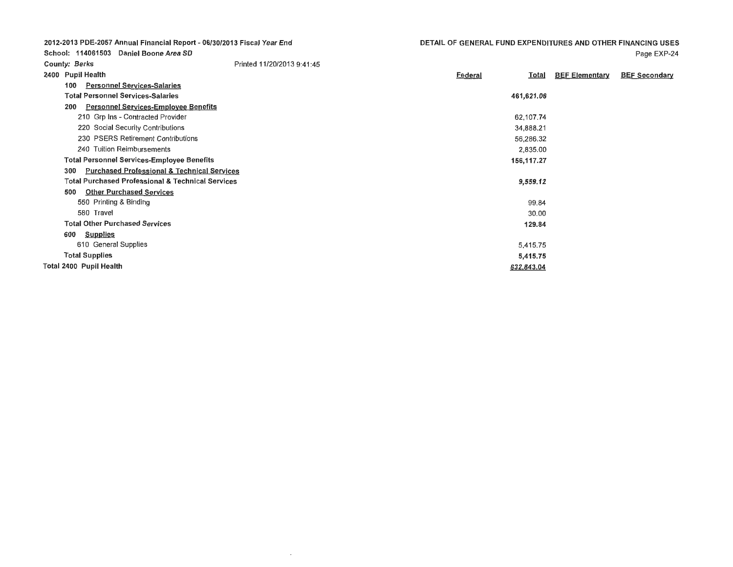| 2012-2013 PDE-2057 Annual Financial Report - 06/30/2013 Fiscal Year End |                                                        |                            |                | DETAIL OF GENERAL FUND EXPENDITURES AND OTHER FINANCING USES |                       |                      |  |
|-------------------------------------------------------------------------|--------------------------------------------------------|----------------------------|----------------|--------------------------------------------------------------|-----------------------|----------------------|--|
|                                                                         | School: 114061503 Daniel Boone Area SD                 |                            |                |                                                              |                       | Page EXP-24          |  |
| <b>County: Berks</b>                                                    |                                                        | Printed 11/20/2013 9:41:45 |                |                                                              |                       |                      |  |
| 2400 Pupil Health                                                       |                                                        |                            | <b>Federal</b> | <u>Total</u>                                                 | <b>BEF Elementary</b> | <b>BEF Secondary</b> |  |
| 100                                                                     | <b>Personnel Services-Salaries</b>                     |                            |                |                                                              |                       |                      |  |
|                                                                         | <b>Total Personnel Services-Salaries</b>               |                            |                | 461,621.06                                                   |                       |                      |  |
| 200                                                                     | <b>Personnel Services-Employee Benefits</b>            |                            |                |                                                              |                       |                      |  |
|                                                                         | 210 Grp Ins - Contracted Provider                      |                            |                | 62.107.74                                                    |                       |                      |  |
|                                                                         | 220 Social Security Contributions                      |                            |                | 34,888.21                                                    |                       |                      |  |
|                                                                         | 230 PSERS Retirement Contributions                     |                            |                | 56,286.32                                                    |                       |                      |  |
|                                                                         | 240 Tuition Reimbursements                             |                            |                | 2.835.00                                                     |                       |                      |  |
|                                                                         | <b>Total Personnel Services-Employee Benefits</b>      |                            |                | 156,117.27                                                   |                       |                      |  |
| 300                                                                     | <b>Purchased Professional &amp; Technical Services</b> |                            |                |                                                              |                       |                      |  |
|                                                                         | Total Purchased Professional & Technical Services      |                            |                | 9,559.12                                                     |                       |                      |  |
| 500                                                                     | <b>Other Purchased Services</b>                        |                            |                |                                                              |                       |                      |  |
|                                                                         | 550 Printing & Binding                                 |                            |                | 99.84                                                        |                       |                      |  |
|                                                                         | 580 Travel                                             |                            |                | 30.00                                                        |                       |                      |  |
|                                                                         | <b>Total Other Purchased Services</b>                  |                            |                | 129.84                                                       |                       |                      |  |
| 600                                                                     | <b>Supplies</b>                                        |                            |                |                                                              |                       |                      |  |
|                                                                         | 610 General Supplies                                   |                            |                | 5,415.75                                                     |                       |                      |  |

 $\sim$ 

5,415.75 632.843.04

**Total Supplies Total 2400 Pupil Health**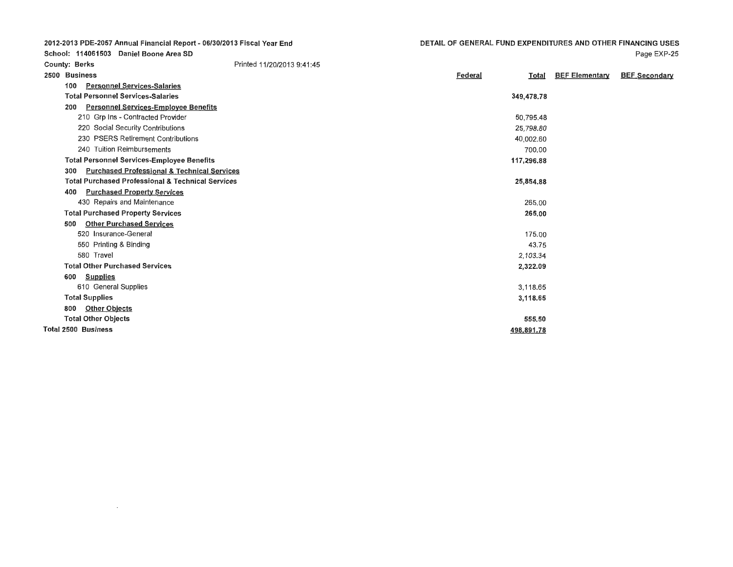| 2012-2013 PDE-2057 Annual Financial Report - 06/30/2013 Fiscal Year End<br>School: 114061503 Daniel Boone Area SD |                                                              |                            |                                | DETAIL OF GENERAL FUND EXPENDITURES AND OTHER FINANCING USES |
|-------------------------------------------------------------------------------------------------------------------|--------------------------------------------------------------|----------------------------|--------------------------------|--------------------------------------------------------------|
|                                                                                                                   |                                                              | Printed 11/20/2013 9:41:45 |                                | Page EXP-25                                                  |
| <b>County: Berks</b>                                                                                              |                                                              |                            |                                |                                                              |
| 2500 Business                                                                                                     |                                                              |                            | <b>Federal</b><br><b>Total</b> | <b>BEF Elementary</b><br><b>BEF Secondary</b>                |
| 100                                                                                                               | <b>Personnel Services-Salaries</b>                           |                            |                                |                                                              |
|                                                                                                                   | <b>Total Personnel Services-Salaries</b>                     |                            | 349,478.78                     |                                                              |
| 200                                                                                                               | <b>Personnel Services-Employee Benefits</b>                  |                            |                                |                                                              |
|                                                                                                                   | 210 Grp Ins - Contracted Provider                            |                            | 50,795,48                      |                                                              |
|                                                                                                                   | 220 Social Security Contributions                            |                            | 25,798.80                      |                                                              |
|                                                                                                                   | 230 PSERS Retirement Contributions                           |                            | 40,002.60                      |                                                              |
|                                                                                                                   | 240 Tuition Reimbursements                                   |                            | 700.00                         |                                                              |
|                                                                                                                   | <b>Total Personnel Services-Employee Benefits</b>            |                            | 117,296.88                     |                                                              |
| 300                                                                                                               | <b>Purchased Professional &amp; Technical Services</b>       |                            |                                |                                                              |
|                                                                                                                   | <b>Total Purchased Professional &amp; Technical Services</b> |                            | 25,854.88                      |                                                              |
| 400                                                                                                               | <b>Purchased Property Services</b>                           |                            |                                |                                                              |
|                                                                                                                   | 430 Repairs and Maintenance                                  |                            | 265.00                         |                                                              |
|                                                                                                                   | <b>Total Purchased Property Services</b>                     |                            | 265.00                         |                                                              |
| 500                                                                                                               | <b>Other Purchased Services</b>                              |                            |                                |                                                              |
|                                                                                                                   | 520 Insurance-General                                        |                            | 175.00                         |                                                              |
|                                                                                                                   | 550 Printing & Binding                                       |                            | 43.75                          |                                                              |
|                                                                                                                   | 580 Travel                                                   |                            | 2,103.34                       |                                                              |
|                                                                                                                   | <b>Total Other Purchased Services</b>                        |                            | 2,322.09                       |                                                              |
| 600                                                                                                               | <b>Supplies</b>                                              |                            |                                |                                                              |
|                                                                                                                   | 610 General Supplies                                         |                            | 3,118.65                       |                                                              |
|                                                                                                                   | <b>Total Supplies</b>                                        |                            | 3,118.65                       |                                                              |
| 800                                                                                                               | <b>Other Objects</b>                                         |                            |                                |                                                              |

**555.50 498.891.78** 

**Total Other Objects** 

 $\sim 1000$  km s  $^{-1}$ 

**Total 2500 Business**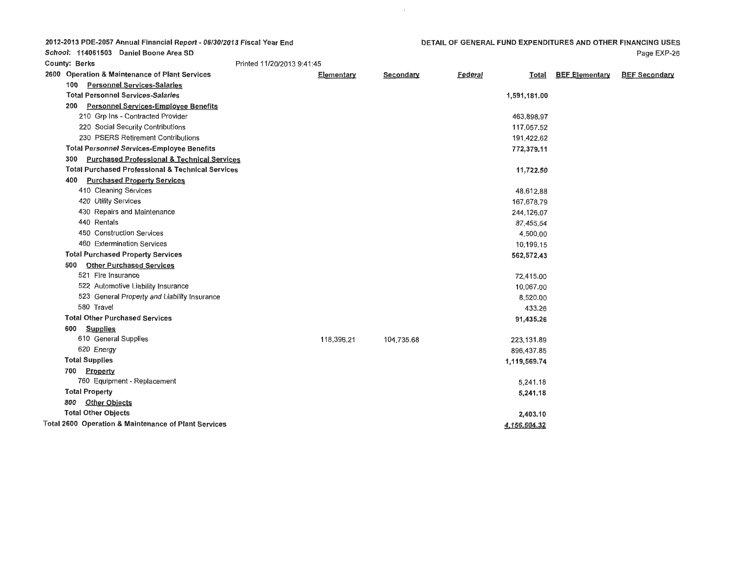School: 114061503 Daniel Boone Area SD

| <b>County: Berks</b>        |                                                              | Printed 11/20/2013 9:41:45 |                   |                  |                |              |                       |                      |
|-----------------------------|--------------------------------------------------------------|----------------------------|-------------------|------------------|----------------|--------------|-----------------------|----------------------|
|                             | 2600 Operation & Maintenance of Plant Services               |                            | <b>Elementary</b> | <b>Secondary</b> | <b>Federal</b> | <b>Total</b> | <b>BEF Elementary</b> | <b>BEF Secondary</b> |
| 100                         | <b>Personnel Services-Salaries</b>                           |                            |                   |                  |                |              |                       |                      |
|                             | <b>Total Personnel Services-Salaries</b>                     |                            |                   |                  |                | 1,591,181.00 |                       |                      |
| 200                         | <b>Personnel Services-Employee Benefits</b>                  |                            |                   |                  |                |              |                       |                      |
|                             | 210 Grp Ins - Contracted Provider                            |                            |                   |                  |                | 463,898.97   |                       |                      |
|                             | 220 Social Security Contributions                            |                            |                   |                  |                | 117,057.52   |                       |                      |
|                             | 230 PSERS Retirement Contributions                           |                            |                   |                  |                | 191,422.62   |                       |                      |
|                             | <b>Total Personnel Services-Employee Benefits</b>            |                            |                   |                  |                | 772,379.11   |                       |                      |
| 300                         | <b>Purchased Professional &amp; Technical Services</b>       |                            |                   |                  |                |              |                       |                      |
|                             | <b>Total Purchased Professional &amp; Technical Services</b> |                            |                   |                  |                | 11,722.50    |                       |                      |
| 400                         | <b>Purchased Property Services</b>                           |                            |                   |                  |                |              |                       |                      |
|                             | 410 Cleaning Services                                        |                            |                   |                  |                | 48,612.88    |                       |                      |
|                             | 420 Utility Services                                         |                            |                   |                  |                | 167,678.79   |                       |                      |
|                             | 430 Repairs and Maintenance                                  |                            |                   |                  |                | 244,126.07   |                       |                      |
| 440 Rentals                 |                                                              |                            |                   |                  |                | 87,455.54    |                       |                      |
|                             | 450 Construction Services                                    |                            |                   |                  |                | 4,500.00     |                       |                      |
|                             | 460 Extermination Services                                   |                            |                   |                  |                | 10,199.15    |                       |                      |
|                             | <b>Total Purchased Property Services</b>                     |                            |                   |                  |                | 562,572.43   |                       |                      |
| 500                         | <b>Other Purchased Services</b>                              |                            |                   |                  |                |              |                       |                      |
|                             | 521 Fire Insurance                                           |                            |                   |                  |                | 72,415.00    |                       |                      |
|                             | 522 Automotive Liability Insurance                           |                            |                   |                  |                | 10,067.00    |                       |                      |
|                             | 523 General Property and Liability Insurance                 |                            |                   |                  |                | 8,520.00     |                       |                      |
| 580 Travel                  |                                                              |                            |                   |                  |                | 433.26       |                       |                      |
|                             | <b>Total Other Purchased Services</b>                        |                            |                   |                  |                | 91,435.26    |                       |                      |
| 600<br><b>Supplies</b>      |                                                              |                            |                   |                  |                |              |                       |                      |
|                             | 610 General Supplies                                         |                            | 118,396.21        | 104,735.68       |                | 223,131.89   |                       |                      |
| 620 Energy                  |                                                              |                            |                   |                  |                | 896,437.85   |                       |                      |
| <b>Total Supplies</b>       |                                                              |                            |                   |                  |                | 1,119,569.74 |                       |                      |
| <b>Property</b><br>700      |                                                              |                            |                   |                  |                |              |                       |                      |
|                             | 760 Equipment - Replacement                                  |                            |                   |                  |                | 5,241.18     |                       |                      |
| <b>Total Property</b>       |                                                              |                            |                   |                  |                | 5,241.18     |                       |                      |
| <b>Other Objects</b><br>800 |                                                              |                            |                   |                  |                |              |                       |                      |
| <b>Total Other Objects</b>  |                                                              |                            |                   |                  |                | 2,403.10     |                       |                      |
|                             | Total 2600 Operation & Maintenance of Plant Services         |                            |                   |                  |                | 4,156,504.32 |                       |                      |

 $\sim$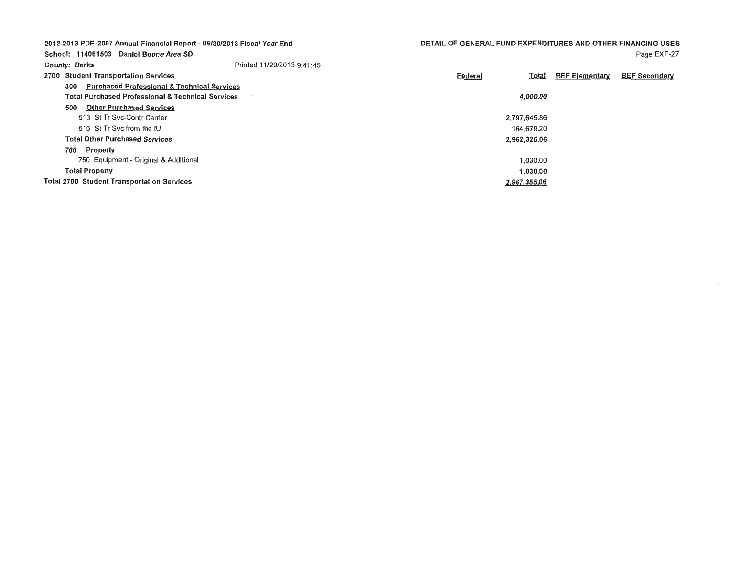| 2012-2013 PDE-2057 Annual Financial Report - 06/30/2013 Fiscal Year End |                            | DETAIL OF GENERAL FUND EXPENDITURES AND OTHER FINANCING USES |              |                       |                      |
|-------------------------------------------------------------------------|----------------------------|--------------------------------------------------------------|--------------|-----------------------|----------------------|
| School: 114061503 Daniel Boone Area SD                                  |                            |                                                              |              |                       | Page EXP-27          |
| <b>County: Berks</b>                                                    | Printed 11/20/2013 9:41:45 |                                                              |              |                       |                      |
| 2700 Student Transportation Services                                    |                            | Federal                                                      | <b>Total</b> | <b>BEF Elementary</b> | <b>BEF Secondary</b> |
| <b>Purchased Professional &amp; Technical Services</b><br>300           |                            |                                                              |              |                       |                      |
| <b>Total Purchased Professional &amp; Technical Services</b>            |                            |                                                              | 4,000.00     |                       |                      |
| <b>Other Purchased Services</b><br>500                                  |                            |                                                              |              |                       |                      |
| 513 St Tr Svc-Contr Carrier                                             |                            |                                                              | 2,797,645,86 |                       |                      |
| 516 St Tr Svc from the IU                                               |                            |                                                              | 164.679.20   |                       |                      |
| <b>Total Other Purchased Services</b>                                   |                            |                                                              | 2,962,325.06 |                       |                      |
| Property<br>700                                                         |                            |                                                              |              |                       |                      |
| 750 Equipment - Original & Additional                                   |                            |                                                              | 1.030.00     |                       |                      |
| <b>Total Property</b>                                                   |                            |                                                              | 1,030.00     |                       |                      |
| <b>Total 2700 Student Transportation Services</b>                       |                            |                                                              | 2,967,355,06 |                       |                      |

 $\mathcal{L}^{\text{max}}_{\text{max}}$  , where  $\mathcal{L}^{\text{max}}_{\text{max}}$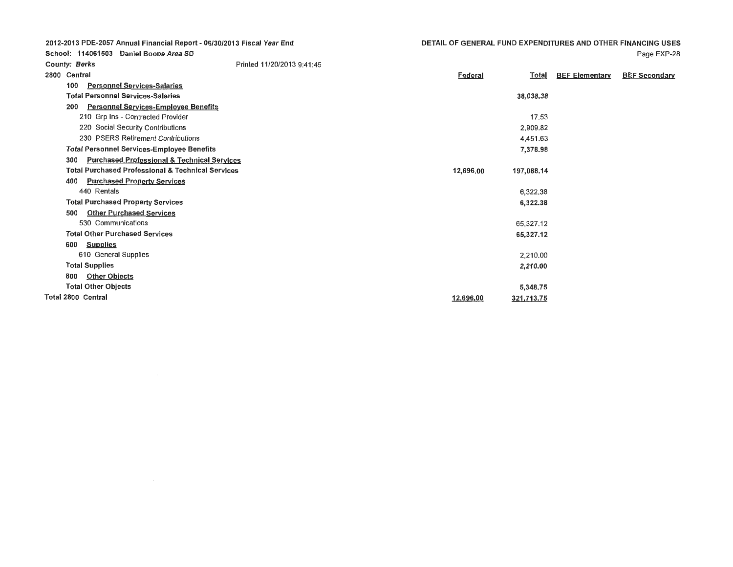School: 114061503 Daniel Boone Area SD

| <b>County: Berks</b> |                                                              | Printed 11/20/2013 9:41:45 |                |              |                       |                      |
|----------------------|--------------------------------------------------------------|----------------------------|----------------|--------------|-----------------------|----------------------|
| 2800 Central         |                                                              |                            | <b>Federal</b> | <b>Total</b> | <b>BEF Elementary</b> | <b>BEF Secondary</b> |
| 100                  | <b>Personnel Services-Salaries</b>                           |                            |                |              |                       |                      |
|                      | <b>Total Personnel Services-Salaries</b>                     |                            |                | 38,038.38    |                       |                      |
| 200                  | <b>Personnel Services-Employee Benefits</b>                  |                            |                |              |                       |                      |
|                      | 210 Grp Ins - Contracted Provider                            |                            |                | 17.53        |                       |                      |
|                      | 220 Social Security Contributions                            |                            |                | 2,909.82     |                       |                      |
|                      | 230 PSERS Retirement Contributions                           |                            |                | 4,451.63     |                       |                      |
|                      | <b>Total Personnel Services-Employee Benefits</b>            |                            |                | 7,378.98     |                       |                      |
| 300                  | <b>Purchased Professional &amp; Technical Services</b>       |                            |                |              |                       |                      |
|                      | <b>Total Purchased Professional &amp; Technical Services</b> |                            | 12,696.00      | 197,088.14   |                       |                      |
| 400                  | <b>Purchased Property Services</b>                           |                            |                |              |                       |                      |
|                      | 440 Rentals                                                  |                            |                | 6,322.38     |                       |                      |
|                      | <b>Total Purchased Property Services</b>                     |                            |                | 6,322.38     |                       |                      |
| 500                  | <b>Other Purchased Services</b>                              |                            |                |              |                       |                      |
|                      | 530 Communications                                           |                            |                | 65,327.12    |                       |                      |
|                      | <b>Total Other Purchased Services</b>                        |                            |                | 65,327.12    |                       |                      |
| 600                  | <b>Supplies</b>                                              |                            |                |              |                       |                      |
|                      | 610 General Supplies                                         |                            |                | 2,210.00     |                       |                      |
|                      | <b>Total Supplies</b>                                        |                            |                | 2,210.00     |                       |                      |
| 800                  | <b>Other Objects</b>                                         |                            |                |              |                       |                      |
|                      | <b>Total Other Objects</b>                                   |                            |                | 5,348.75     |                       |                      |
| Total 2800 Central   |                                                              |                            | 12,696.00      | 321,713.75   |                       |                      |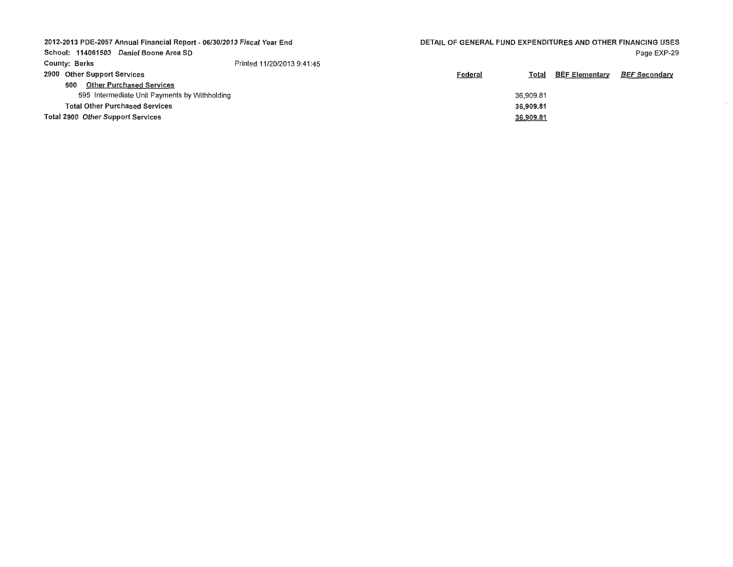| 2012-2013 PDE-2057 Annual Financial Report - 06/30/2013 Fiscal Year End<br>School: 114061503 Daniel Boone Area SD |                            | DETAIL OF GENERAL FUND EXPENDITURES AND OTHER FINANCING USES |              |                       | Page EXP-29          |
|-------------------------------------------------------------------------------------------------------------------|----------------------------|--------------------------------------------------------------|--------------|-----------------------|----------------------|
| <b>County: Berks</b>                                                                                              | Printed 11/20/2013 9:41:45 |                                                              |              |                       |                      |
| 2900 Other Support Services                                                                                       |                            | Federal                                                      | <u>Total</u> | <b>BEF Elementary</b> | <b>BEF Secondary</b> |
| <b>Other Purchased Services</b><br>500                                                                            |                            |                                                              |              |                       |                      |
| 595 Intermediate Unit Payments by Withholding                                                                     |                            |                                                              | 36,909.81    |                       |                      |
| <b>Total Other Purchased Services</b>                                                                             |                            |                                                              | 36,909,81    |                       |                      |
| <b>Total 2900 Other Support Services</b>                                                                          |                            |                                                              | 36,909.81    |                       |                      |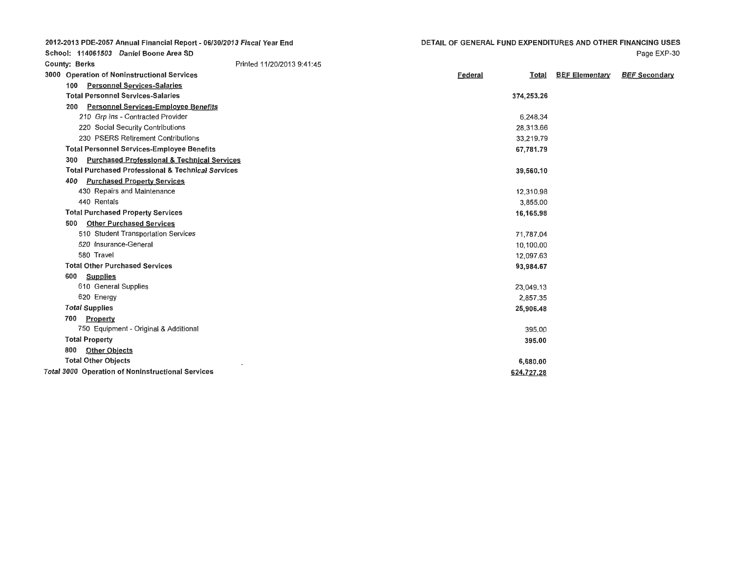School: 114061503 Daniel Boone Area SD

DETAIL OF GENERAL FUND EXPENDITURES AND OTHER **FINANCING** USES Page EXP-30

**624.727.28** 

| <b>County: Berks</b>                                          | Printed 11/20/2013 9:41:45 |                                |                       |                      |
|---------------------------------------------------------------|----------------------------|--------------------------------|-----------------------|----------------------|
| 3000 Operation of Noninstructional Services                   |                            | <b>Federal</b><br><b>Total</b> | <b>BEF Elementary</b> | <b>BEF Secondary</b> |
| <b>Personnel Services-Salaries</b><br>100                     |                            |                                |                       |                      |
| <b>Total Personnel Services-Salaries</b>                      |                            | 374,253.26                     |                       |                      |
| <b>Personnel Services-Employee Benefits</b><br>200            |                            |                                |                       |                      |
| 210 Grp Ins - Contracted Provider                             |                            | 6,248.34                       |                       |                      |
| 220 Social Security Contributions                             |                            | 28,313.66                      |                       |                      |
| 230 PSERS Retirement Contributions                            |                            | 33,219.79                      |                       |                      |
| <b>Total Personnel Services-Employee Benefits</b>             |                            | 67,781.79                      |                       |                      |
| <b>Purchased Professional &amp; Technical Services</b><br>300 |                            |                                |                       |                      |
| <b>Total Purchased Professional &amp; Technical Services</b>  |                            | 39,560.10                      |                       |                      |
| <b>Purchased Property Services</b><br>400                     |                            |                                |                       |                      |
| 430 Repairs and Maintenance                                   |                            | 12,310.98                      |                       |                      |
| 440 Rentals                                                   |                            | 3,855,00                       |                       |                      |
| <b>Total Purchased Property Services</b>                      |                            | 16,165.98                      |                       |                      |
| <b>Other Purchased Services</b><br>500                        |                            |                                |                       |                      |
| 510 Student Transportation Services                           |                            | 71,787.04                      |                       |                      |
| 520 Insurance-General                                         |                            | 10,100.00                      |                       |                      |
| 580 Travel                                                    |                            | 12,097.63                      |                       |                      |
| <b>Total Other Purchased Services</b>                         |                            | 93,984.67                      |                       |                      |
| <b>Supplies</b><br>600                                        |                            |                                |                       |                      |
| 610 General Supplies                                          |                            | 23,049.13                      |                       |                      |
| 620 Energy                                                    |                            | 2,857.35                       |                       |                      |
| <b>Total Supplies</b>                                         |                            | 25,906.48                      |                       |                      |
| Property<br>700                                               |                            |                                |                       |                      |
| 750 Equipment - Original & Additional                         |                            | 395.00                         |                       |                      |
| <b>Total Property</b>                                         |                            | 395.00                         |                       |                      |
| <b>Other Objects</b><br>800                                   |                            |                                |                       |                      |
| <b>Total Other Objects</b>                                    | $\tilde{\phantom{a}}$      | 6,680.00                       |                       |                      |
|                                                               |                            |                                |                       |                      |

**Total 3000 Operation of Noninstructional Services**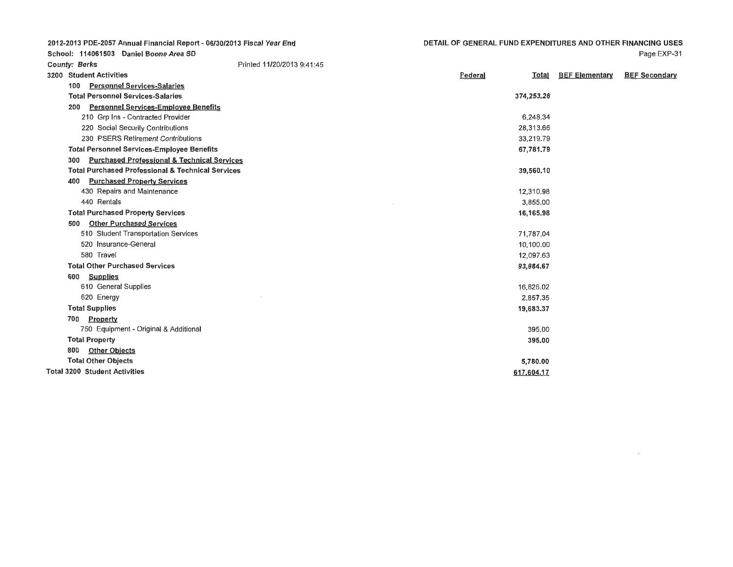School: 114061503 Daniel Boone Area SD

**617.604.17** 

 $\overline{\phantom{a}}$ 

| <b>County: Berks</b>                                          | Printed 11/20/2013 9:41:45 |                         |                       |                      |
|---------------------------------------------------------------|----------------------------|-------------------------|-----------------------|----------------------|
| 3200 Student Activities                                       |                            | Federal<br><b>Total</b> | <b>BEF Elementary</b> | <b>BEF Secondary</b> |
| <b>Personnel Services-Salaries</b><br>100                     |                            |                         |                       |                      |
| <b>Total Personnel Services-Salaries</b>                      |                            | 374,253.26              |                       |                      |
| <b>Personnel Services-Employee Benefits</b><br>200            |                            |                         |                       |                      |
| 210 Grp Ins - Contracted Provider                             |                            | 6,248.34                |                       |                      |
| 220 Social Security Contributions                             |                            | 28,313.66               |                       |                      |
| 230 PSERS Retirement Contributions                            |                            | 33,219.79               |                       |                      |
| <b>Total Personnel Services-Employee Benefits</b>             |                            | 67,781.79               |                       |                      |
| <b>Purchased Professional &amp; Technical Services</b><br>300 |                            |                         |                       |                      |
| <b>Total Purchased Professional &amp; Technical Services</b>  |                            | 39,560,10               |                       |                      |
| <b>Purchased Property Services</b><br>400                     |                            |                         |                       |                      |
| 430 Repairs and Maintenance                                   |                            | 12,310.98               |                       |                      |
| 440 Rentals                                                   |                            | 3,855.00                |                       |                      |
| <b>Total Purchased Property Services</b>                      |                            | 16,165.98               |                       |                      |
| <b>Other Purchased Services</b><br>500                        |                            |                         |                       |                      |
| 510 Student Transportation Services                           |                            | 71,787,04               |                       |                      |
| 520 Insurance-General                                         |                            | 10,100.00               |                       |                      |
| 580 Travel                                                    |                            | 12,097.63               |                       |                      |
| <b>Total Other Purchased Services</b>                         |                            | 93,984.67               |                       |                      |
| <b>Supplies</b><br>600                                        |                            |                         |                       |                      |
| 610 General Supplies                                          |                            | 16,826.02               |                       |                      |
| 620 Energy                                                    |                            | 2.857.35                |                       |                      |
| <b>Total Supplies</b>                                         |                            | 19,683.37               |                       |                      |
| Property<br>700                                               |                            |                         |                       |                      |
| 750 Equipment - Original & Additional                         |                            | 395.00                  |                       |                      |
| <b>Total Property</b>                                         |                            | 395.00                  |                       |                      |
| <b>Other Objects</b><br>800                                   |                            |                         |                       |                      |
| <b>Total Other Objects</b>                                    |                            | 5,780.00                |                       |                      |

**Total 3200 Student Activities**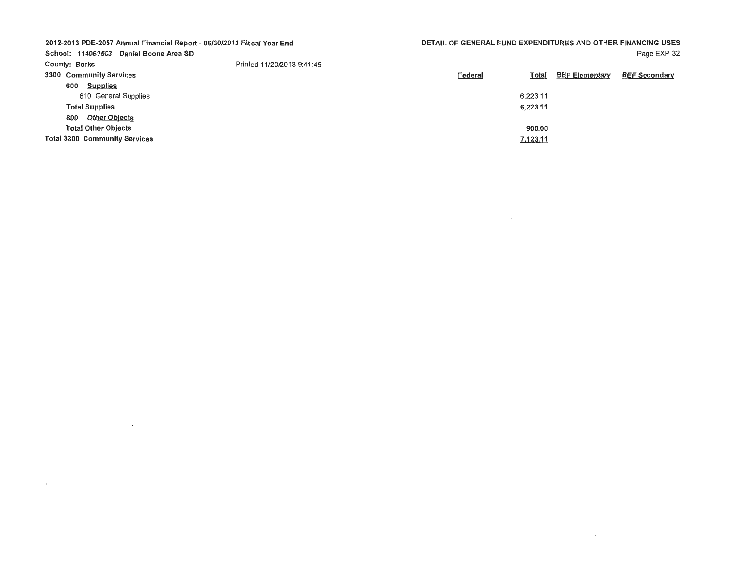| 2012-2013 PDE-2057 Annual Financial Report - 06/30/2013 Fiscal Year End |                            |                  | DETAIL OF GENERAL FUND EXPENDITURES AND OTHER FINANCING USES |
|-------------------------------------------------------------------------|----------------------------|------------------|--------------------------------------------------------------|
| School: 114061503 Daniel Boone Area SD                                  |                            |                  | Page EXP-32                                                  |
| <b>County: Berks</b>                                                    | Printed 11/20/2013 9:41:45 |                  |                                                              |
| 3300 Community Services                                                 |                            | Federal<br>Total | <b>BEF Secondary</b><br><b>BEF Elementary</b>                |
| <b>Supplies</b><br>600                                                  |                            |                  |                                                              |
| 610 General Supplies                                                    |                            | 6.223.11         |                                                              |
| <b>Total Supplies</b>                                                   |                            | 6.223.11         |                                                              |
| <b>Other Objects</b><br>800                                             |                            |                  |                                                              |
| <b>Total Other Objects</b>                                              |                            | 900.00           |                                                              |
| <b>Total 3300 Community Services</b>                                    |                            | 7,123.11         |                                                              |

 $\mathcal{L}^{\text{max}}_{\text{max}}$  and  $\mathcal{L}^{\text{max}}_{\text{max}}$ 

 $\mathcal{L}(\mathcal{L}(\mathcal{L}(\mathcal{L}(\mathcal{L}(\mathcal{L}(\mathcal{L}(\mathcal{L}(\mathcal{L}(\mathcal{L}(\mathcal{L}(\mathcal{L}(\mathcal{L}(\mathcal{L}(\mathcal{L}(\mathcal{L}(\mathcal{L}(\mathcal{L}(\mathcal{L}(\mathcal{L}(\mathcal{L}(\mathcal{L}(\mathcal{L}(\mathcal{L}(\mathcal{L}(\mathcal{L}(\mathcal{L}(\mathcal{L}(\mathcal{L}(\mathcal{L}(\mathcal{L}(\mathcal{L}(\mathcal{L}(\mathcal{L}(\mathcal{L}(\mathcal{L}(\mathcal{$ 

 $\mathcal{L}^{\text{max}}_{\text{max}}$  and  $\mathcal{L}^{\text{max}}_{\text{max}}$  . The set of  $\mathcal{L}^{\text{max}}_{\text{max}}$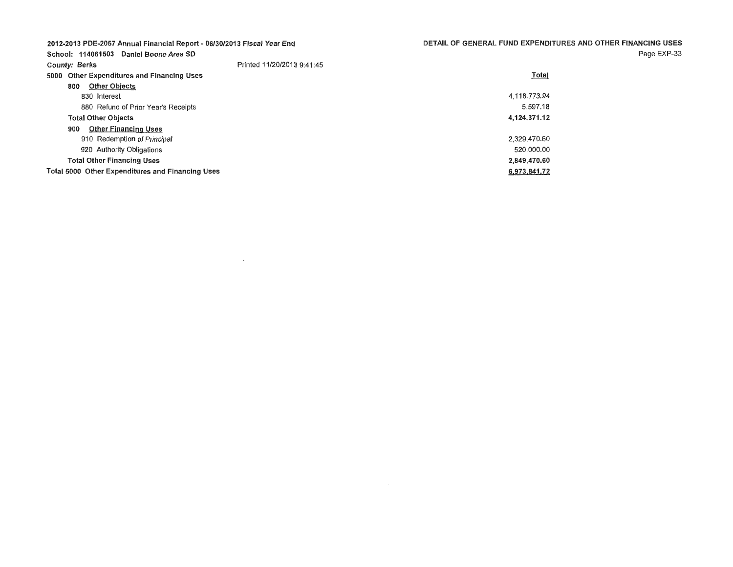| 2012-2013 PDE-2057 Annual Financial Report - 06/30/2013 Fiscal Year End<br>School: 114061503 Daniel Boone Area SD |                            | DETAIL OF GENERAL FUND EXPENDITURES AND OTHER FINANCING USES<br>Page EXP-33 |  |
|-------------------------------------------------------------------------------------------------------------------|----------------------------|-----------------------------------------------------------------------------|--|
| <b>County: Berks</b>                                                                                              | Printed 11/20/2013 9:41:45 |                                                                             |  |
| 5000 Other Expenditures and Financing Uses                                                                        |                            | <b>Total</b>                                                                |  |
| <b>Other Objects</b><br>800                                                                                       |                            |                                                                             |  |
| 830 Interest                                                                                                      |                            | 4,118,773.94                                                                |  |
| 880 Refund of Prior Year's Receipts                                                                               |                            | 5.597.18                                                                    |  |
| <b>Total Other Objects</b>                                                                                        |                            | 4,124,371.12                                                                |  |
| 900<br><b>Other Financing Uses</b>                                                                                |                            |                                                                             |  |
| 910 Redemption of Principal                                                                                       |                            | 2,329,470.60                                                                |  |
| 920 Authority Obligations                                                                                         |                            | 520.000.00                                                                  |  |
| <b>Total Other Financing Uses</b>                                                                                 |                            | 2,849,470.60                                                                |  |
| <b>Total 5000 Other Expenditures and Financing Uses</b>                                                           |                            | 6,973,841,72                                                                |  |

 $\sim 100$  km s  $^{-1}$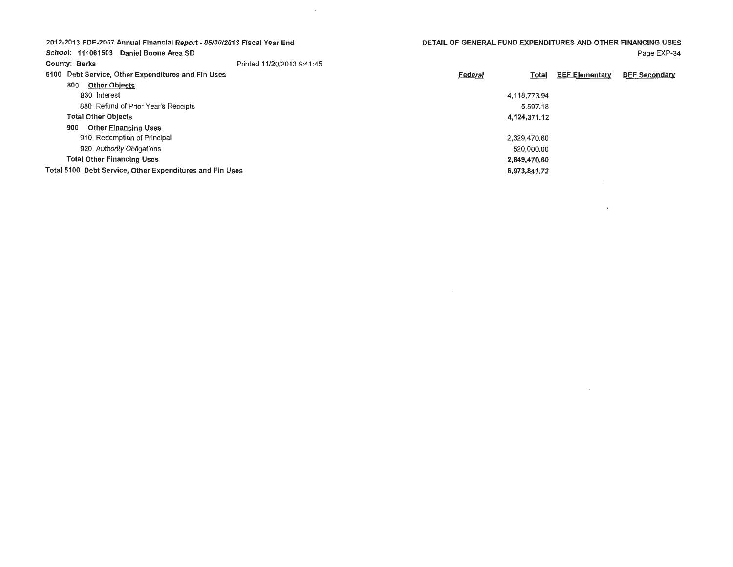| 2012-2013 PDE-2057 Annual Financial Report - 06/30/2013 Fiscal Year End<br>School: 114061503 Daniel Boone Area SD |                            | DETAIL OF GENERAL FUND EXPENDITURES AND OTHER FINANCING USES |                       | Page EXP-34          |
|-------------------------------------------------------------------------------------------------------------------|----------------------------|--------------------------------------------------------------|-----------------------|----------------------|
| <b>County: Berks</b>                                                                                              | Printed 11/20/2013 9:41:45 |                                                              |                       |                      |
| 5100 Debt Service, Other Expenditures and Fin Uses                                                                |                            | Federal<br>Total                                             | <b>BEF Elementary</b> | <b>BEF Secondary</b> |
| <b>Other Objects</b><br>800                                                                                       |                            |                                                              |                       |                      |
| 830 Interest                                                                                                      |                            | 4.118.773.94                                                 |                       |                      |
| 880 Refund of Prior Year's Receipts                                                                               |                            | 5.597.18                                                     |                       |                      |
| <b>Total Other Objects</b>                                                                                        |                            | 4,124,371.12                                                 |                       |                      |
| <b>Other Financing Uses</b><br>900                                                                                |                            |                                                              |                       |                      |
| 910 Redemption of Principal                                                                                       |                            | 2,329,470.60                                                 |                       |                      |
| 920 Authority Obligations                                                                                         |                            | 520,000.00                                                   |                       |                      |
| <b>Total Other Financing Uses</b>                                                                                 |                            | 2,849,470.60                                                 |                       |                      |
| Total 5100 Debt Service, Other Expenditures and Fin Uses                                                          |                            | 6,973,841,72                                                 |                       |                      |

 $\label{eq:2.1} \frac{1}{\sqrt{2}}\int_{\mathbb{R}^3}\frac{1}{\sqrt{2}}\left(\frac{1}{\sqrt{2}}\right)^2\frac{1}{\sqrt{2}}\left(\frac{1}{\sqrt{2}}\right)^2\frac{1}{\sqrt{2}}\left(\frac{1}{\sqrt{2}}\right)^2\frac{1}{\sqrt{2}}\left(\frac{1}{\sqrt{2}}\right)^2.$ 

 $\mathcal{L}^{\mathcal{L}}$  , where  $\mathcal{L}^{\mathcal{L}}$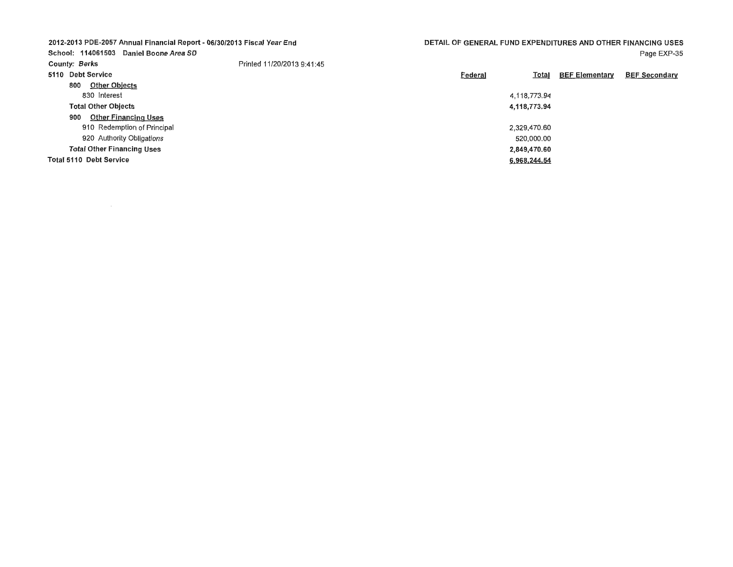| 2012-2013 PDE-2057 Annual Financial Report - 06/30/2013 Fiscal Year End |                            | DETAIL OF GENERAL FUND EXPENDITURES AND OTHER FINANCING USES |                       |                      |
|-------------------------------------------------------------------------|----------------------------|--------------------------------------------------------------|-----------------------|----------------------|
| School: 114061503 Daniel Boone Area SD                                  |                            |                                                              |                       | Page EXP-35          |
| <b>County: Berks</b>                                                    | Printed 11/20/2013 9:41:45 |                                                              |                       |                      |
| 5110 Debt Service                                                       |                            | Federal<br>Total                                             | <b>BEF Elementary</b> | <b>BEF Secondary</b> |
| <b>Other Objects</b><br>800                                             |                            |                                                              |                       |                      |
| 830 Interest                                                            |                            | 4.118.773.94                                                 |                       |                      |
| <b>Total Other Objects</b>                                              |                            | 4,118,773.94                                                 |                       |                      |
| <b>Other Financing Uses</b><br>900                                      |                            |                                                              |                       |                      |
| 910 Redemption of Principal                                             |                            | 2.329,470.60                                                 |                       |                      |
| 920 Authority Obligations                                               |                            | 520,000,00                                                   |                       |                      |
| <b>Total Other Financing Uses</b>                                       |                            | 2,849,470.60                                                 |                       |                      |
| <b>Total 5110 Debt Service</b>                                          |                            | 6,968,244.54                                                 |                       |                      |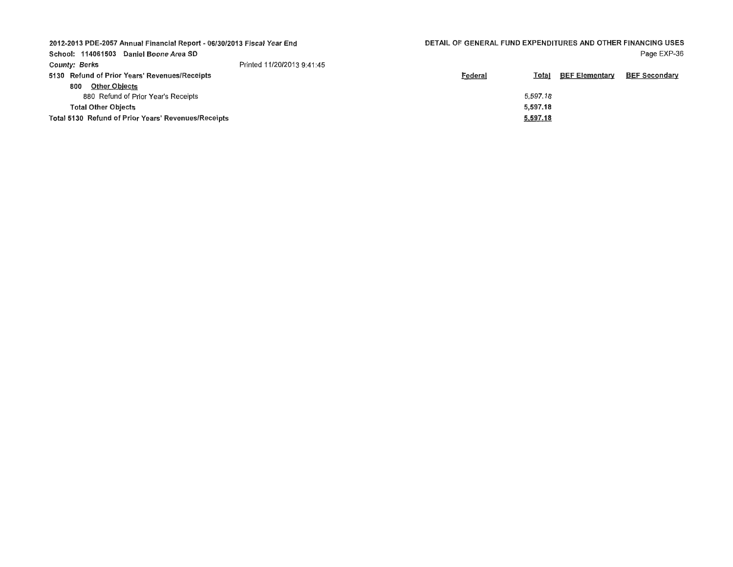| 2012-2013 PDE-2057 Annual Financial Report - 06/30/2013 Fiscal Year End<br>School: 114061503 Daniel Boone Area SD |                            | DETAIL OF GENERAL FUND EXPENDITURES AND OTHER FINANCING USES |                       | Page EXP-36          |
|-------------------------------------------------------------------------------------------------------------------|----------------------------|--------------------------------------------------------------|-----------------------|----------------------|
| <b>County: Berks</b>                                                                                              | Printed 11/20/2013 9:41:45 |                                                              |                       |                      |
| 5130 Refund of Prior Years' Revenues/Receipts                                                                     |                            | Federal<br>Total                                             | <b>BEF Elementary</b> | <b>BEF Secondary</b> |
| <b>Other Objects</b><br>800                                                                                       |                            |                                                              |                       |                      |
| 880 Refund of Prior Year's Receipts                                                                               |                            | 5.597.18                                                     |                       |                      |
| <b>Total Other Objects</b>                                                                                        |                            | 5,597,18                                                     |                       |                      |
| Total 5130 Refund of Prior Years' Revenues/Receipts                                                               |                            | 5,597.18                                                     |                       |                      |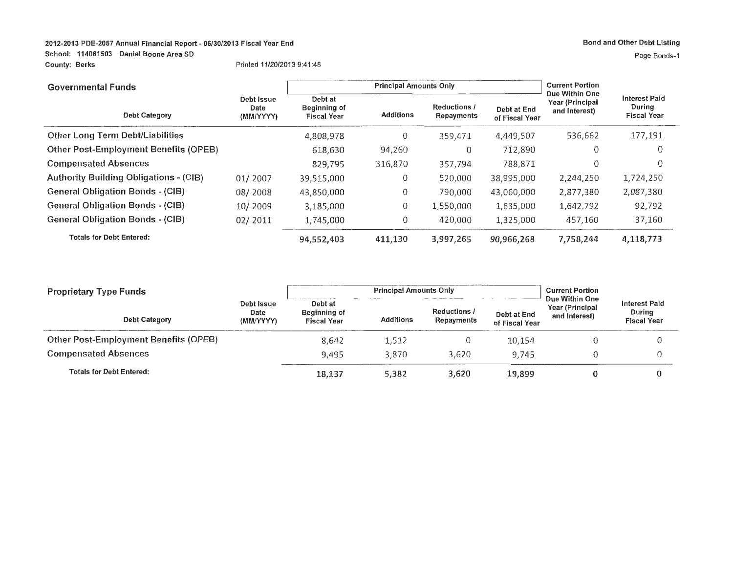# **2012-2013 PDE-2057 Annual Financial Report** - **06/30/2013 Fiscal Year End Bond and Other Debt Listing School: 114061503 Daniel Boone Area SD** Page Bonds-1 **County: Berks** Printed 11/20/2013 9:41:48

# **Governmental Funds** Current Portion **Principal Amounts Only Current Portion Due Within One** Year (Principal Debt Issue Debt at Debt at Debt at Interest Paid یا Debt at and Principal Interest Paid<br>During During Debt Category (MM/YYYY) Fiscal Year Additions Repayments of Fiscal Year and Interest) During Tiscal Year<br>Fiscal Year Pi Other Long Term Debt/Liabilities **4,808,978** 0 359,471 4,449,507 536,662 177,191 **Other Post-Employment Benefits (OPEB)** 618,630 94,260 0 712,890 0 0 0 0 0 **Compensated Absences** 829,795 316,870 357,794 788,871 0 0 **Authority Building Obligations** - **(GIB)** 01/ 2007 39,515,000 0 520,000 38,995,000 2,244,250 1,724,250 **General Obligation Bonds** - **(GIB)** 08/ 2008 43,850,000 0 790,000 43,060,000 2,877,380 2,087,380 **General Obligation Bonds** - **(CIB)** 10/ 2009 3,185,000 0 1,550,000 1,635,000 1,642,79 2 92,792 General Obligation Bonds - (CIB)  $02/2011$  1,745,000 0 420,000 1,325,000 457,160 37,160 **Totals for Debt Entered: 94,552,403 411,130 3,997,265 90,966,268 7,758,244 4,118,773**

| <b>Proprietary Type Funds</b>                           |  | <b>Principal Amounts Only</b>                                                | <b>Current Portion</b>            |                                        |                                                    |                                                      |  |
|---------------------------------------------------------|--|------------------------------------------------------------------------------|-----------------------------------|----------------------------------------|----------------------------------------------------|------------------------------------------------------|--|
| Debt Issue<br>Date<br><b>Debt Category</b><br>(MM/YYYY) |  | <br>Debt at<br><b>Beginning of</b><br><b>Additions</b><br><b>Fiscal Year</b> | <b>Reductions /</b><br>Repayments | _____<br>Debt at End<br>of Fiscal Year | Due Within One<br>Year (Principal<br>and Interest) | <b>Interest Paid</b><br>During<br><b>Fiscal Year</b> |  |
| <b>Other Post-Employment Benefits (OPEB)</b>            |  | 8.642                                                                        | 1.512                             |                                        | 10,154                                             |                                                      |  |
| <b>Compensated Absences</b>                             |  | 9.495                                                                        | 3.870                             | 3.620                                  | 9.745                                              |                                                      |  |
| <b>Totals for Debt Entered:</b>                         |  | 18.137                                                                       | 5,382                             | 3.620                                  | 19,899                                             |                                                      |  |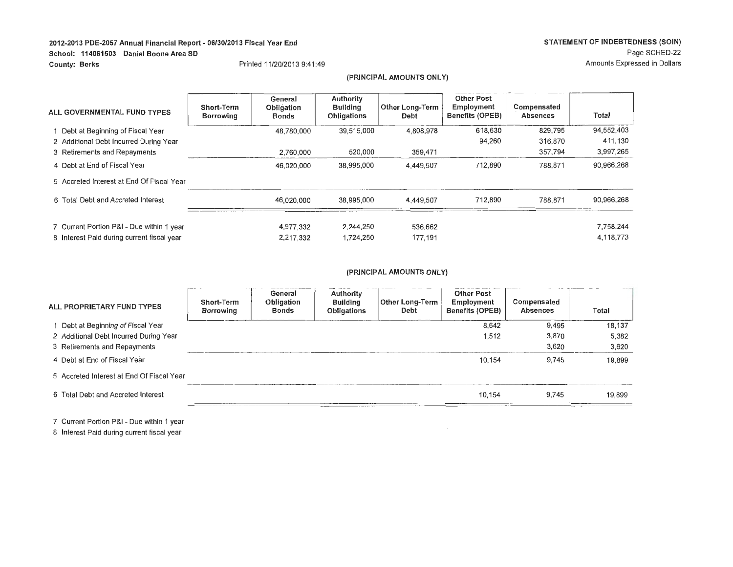#### School: 114061503 Daniel Boone Area SD

County: Berks

#### Printed 11/20/2013 9:41 :49

#### **(PRINCIPAL AMOUNTS ONLY)**

| ALL GOVERNMENTAL FUND TYPES                | Short-Term<br>Borrowing | General<br>Obligation<br><b>Bonds</b> | Authority<br>Building<br><b>Obligations</b> | <b>Other Long-Term</b><br>Debt | <b>Other Post</b><br>Employment<br><b>Benefits (OPEB)</b> | Compensated<br><b>Absences</b> | Total      |
|--------------------------------------------|-------------------------|---------------------------------------|---------------------------------------------|--------------------------------|-----------------------------------------------------------|--------------------------------|------------|
| 1 Debt at Beginning of Fiscal Year         |                         | 48,780,000                            | 39.515.000                                  | 4.808.978                      | 618,630                                                   | 829.795                        | 94,552,403 |
| 2 Additional Debt Incurred During Year     |                         |                                       |                                             |                                | 94,260                                                    | 316,870                        | 411,130    |
| 3 Retirements and Repayments               |                         | 2.760.000                             | 520,000                                     | 359,471                        |                                                           | 357,794                        | 3,997,265  |
| 4 Debt at End of Fiscal Year               |                         | 46.020.000                            | 38.995.000                                  | 4.449.507                      | 712.890                                                   | 788.871                        | 90,966,268 |
| 5 Accreted Interest at End Of Fiscal Year  |                         |                                       |                                             |                                |                                                           |                                |            |
| 6 Total Debt and Accreted Interest         |                         | 46.020.000                            | 38.995.000                                  | 4.449.507                      | 712,890                                                   | 788.871                        | 90.966.268 |
| 7 Current Portion P&I - Due within 1 year  |                         | 4.977.332                             | 2.244.250                                   | 536,662                        |                                                           |                                | 7.758,244  |
| 8 Interest Paid during current fiscal year |                         | 2,217,332                             | 1.724.250                                   | 177.191                        |                                                           |                                | 4.118.773  |

### **(PRINCIPAL AMOUNTS ONLY)**

| ALL PROPRIETARY FUND TYPES                | <b>Short-Term</b><br>Borrowing | General<br>Obligation<br>Bonds | Authority<br><b>Building</b><br>Obligations | Other Long-Term<br>Debt | <b>Other Post</b><br>Employment<br><b>Benefits (OPEB)</b> | Compensated<br><b>Absences</b> | Total  |
|-------------------------------------------|--------------------------------|--------------------------------|---------------------------------------------|-------------------------|-----------------------------------------------------------|--------------------------------|--------|
| 1 Debt at Beginning of Fiscal Year        |                                |                                |                                             |                         | 8.642                                                     | 9.495                          | 18.137 |
| 2 Additional Debt Incurred During Year    |                                |                                |                                             |                         | 1.512                                                     | 3.870                          | 5.382  |
| 3 Retirements and Repayments              |                                |                                |                                             |                         |                                                           | 3.620                          | 3,620  |
| 4 Debt at End of Fiscal Year              |                                |                                |                                             |                         | 10.154                                                    | 9.745                          | 19,899 |
| 5 Accreted Interest at End Of Fiscal Year |                                |                                |                                             |                         |                                                           |                                |        |
| 6 Total Debt and Accreted Interest        |                                |                                |                                             |                         | 10.154                                                    | 9.745                          | 19,899 |

7 Current Portion P&I - Due within 1 year

8 Interest Paid during current fiscal year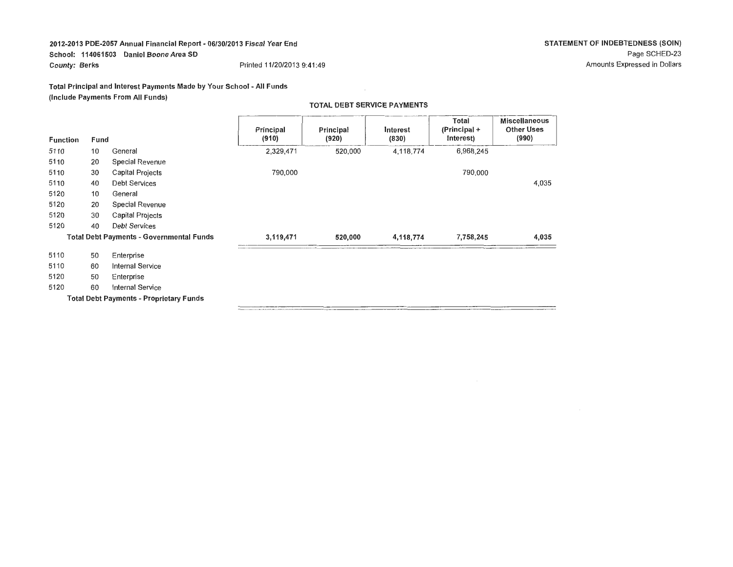# 2012-2013 PDE-2057 Annual Financial Report - 06/30/2013 Fiscal Year End School: 114061503 Daniel Boone Area SD County: Berks **Printed 11/20/2013 9:41:49**

**Total Principal and Interest Payments Made by Your School** - **All Funds (Include Payments From All Funds)** 

| <b>Function</b> | Fund |                                                 | Principal<br>(910) | Principal<br>(920) | <b>Interest</b><br>(830) | Total<br>(Principal +<br>(Interest | <b>Miscellaneous</b><br><b>Other Uses</b><br>(990) |
|-----------------|------|-------------------------------------------------|--------------------|--------------------|--------------------------|------------------------------------|----------------------------------------------------|
| 5110            | 10   | General                                         | 2,329,471          | 520,000            | 4,118,774                | 6,968,245                          |                                                    |
| 5110            | 20   | <b>Special Revenue</b>                          |                    |                    |                          |                                    |                                                    |
| 5110            | 30   | <b>Capital Projects</b>                         | 790,000            |                    |                          | 790,000                            |                                                    |
| 5110            | 40   | <b>Debt Services</b>                            |                    |                    |                          |                                    | 4,035                                              |
| 5120            | 10   | General                                         |                    |                    |                          |                                    |                                                    |
| 5120            | 20   | Special Revenue                                 |                    |                    |                          |                                    |                                                    |
| 5120            | 30   | <b>Capital Projects</b>                         |                    |                    |                          |                                    |                                                    |
| 5120            | 40   | <b>Debt Services</b>                            |                    |                    |                          |                                    |                                                    |
|                 |      | <b>Total Debt Payments - Governmental Funds</b> | 3,119,471          | 520,000            | 4,118,774                | 7,758,245                          | 4,035                                              |
| 5110            | 50   | Enterprise                                      |                    |                    |                          |                                    |                                                    |
| 5110            | 60   | <b>Internal Service</b>                         |                    |                    |                          |                                    |                                                    |
| 5120            | 50   | Enterprise                                      |                    |                    |                          |                                    |                                                    |
| 5120            | 60   | Internal Service                                |                    |                    |                          |                                    |                                                    |
|                 |      | <b>Total Debt Payments - Proprietary Funds</b>  |                    |                    |                          |                                    |                                                    |

**TOTAL DEBT SERVICE PAYMENTS** 

 $\sim 10^7$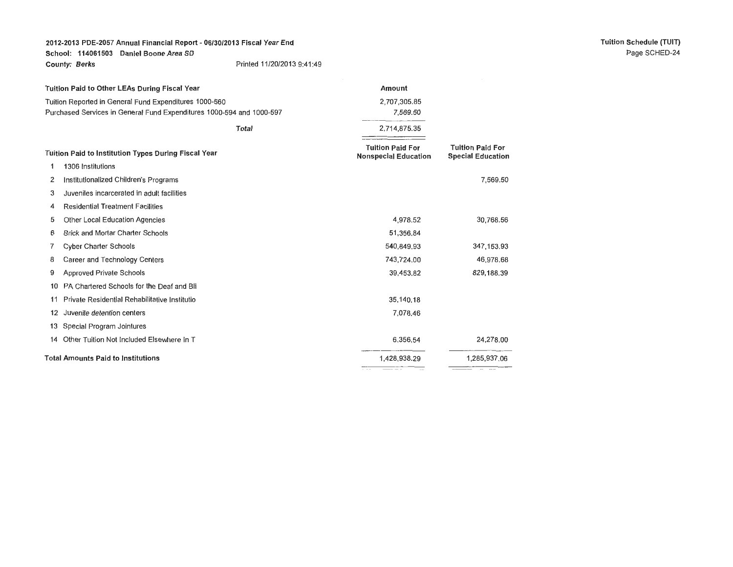# 2012-2013 PDE-2057 Annual Financial Report - 06/30/2013 Fiscal Year End School: 114061503 Daniel Boone Area SD County: Berks **Printed 11/20/2013** 9:41:49

|                                                        | Tuition Paid to Other LEAs During Fiscal Year                         | Amount                                                 |                                                     |  |
|--------------------------------------------------------|-----------------------------------------------------------------------|--------------------------------------------------------|-----------------------------------------------------|--|
| Tuition Reported in General Fund Expenditures 1000-560 |                                                                       | 2,707,305.85                                           |                                                     |  |
|                                                        | Purchased Services in General Fund Expenditures 1000-594 and 1000-597 | 7,569.50                                               |                                                     |  |
|                                                        | Total                                                                 | 2,714,875.35                                           |                                                     |  |
| Tuition Paid to Institution Types During Fiscal Year   |                                                                       | <b>Tuition Paid For</b><br><b>Nonspecial Education</b> | <b>Tuition Paid For</b><br><b>Special Education</b> |  |
| 1                                                      | 1306 Institutions                                                     |                                                        |                                                     |  |
| 2                                                      | Institutionalized Children's Programs                                 |                                                        | 7,569.50                                            |  |
| 3                                                      | Juveniles incarcerated in adult facilities                            |                                                        |                                                     |  |
| 4                                                      | <b>Residential Treatment Facilities</b>                               |                                                        |                                                     |  |
| 5                                                      | Other Local Education Agencies                                        | 4,978.52                                               | 30,768.56                                           |  |
| 6                                                      | <b>Brick and Mortar Charter Schools</b>                               | 51,356.84                                              |                                                     |  |
| 7                                                      | <b>Cyber Charter Schools</b>                                          | 540,849.93                                             | 347,153.93                                          |  |
| 8                                                      | Career and Technology Centers                                         | 743,724.00                                             | 46,978,68                                           |  |
| 9                                                      | <b>Approved Private Schools</b>                                       | 39,453.82                                              | 829,188.39                                          |  |
| 10                                                     | PA Chartered Schools for the Deaf and Bli                             |                                                        |                                                     |  |
| 11                                                     | Private Residential Rehabilitative Institutio                         | 35,140.18                                              |                                                     |  |
| 12                                                     | Juvenile detention centers                                            | 7,078.46                                               |                                                     |  |
| 13                                                     | <b>Special Program Jointures</b>                                      |                                                        |                                                     |  |
| 14                                                     | Other Tuition Not Included Elsewhere In T                             | 6,356.54                                               | 24,278.00                                           |  |
|                                                        | <b>Total Amounts Paid to Institutions</b>                             | 1,428,938.29                                           | 1,285,937.06                                        |  |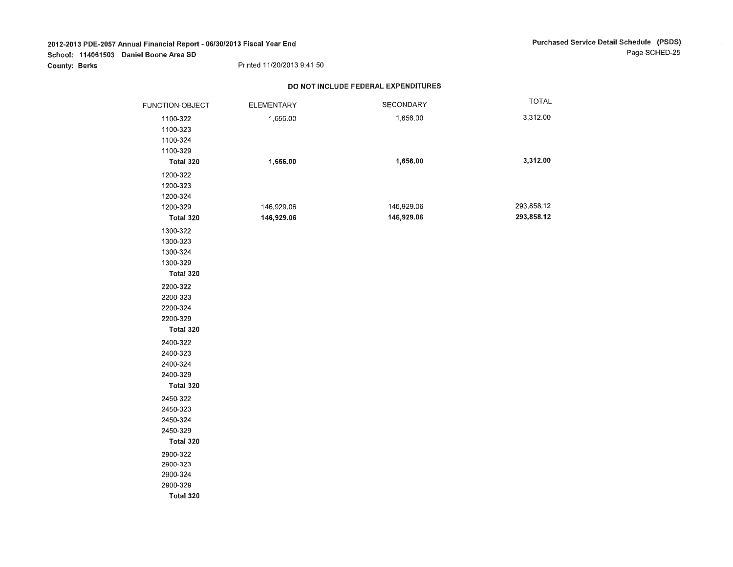# **2012-2013 PDE-2057 Annual Financial Report** - **06/30/2013 Fiscal Year End School: 114061503 Daniel Boone Area SD County: Berks** Printed 11/20/2013 9:41:50

#### **DO NOT INCLUDE FEDERAL EXPENDITURES**

| FUNCTION-OBJECT | <b>ELEMENTARY</b> | SECONDARY  | <b>TOTAL</b> |
|-----------------|-------------------|------------|--------------|
| 1100-322        | 1,656.00          | 1,656.00   | 3,312.00     |
| 1100-323        |                   |            |              |
| 1100-324        |                   |            |              |
| 1100-329        |                   |            |              |
| Total 320       | 1,656.00          | 1,656.00   | 3,312.00     |
| 1200-322        |                   |            |              |
| 1200-323        |                   |            |              |
| 1200-324        |                   |            |              |
| 1200-329        | 146,929.06        | 146,929.06 | 293,858.12   |
| Total 320       | 146,929.06        | 146,929.06 | 293,858.12   |
| 1300-322        |                   |            |              |
| 1300-323        |                   |            |              |
| 1300-324        |                   |            |              |
| 1300-329        |                   |            |              |
| Total 320       |                   |            |              |
| 2200-322        |                   |            |              |
| 2200-323        |                   |            |              |
| 2200-324        |                   |            |              |
| 2200-329        |                   |            |              |
| Total 320       |                   |            |              |
| 2400-322        |                   |            |              |
| 2400-323        |                   |            |              |
| 2400-324        |                   |            |              |
| 2400-329        |                   |            |              |
| Total 320       |                   |            |              |
| 2450-322        |                   |            |              |
| 2450-323        |                   |            |              |
| 2450-324        |                   |            |              |
| 2450-329        |                   |            |              |
| Total 320       |                   |            |              |
| 2900-322        |                   |            |              |
| 2900-323        |                   |            |              |
| 2900-324        |                   |            |              |
| 2900-329        |                   |            |              |
| Total 320       |                   |            |              |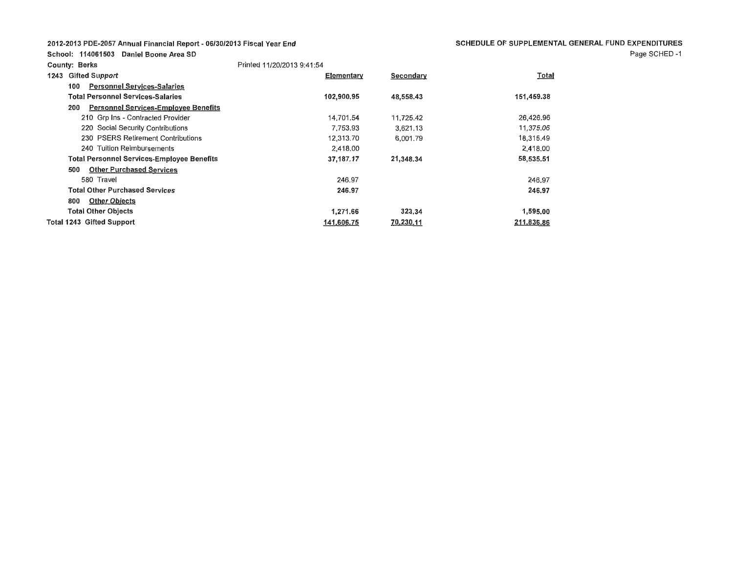2012-2013 PDE-2057 Annual Financial Report - 06/30/2013 Fiscal Year End

School: 114061503 Daniel Boone Area SD

**SCHEDULE OF SUPPLEMENTAL GENERAL FUND EXPENDITURES**  Page SCHED -1

| . | --------------------- |  |
|---|-----------------------|--|
|   |                       |  |
|   |                       |  |
|   |                       |  |

| <b>County: Berks</b> |                                                    | Printed 11/20/2013 9:41:54 |           |              |
|----------------------|----------------------------------------------------|----------------------------|-----------|--------------|
| 1243                 | <b>Gifted Support</b>                              | Elementary                 | Secondary | <b>Total</b> |
|                      | 100<br><b>Personnel Services-Salaries</b>          |                            |           |              |
|                      | Total Personnel Services-Salaries                  | 102,900,95                 | 48,558,43 | 151,459.38   |
|                      | <b>Personnel Services-Employee Benefits</b><br>200 |                            |           |              |
|                      | 210 Grp Ins - Contracted Provider                  | 14.701.54                  | 11,725.42 | 26,426.96    |
|                      | 220 Social Security Contributions                  | 7.753.93                   | 3.621.13  | 11,375.06    |
|                      | 230 PSERS Retirement Contributions                 | 12.313.70                  | 6,001.79  | 18,315.49    |
|                      | 240 Tuition Reimbursements                         | 2,418,00                   |           | 2,418.00     |
|                      | <b>Total Personnel Services-Employee Benefits</b>  | 37,187.17                  | 21,348.34 | 58,535.51    |
|                      | 500<br><b>Other Purchased Services</b>             |                            |           |              |
|                      | 580 Travel                                         | 246.97                     |           | 246.97       |
|                      | <b>Total Other Purchased Services</b>              | 246.97                     |           | 246.97       |
|                      | <b>Other Objects</b><br>800                        |                            |           |              |
|                      | <b>Total Other Objects</b>                         | 1,271.66                   | 323.34    | 1,595.00     |
|                      | <b>Total 1243 Gifted Support</b>                   | 141,606.75                 | 70,230.11 | 211,836.86   |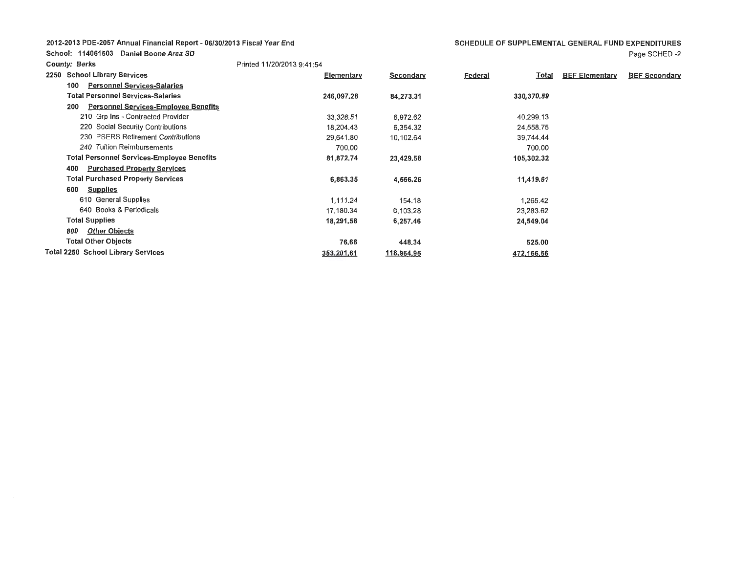**2012-2013 PDE-2057 Annual Financial Report- 06/30/2013 Fiscal Year End** 

**School: 114061503 Daniel Boone Area SD** 

### SCHEDULE OF SUPPLEMENTAL GENERAL FUND EXPENDITURES

Page SCHED -2

|      | <b>County: Berks</b>                               | Printed 11/20/2013 9:41:54 |            |                         |                       |                      |
|------|----------------------------------------------------|----------------------------|------------|-------------------------|-----------------------|----------------------|
| 2250 | <b>School Library Services</b>                     | <b>Elementary</b>          | Secondary  | Federal<br><u>Total</u> | <b>BEF Elementary</b> | <b>BEF Secondary</b> |
|      | <b>Personnel Services-Salaries</b><br>100          |                            |            |                         |                       |                      |
|      | <b>Total Personnel Services-Salaries</b>           | 246,097,28                 | 84,273.31  | 330,370.59              |                       |                      |
|      | <b>Personnel Services-Employee Benefits</b><br>200 |                            |            |                         |                       |                      |
|      | 210 Grp Ins - Contracted Provider                  | 33,326.51                  | 6,972.62   | 40,299.13               |                       |                      |
|      | 220 Social Security Contributions                  | 18,204.43                  | 6,354.32   | 24,558.75               |                       |                      |
|      | 230 PSERS Retirement Contributions                 | 29,641.80                  | 10,102.64  | 39,744.44               |                       |                      |
|      | 240 Tuition Reimbursements                         | 700,00                     |            | 700.00                  |                       |                      |
|      | <b>Total Personnel Services-Employee Benefits</b>  | 81,872.74                  | 23,429.58  | 105,302.32              |                       |                      |
|      | <b>Purchased Property Services</b><br>400          |                            |            |                         |                       |                      |
|      | <b>Total Purchased Property Services</b>           | 6,863.35                   | 4,556.26   | 11,419.61               |                       |                      |
|      | 600<br><b>Supplies</b>                             |                            |            |                         |                       |                      |
|      | 610 General Supplies                               | 1.111.24                   | 154.18     | 1,265.42                |                       |                      |
|      | 640 Books & Periodicals                            | 17,180.34                  | 6,103.28   | 23,283.62               |                       |                      |
|      | <b>Total Supplies</b>                              | 18,291.58                  | 6,257.46   | 24,549.04               |                       |                      |
|      | <b>Other Objects</b><br>800                        |                            |            |                         |                       |                      |
|      | <b>Total Other Objects</b>                         | 76.66                      | 448.34     | 525.00                  |                       |                      |
|      | <b>Total 2250 School Library Services</b>          | 353,201.61                 | 118,964,95 | 472,166,56              |                       |                      |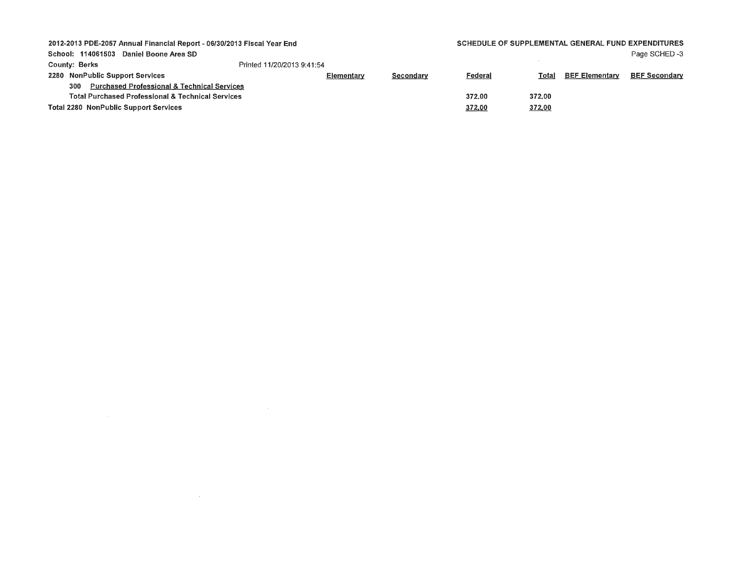| 2012-2013 PDE-2057 Annual Financial Report - 06/30/2013 Fiscal Year End |                            |            |           | SCHEDULE OF SUPPLEMENTAL GENERAL FUND EXPENDITURES |        |                       |                       |
|-------------------------------------------------------------------------|----------------------------|------------|-----------|----------------------------------------------------|--------|-----------------------|-----------------------|
| School: 114061503 Daniel Boone Area SD                                  |                            |            |           |                                                    |        |                       | Page SCHED-3          |
| <b>County: Berks</b>                                                    | Printed 11/20/2013 9:41:54 |            |           |                                                    |        |                       |                       |
| 2280 NonPublic Support Services                                         |                            | Elementary | Secondary | Federal                                            | Total  | <b>BEF Elementary</b> | BE <u>F Secondary</u> |
| <b>Purchased Professional &amp; Technical Services</b><br>300           |                            |            |           |                                                    |        |                       |                       |
| <b>Total Purchased Professional &amp; Technical Services</b>            |                            |            |           | 372.00                                             | 372.00 |                       |                       |
| <b>Total 2280 NonPublic Support Services</b>                            |                            |            |           | 372,00                                             | 372,00 |                       |                       |

 $\label{eq:2.1} \mathcal{L}(\mathcal{L}^{\mathcal{L}}_{\mathcal{L}}(\mathcal{L}^{\mathcal{L}}_{\mathcal{L}})) = \mathcal{L}(\mathcal{L}^{\mathcal{L}}_{\mathcal{L}}(\mathcal{L}^{\mathcal{L}}_{\mathcal{L}})) = \mathcal{L}(\mathcal{L}^{\mathcal{L}}_{\mathcal{L}}(\mathcal{L}^{\mathcal{L}}_{\mathcal{L}}))$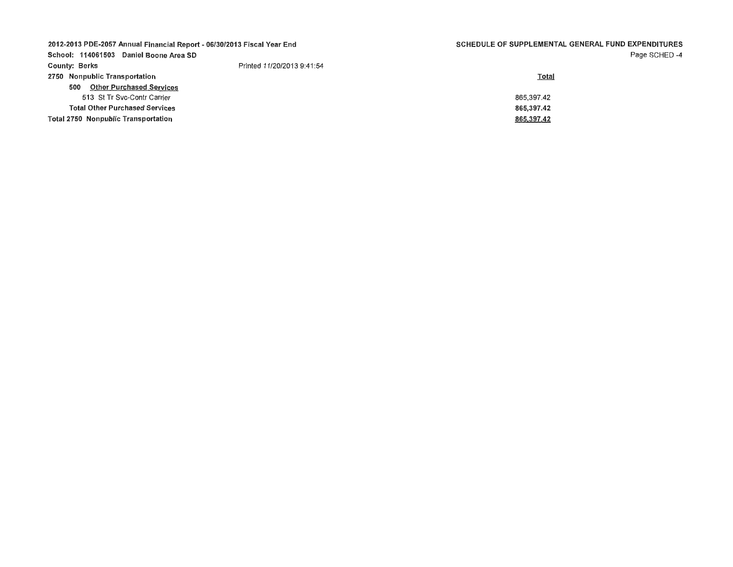| 2012-2013 PDE-2057 Annual Financial Report - 06/30/2013 Fiscal Year End |                            | SCHEDULE OF SUPPLEMENTAL GENERAL FUND EXPENDITURES |
|-------------------------------------------------------------------------|----------------------------|----------------------------------------------------|
| School: 114061503 Daniel Boone Area SD                                  |                            | Page SCHED-4                                       |
| <b>County: Berks</b>                                                    | Printed 11/20/2013 9:41:54 |                                                    |
| 2750 Nonpublic Transportation                                           |                            | <b>Total</b>                                       |
| <b>Other Purchased Services</b><br>500                                  |                            |                                                    |
| 513 St Tr Svc-Contr Carrier                                             |                            | 865.397.42                                         |
| <b>Total Other Purchased Services</b>                                   |                            | 865,397.42                                         |
| <b>Total 2750 Nonpublic Transportation</b>                              |                            | 865,397.42                                         |
|                                                                         |                            |                                                    |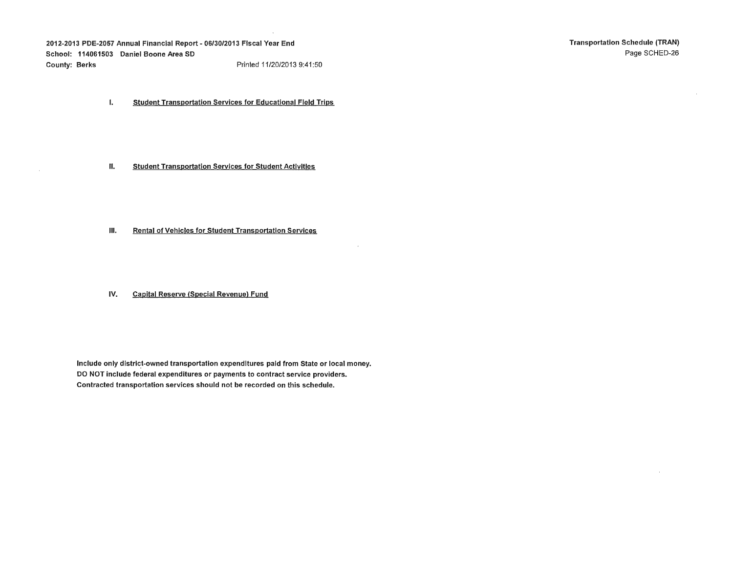2012-2013 PDE-2057 Annual Financial Report - 06/30/2013 Fiscal Year End School: 114061503 Daniel Boone Area SD County: Berks **Prince 11/20/2013** 9:41:50

- I. Student Transportation Services for Educational Field Trips
- **II.** Student Transportation Services for Student Activities
- III. Rental of Vehicles for Student Transportation Services
- IV. Capital Reserve (Special Revenue) Fund

Include only district-owned transportation expenditures paid from State or local money. DO NOT include federal expenditures or payments to contract service providers. Contracted transportation services should not be recorded on this schedule.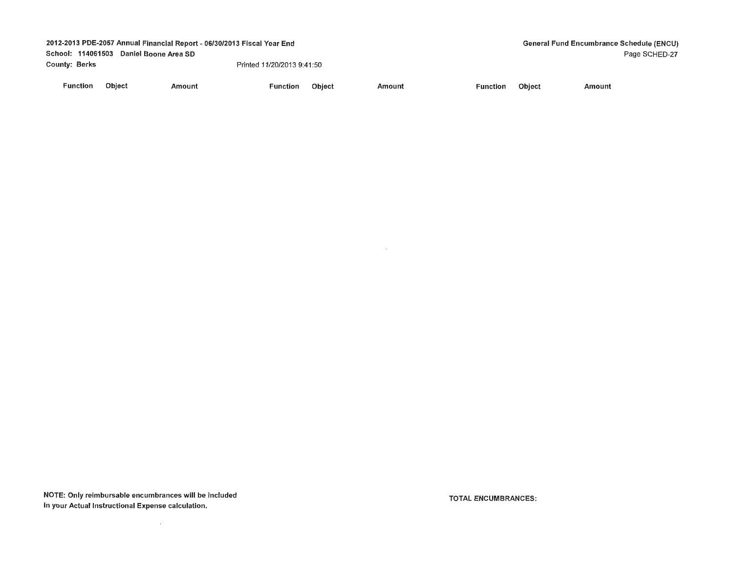|                      | 2012-2013 PDE-2057 Annual Financial Report - 06/30/2013 Fiscal Year End |        |                            |               |        |          |        | <b>General Fund Encumbrance Schedule (ENCU)</b> |               |
|----------------------|-------------------------------------------------------------------------|--------|----------------------------|---------------|--------|----------|--------|-------------------------------------------------|---------------|
|                      | School: 114061503 Daniel Boone Area SD                                  |        |                            |               |        |          |        |                                                 | Page SCHED-27 |
| <b>County: Berks</b> |                                                                         |        | Printed 11/20/2013 9:41:50 |               |        |          |        |                                                 |               |
| Function             | <b>Object</b>                                                           | Amount | Function                   | <b>Object</b> | Amount | Function | Object | Amount                                          |               |

 $\mathcal{L}^{\mathcal{L}}(\mathcal{L}^{\mathcal{L}})$  and  $\mathcal{L}^{\mathcal{L}}(\mathcal{L}^{\mathcal{L}})$  . The contribution of

 $\mathcal{L}^{\text{max}}_{\text{max}}$  and  $\mathcal{L}^{\text{max}}_{\text{max}}$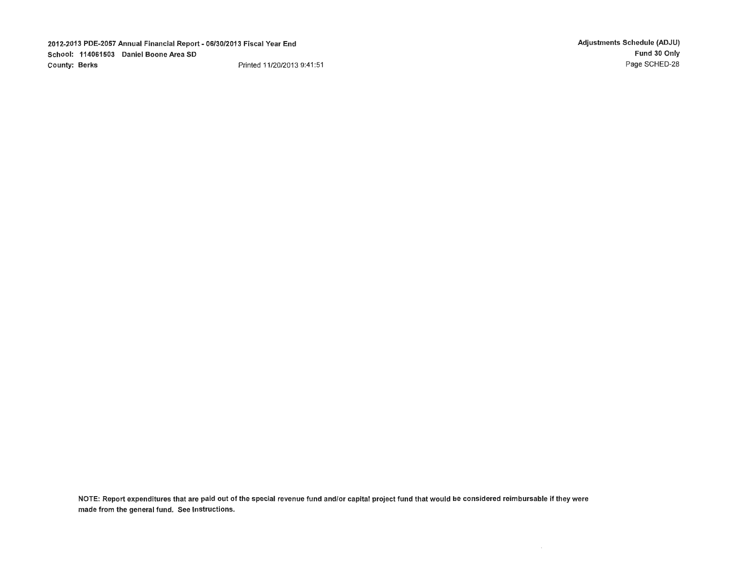2012-2013 PDE-2057 Annual Financial Report - 06/30/2013 Fiscal Year End School: 114061503 Daniel Boone Area SD County: Berks **Printed 11/20/2013 9:41:51**  Adjustments Schedule (ADJU) Fund 30 Only Page SCHED-28

NOTE: Report expenditures that are paid out of the special revenue fund and/or capital project fund that would be considered reimbursable if they were made from the general fund. See Instructions.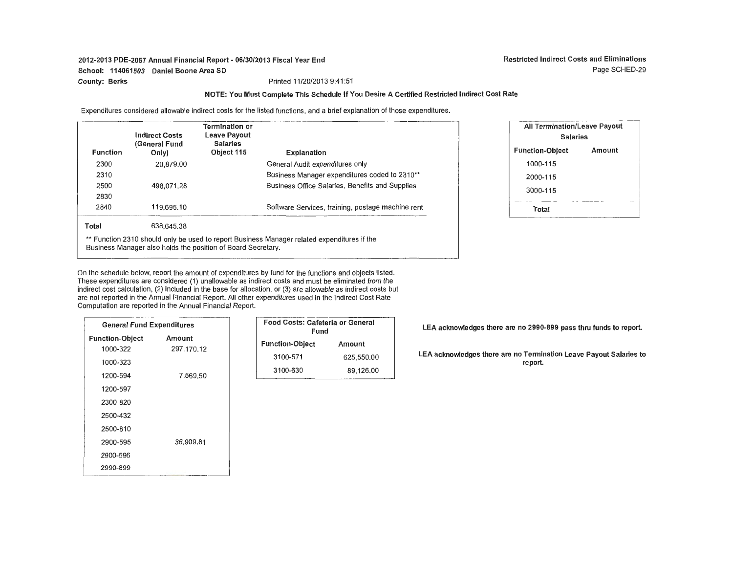## 2012-2013 PDE-2057 Annual Financial Report- 06/30/2013 Fiscal Year End School: 114061503 Daniel Boone Area SD **County: Berks** Printed 11/20/2013 9:41 :51

## **NOTE: You Must Complete This Schedule If You Desire A Certified Restricted Indirect Cost Rate**

Expenditures considered allowable indirect costs for the listed functions, and a brief explanation of those expenditures.

| <b>Function</b>                                                                                                                                             | <b>Indirect Costs</b><br>(General Fund<br>Only) | Termination or<br><b>Leave Payout</b><br><b>Salaries</b><br>Object 115 | <b>Explanation</b>                                |  |  |  |
|-------------------------------------------------------------------------------------------------------------------------------------------------------------|-------------------------------------------------|------------------------------------------------------------------------|---------------------------------------------------|--|--|--|
| 2300                                                                                                                                                        | 20.879.00                                       |                                                                        | General Audit expenditures only                   |  |  |  |
| 2310                                                                                                                                                        |                                                 |                                                                        | Business Manager expenditures coded to 2310**     |  |  |  |
| 2500                                                                                                                                                        | 498.071.28                                      |                                                                        | Business Office Salaries, Benefits and Supplies   |  |  |  |
| 2830                                                                                                                                                        |                                                 |                                                                        |                                                   |  |  |  |
| 2840                                                                                                                                                        | 119,695.10                                      |                                                                        | Software Services, training, postage machine rent |  |  |  |
| Total                                                                                                                                                       | 638,645.38                                      |                                                                        |                                                   |  |  |  |
| ** Function 2310 should only be used to report Business Manager related expenditures if the<br>Business Manager also holds the position of Board Secretary. |                                                 |                                                                        |                                                   |  |  |  |

| <b>All Termination/Leave Payout</b><br><b>Salaries</b> |        |  |  |  |
|--------------------------------------------------------|--------|--|--|--|
| <b>Function-Object</b>                                 | Amount |  |  |  |
| 1000-115                                               |        |  |  |  |
| 2000-115                                               |        |  |  |  |
| 3000-115                                               |        |  |  |  |
| Total                                                  |        |  |  |  |

On the schedule below, report the amount of expenditures by fund for the functions and objects listed. These expenditures are considered (1) unallowable as indirect costs and must be eliminated from the indirect cost calculation, (2) included in the base for allocation, or (3) are allowable as indirect costs but are not reported in the Annual Financial Report. All other expenditures used in the Indirect Cost Rate Computation are reported in the Annual Financial Report.

| <b>General Fund Expenditures</b>                         |                      | Food Co                  |
|----------------------------------------------------------|----------------------|--------------------------|
| <b>Function-Object</b><br>1000-322<br>1000-323           | Amount<br>297,170.12 | <b>Function</b><br>3100- |
| 1200-594<br>1200-597<br>2300-820                         | 7,569,50             | 3100-                    |
| 2500-432<br>2500-810<br>2900-595<br>2900-596<br>2990-899 | 36,909.81            |                          |

| Food Costs: Cafeteria or General<br>Fund |            |  |  |
|------------------------------------------|------------|--|--|
| <b>Function-Object</b>                   | Amount     |  |  |
| 3100-571                                 | 625,550.00 |  |  |
| 3100-630                                 | 89.126,00  |  |  |

LEA acknowledges there are no 2990-899 pass thru funds to report.

LEA acknowledges there are no Termination Leave Payout Salaries to report.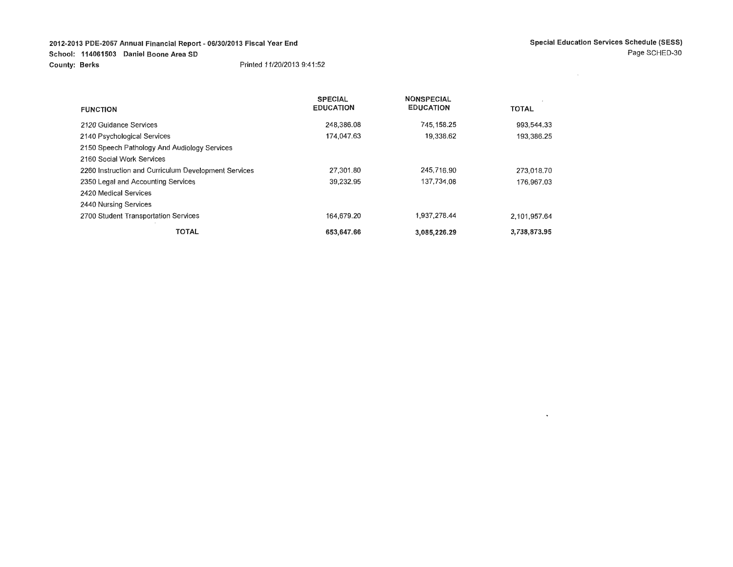## **2012-2013 PDE-2057 Annual Financial Report- 06/30/2013 Fiscal Year End School: 114061503 Daniel Boone Area SD County: Berks** Printed 11/20/2013 9:41:52

 $\sim$ 

|                                                      | <b>SPECIAL</b>   | <b>NONSPECIAL</b> |              |
|------------------------------------------------------|------------------|-------------------|--------------|
| <b>FUNCTION</b>                                      | <b>EDUCATION</b> | <b>EDUCATION</b>  | <b>TOTAL</b> |
| 2120 Guidance Services                               | 248,386.08       | 745.158.25        | 993.544.33   |
| 2140 Psychological Services                          | 174.047.63       | 19,338.62         | 193.386.25   |
| 2150 Speech Pathology And Audiology Services         |                  |                   |              |
| 2160 Social Work Services                            |                  |                   |              |
| 2260 Instruction and Curriculum Development Services | 27,301.80        | 245.716.90        | 273,018.70   |
| 2350 Legal and Accounting Services                   | 39,232,95        | 137.734.08        | 176,967.03   |
| 2420 Medical Services                                |                  |                   |              |
| 2440 Nursing Services                                |                  |                   |              |
| 2700 Student Transportation Services                 | 164.679.20       | 1,937,278.44      | 2.101.957.64 |
| <b>TOTAL</b>                                         | 653,647.66       | 3,085,226.29      | 3,738,873.95 |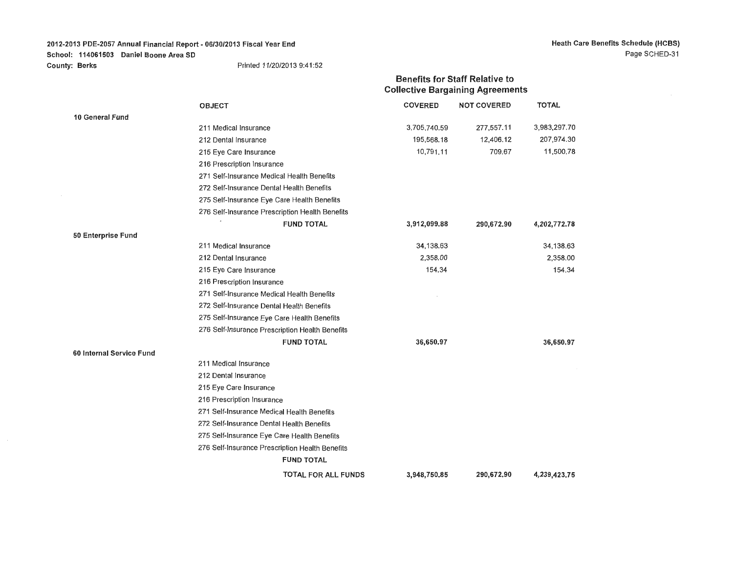2012-2013 PDE-2057 Annual Financial Report- 06/30/2013 Fiscal Year End School: 114061503 Daniel Boone Area SD County: Berks

**Benefits for Staff Relative to** 

Printed 11/20/2013 9:41 :52

|                          |                                                 | <b>Collective Bargaining Agreements</b> |                    |              |  |
|--------------------------|-------------------------------------------------|-----------------------------------------|--------------------|--------------|--|
|                          | <b>OBJECT</b>                                   | <b>COVERED</b>                          | <b>NOT COVERED</b> | <b>TOTAL</b> |  |
| 10 General Fund          |                                                 |                                         |                    |              |  |
|                          | 211 Medical Insurance                           | 3,705,740.59                            | 277,557.11         | 3,983,297.70 |  |
|                          | 212 Dental Insurance                            | 195,568.18                              | 12,406.12          | 207,974.30   |  |
|                          | 215 Eye Care Insurance                          | 10,791.11                               | 709.67             | 11,500.78    |  |
|                          | 216 Prescription Insurance                      |                                         |                    |              |  |
|                          | 271 Self-Insurance Medical Health Benefits      |                                         |                    |              |  |
|                          | 272 Self-insurance Dental Health Benefits       |                                         |                    |              |  |
|                          | 275 Self-Insurance Eye Care Health Benefits     |                                         |                    |              |  |
|                          | 276 Self-Insurance Prescription Health Benefits |                                         |                    |              |  |
|                          | <b>FUND TOTAL</b>                               | 3,912,099.88                            | 290,672.90         | 4,202,772.78 |  |
| 50 Enterprise Fund       |                                                 |                                         |                    |              |  |
|                          | 211 Medical Insurance                           | 34,138.63                               |                    | 34,138.63    |  |
|                          | 212 Dental Insurance                            | 2,358.00                                |                    | 2,358.00     |  |
|                          | 215 Eye Care Insurance                          | 154.34                                  |                    | 154.34       |  |
|                          | 216 Prescription Insurance                      |                                         |                    |              |  |
|                          | 271 Self-Insurance Medical Health Benefits      |                                         |                    |              |  |
|                          | 272 Self-Insurance Dental Health Benefits       |                                         |                    |              |  |
|                          | 275 Self-Insurance Eye Care Health Benefits     |                                         |                    |              |  |
|                          | 276 Self-Insurance Prescription Health Benefits |                                         |                    |              |  |
|                          | <b>FUND TOTAL</b>                               | 36,650.97                               |                    | 36,650.97    |  |
| 60 Internal Service Fund |                                                 |                                         |                    |              |  |
|                          | 211 Medical Insurance                           |                                         |                    |              |  |
|                          | 212 Dental Insurance                            |                                         |                    |              |  |
|                          | 215 Eye Care Insurance                          |                                         |                    |              |  |
|                          | 216 Prescription Insurance                      |                                         |                    |              |  |
|                          | 271 Self-Insurance Medical Health Benefits      |                                         |                    |              |  |
|                          | 272 Self-Insurance Dental Health Benefits       |                                         |                    |              |  |
|                          | 275 Self-Insurance Eye Care Health Benefits     |                                         |                    |              |  |
|                          | 276 Self-Insurance Prescription Health Benefits |                                         |                    |              |  |
|                          | <b>FUND TOTAL</b>                               |                                         |                    |              |  |
|                          | TOTAL FOR ALL FUNDS                             | 3,948,750.85                            | 290,672.90         | 4,239,423.75 |  |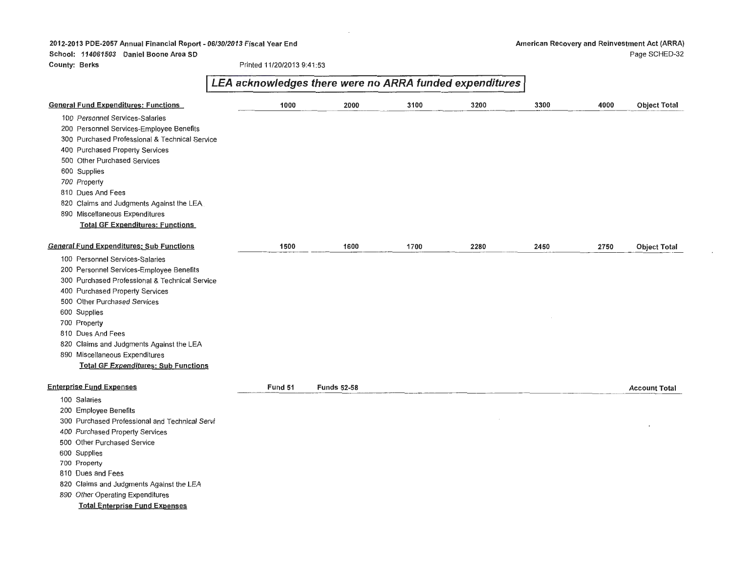2012-2013 PDE-2057 Annual Financial Report• 06/30/2013 Fiscal Year End

School: 114061503 Daniel Boone Area SD

County: Berks Printed 11/20/2013 9:41 :53

# **LEA acknowledges there were no ARRA funded expenditures General Fund Expenditures: Functions 1000 2000 3100 3200 3300 4000 Object Total**  100 Personnel Services-Salaries 200 Personnel Services-Employee Benefits 300 Purchased Professional & Technical Service 400 Purchased Property Services 500 Other Purchased Services 600 Supplies 700 Property 810 Dues And Fees 820 Claims and Judgments Against the LEA 890 Miscellaneous Expenditures **Total GF Expenditures: Functions General Fund Expenditures: Sub Functions 1500 1600 1700 2280 2450 2750 Object Total**  100 Personnel Services-Salaries 200 Personnel Services-Employee Benefits 300 Purchased Professional & Technical Service 400 Purchased Property Services 500 Other Purchased Services 600 Supplies 700 Property 810 Dues And Fees 820 Claims and Judgments Against the LEA 890 Miscellaneous Expenditures **Total GF Expenditures: Sub Functions**  Enterprise Fund Expenses **Account Total Community Community Fund 51** Funds 52-58 **Fund 51 Account Total Account Total** 100 Salaries 200 Employee Benefits 300 Purchased Professional and Technical Servi 400 Purchased Property Services 500 Other Purchased Service 600 Supplies 700 Property 810 Dues and Fees 820 Claims and Judgments Against the LEA 890 Other Operating Expenditures **Total Enterprise Fund Expenses**